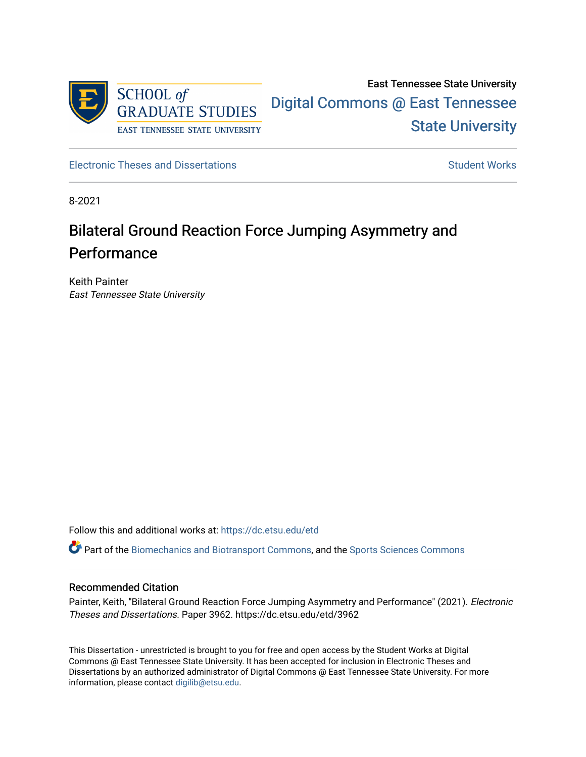

East Tennessee State University [Digital Commons @ East Tennessee](https://dc.etsu.edu/)  [State University](https://dc.etsu.edu/) 

[Electronic Theses and Dissertations](https://dc.etsu.edu/etd) [Student Works](https://dc.etsu.edu/student-works) Student Works

8-2021

# Bilateral Ground Reaction Force Jumping Asymmetry and Performance

Keith Painter East Tennessee State University

Follow this and additional works at: [https://dc.etsu.edu/etd](https://dc.etsu.edu/etd?utm_source=dc.etsu.edu%2Fetd%2F3962&utm_medium=PDF&utm_campaign=PDFCoverPages)

Part of the [Biomechanics and Biotransport Commons](http://network.bepress.com/hgg/discipline/234?utm_source=dc.etsu.edu%2Fetd%2F3962&utm_medium=PDF&utm_campaign=PDFCoverPages), and the [Sports Sciences Commons](http://network.bepress.com/hgg/discipline/759?utm_source=dc.etsu.edu%2Fetd%2F3962&utm_medium=PDF&utm_campaign=PDFCoverPages) 

# Recommended Citation

Painter, Keith, "Bilateral Ground Reaction Force Jumping Asymmetry and Performance" (2021). Electronic Theses and Dissertations. Paper 3962. https://dc.etsu.edu/etd/3962

This Dissertation - unrestricted is brought to you for free and open access by the Student Works at Digital Commons @ East Tennessee State University. It has been accepted for inclusion in Electronic Theses and Dissertations by an authorized administrator of Digital Commons @ East Tennessee State University. For more information, please contact [digilib@etsu.edu.](mailto:digilib@etsu.edu)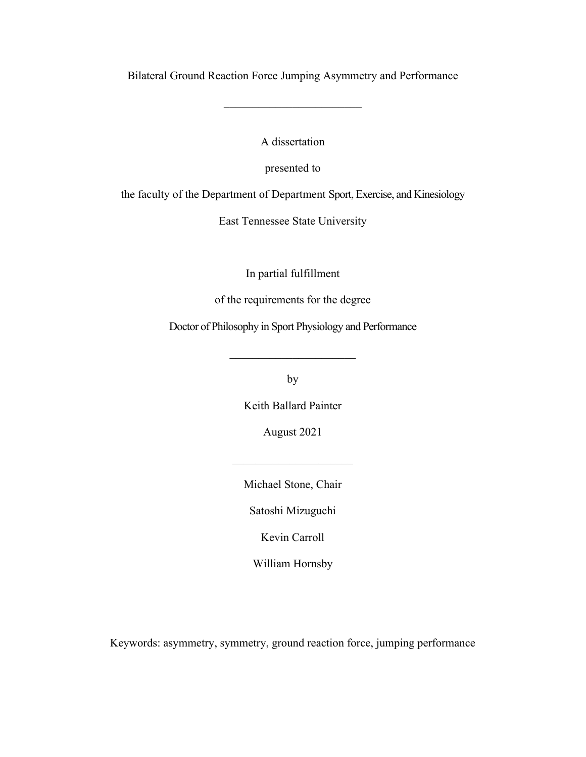Bilateral Ground Reaction Force Jumping Asymmetry and Performance

A dissertation

presented to

the faculty of the Department of Department Sport, Exercise, and Kinesiology

East Tennessee State University

In partial fulfillment

of the requirements for the degree

Doctor of Philosophy in Sport Physiology and Performance

by

Keith Ballard Painter

August 2021

Michael Stone, Chair

 $\mathcal{L}_\text{max}$  , where  $\mathcal{L}_\text{max}$ 

Satoshi Mizuguchi

Kevin Carroll

William Hornsby

Keywords: asymmetry, symmetry, ground reaction force, jumping performance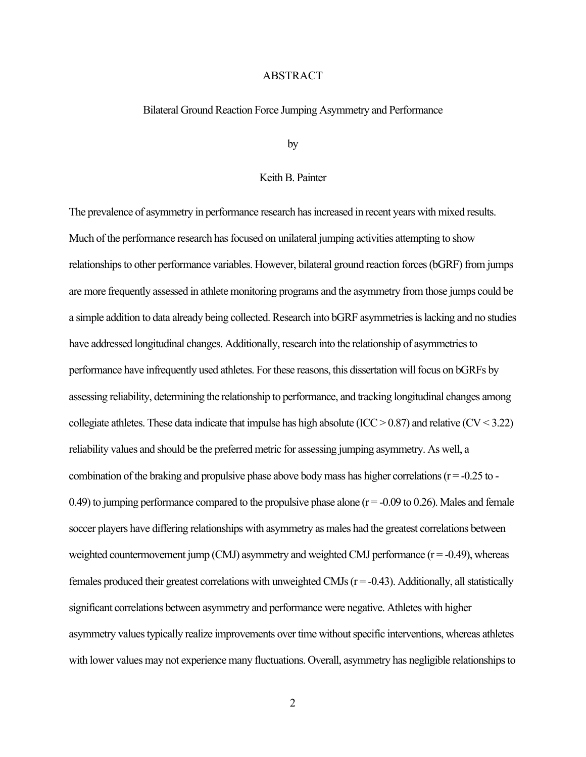### ABSTRACT

#### Bilateral Ground Reaction Force Jumping Asymmetry and Performance

by

# Keith B. Painter

The prevalence of asymmetry in performance research has increased in recent years with mixed results. Much of the performance research has focused on unilateral jumping activities attempting to show relationships to other performance variables. However, bilateral ground reaction forces (bGRF) from jumps are more frequently assessed in athlete monitoring programs and the asymmetry from those jumps could be a simple addition to data already being collected. Research into bGRF asymmetries is lacking and no studies have addressed longitudinal changes. Additionally, research into the relationship of asymmetries to performance have infrequently used athletes. For these reasons, this dissertation will focus on bGRFs by assessing reliability, determining the relationship to performance, and tracking longitudinal changes among collegiate athletes. These data indicate that impulse has high absolute (ICC  $> 0.87$ ) and relative (CV  $< 3.22$ ) reliability values and should be the preferred metric for assessing jumping asymmetry. As well, a combination of the braking and propulsive phase above body mass has higher correlations ( $r = -0.25$  to -0.49) to jumping performance compared to the propulsive phase alone  $(r = -0.09$  to 0.26). Males and female soccer players have differing relationships with asymmetry as males had the greatest correlations between weighted countermovement jump (CMJ) asymmetry and weighted CMJ performance  $(r = -0.49)$ , whereas females produced their greatest correlations with unweighted CMJs ( $r = -0.43$ ). Additionally, all statistically significant correlations between asymmetry and performance were negative. Athletes with higher asymmetry values typically realize improvements over time without specific interventions, whereas athletes with lower values may not experience many fluctuations. Overall, asymmetry has negligible relationships to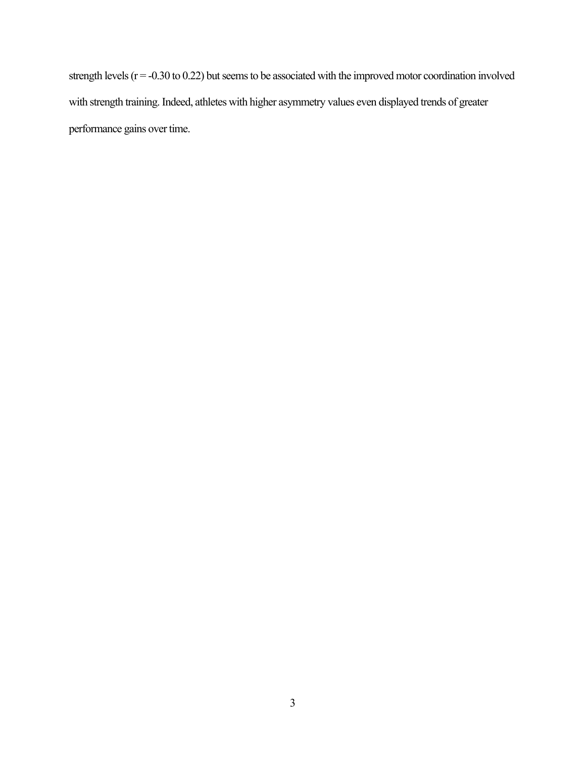strength levels (r = -0.30 to 0.22) but seems to be associated with the improved motor coordination involved with strength training. Indeed, athletes with higher asymmetry values even displayed trends of greater performance gains over time.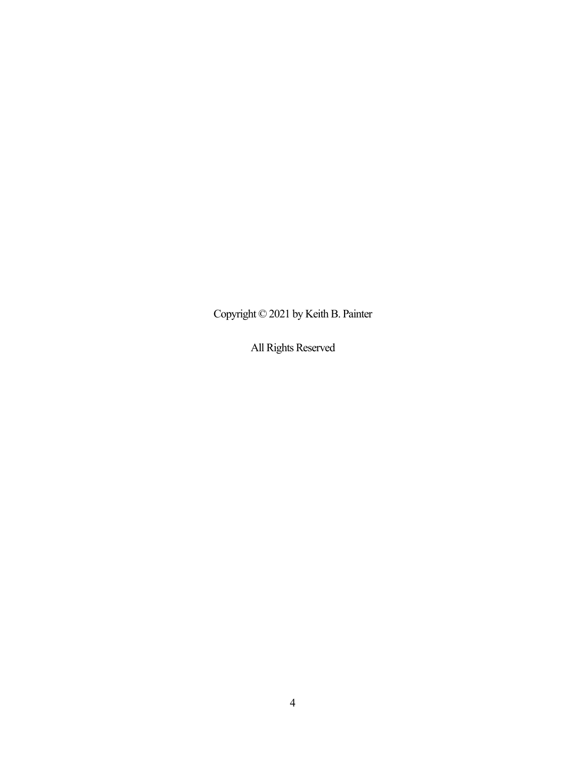Copyright © 2021 by Keith B. Painter

All Rights Reserved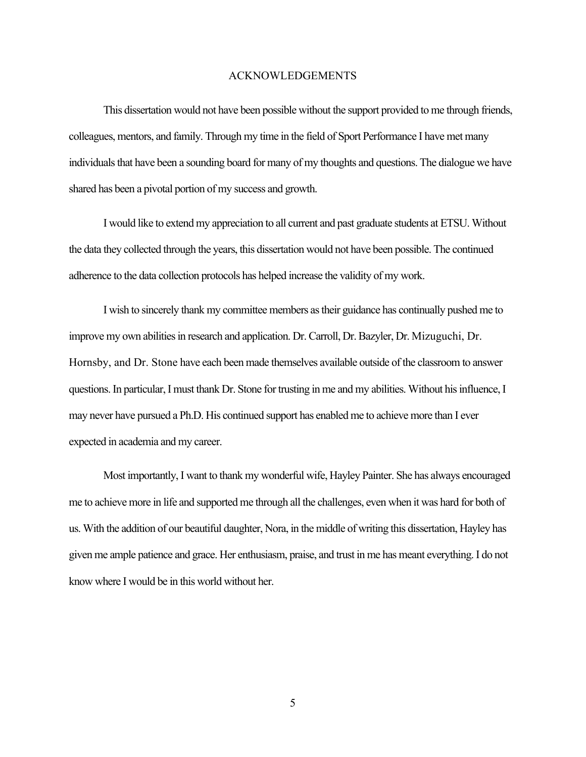# ACKNOWLEDGEMENTS

This dissertation would not have been possible without the support provided to me through friends, colleagues, mentors, and family. Through my time in the field of Sport Performance I have met many individuals that have been a sounding board for many of my thoughts and questions. The dialogue we have shared has been a pivotal portion of my success and growth.

I would like to extend my appreciation to all current and past graduate students at ETSU. Without the data they collected through the years, this dissertation would not have been possible. The continued adherence to the data collection protocols has helped increase the validity of my work.

I wish to sincerely thank my committee members as their guidance has continually pushed me to improve my own abilities in research and application. Dr. Carroll, Dr. Bazyler, Dr. Mizuguchi, Dr. Hornsby, and Dr. Stone have each been made themselves available outside of the classroom to answer questions. In particular, I must thank Dr. Stone for trusting in me and my abilities. Without his influence, I may never have pursued a Ph.D. His continued support has enabled me to achieve more than I ever expected in academia and my career.

Most importantly, I want to thank my wonderful wife, Hayley Painter. She has always encouraged me to achieve more in life and supported me through all the challenges, even when it was hard for both of us. With the addition of our beautiful daughter, Nora, in the middle of writing this dissertation, Hayley has given me ample patience and grace. Her enthusiasm, praise, and trust in me has meant everything. I do not know where I would be in this world without her.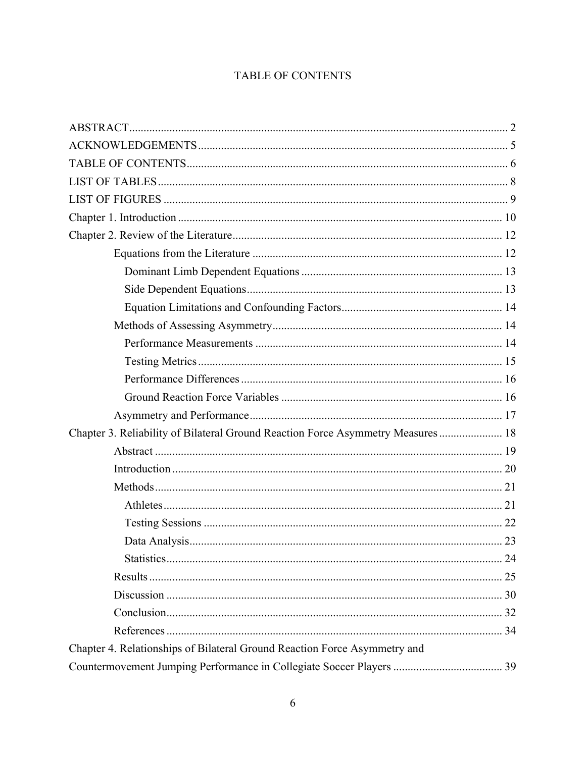# TABLE OF CONTENTS

| Chapter 3. Reliability of Bilateral Ground Reaction Force Asymmetry Measures  18 |  |
|----------------------------------------------------------------------------------|--|
|                                                                                  |  |
|                                                                                  |  |
|                                                                                  |  |
|                                                                                  |  |
|                                                                                  |  |
|                                                                                  |  |
|                                                                                  |  |
|                                                                                  |  |
|                                                                                  |  |
|                                                                                  |  |
|                                                                                  |  |
| Chapter 4. Relationships of Bilateral Ground Reaction Force Asymmetry and        |  |
|                                                                                  |  |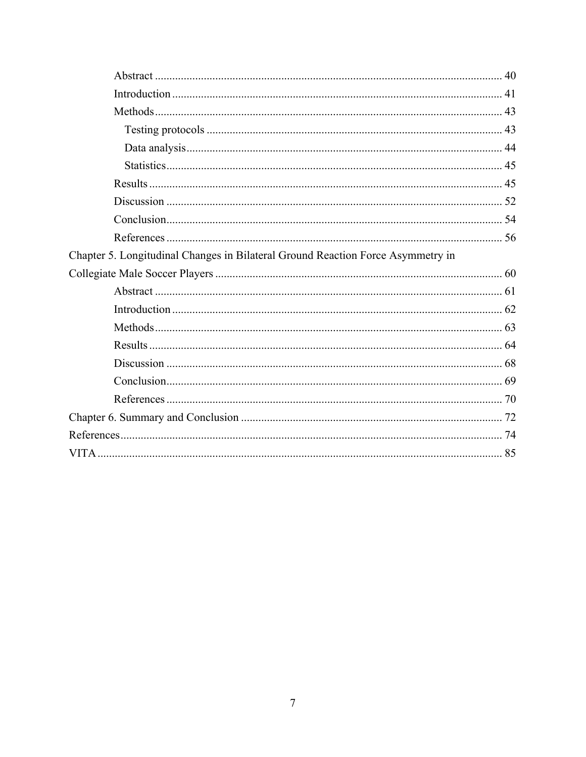| Chapter 5. Longitudinal Changes in Bilateral Ground Reaction Force Asymmetry in |  |
|---------------------------------------------------------------------------------|--|
|                                                                                 |  |
|                                                                                 |  |
|                                                                                 |  |
|                                                                                 |  |
|                                                                                 |  |
|                                                                                 |  |
|                                                                                 |  |
|                                                                                 |  |
|                                                                                 |  |
|                                                                                 |  |
|                                                                                 |  |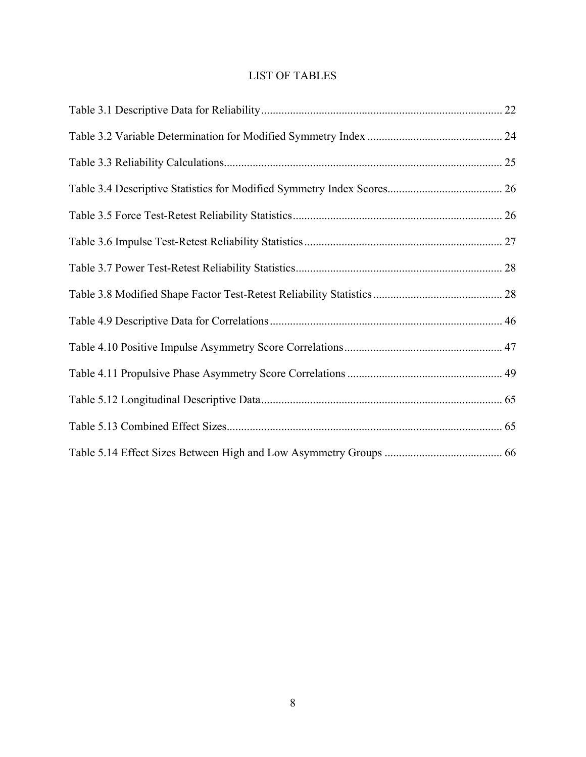# LIST OF TABLES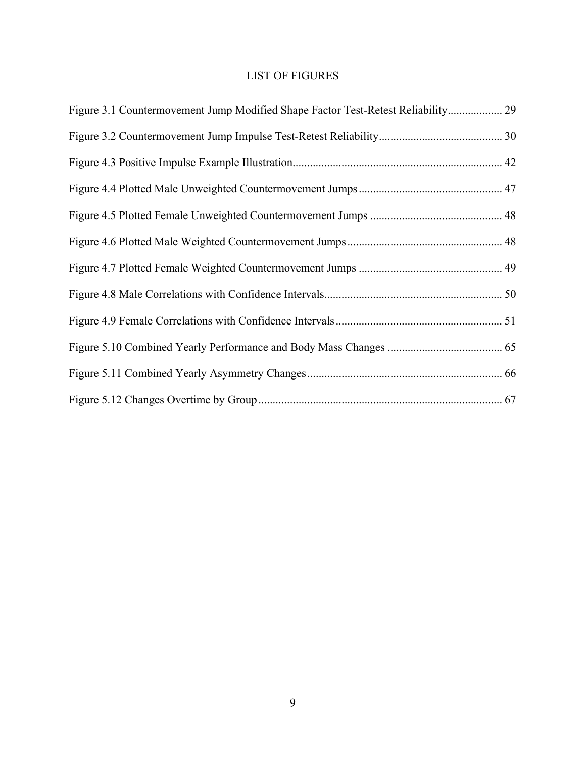# LIST OF FIGURES

| Figure 3.1 Countermovement Jump Modified Shape Factor Test-Retest Reliability 29 |  |
|----------------------------------------------------------------------------------|--|
|                                                                                  |  |
|                                                                                  |  |
|                                                                                  |  |
|                                                                                  |  |
|                                                                                  |  |
|                                                                                  |  |
|                                                                                  |  |
|                                                                                  |  |
|                                                                                  |  |
|                                                                                  |  |
|                                                                                  |  |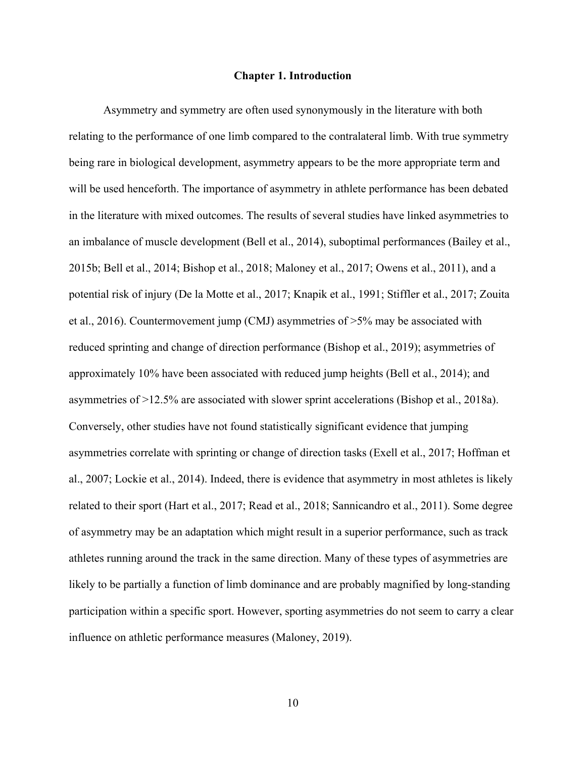#### **Chapter 1. Introduction**

Asymmetry and symmetry are often used synonymously in the literature with both relating to the performance of one limb compared to the contralateral limb. With true symmetry being rare in biological development, asymmetry appears to be the more appropriate term and will be used henceforth. The importance of asymmetry in athlete performance has been debated in the literature with mixed outcomes. The results of several studies have linked asymmetries to an imbalance of muscle development (Bell et al., 2014), suboptimal performances (Bailey et al., 2015b; Bell et al., 2014; Bishop et al., 2018; Maloney et al., 2017; Owens et al., 2011), and a potential risk of injury (De la Motte et al., 2017; Knapik et al., 1991; Stiffler et al., 2017; Zouita et al., 2016). Countermovement jump (CMJ) asymmetries of >5% may be associated with reduced sprinting and change of direction performance (Bishop et al., 2019); asymmetries of approximately 10% have been associated with reduced jump heights (Bell et al., 2014); and asymmetries of >12.5% are associated with slower sprint accelerations (Bishop et al., 2018a). Conversely, other studies have not found statistically significant evidence that jumping asymmetries correlate with sprinting or change of direction tasks (Exell et al., 2017; Hoffman et al., 2007; Lockie et al., 2014). Indeed, there is evidence that asymmetry in most athletes is likely related to their sport (Hart et al., 2017; Read et al., 2018; Sannicandro et al., 2011). Some degree of asymmetry may be an adaptation which might result in a superior performance, such as track athletes running around the track in the same direction. Many of these types of asymmetries are likely to be partially a function of limb dominance and are probably magnified by long-standing participation within a specific sport. However, sporting asymmetries do not seem to carry a clear influence on athletic performance measures (Maloney, 2019).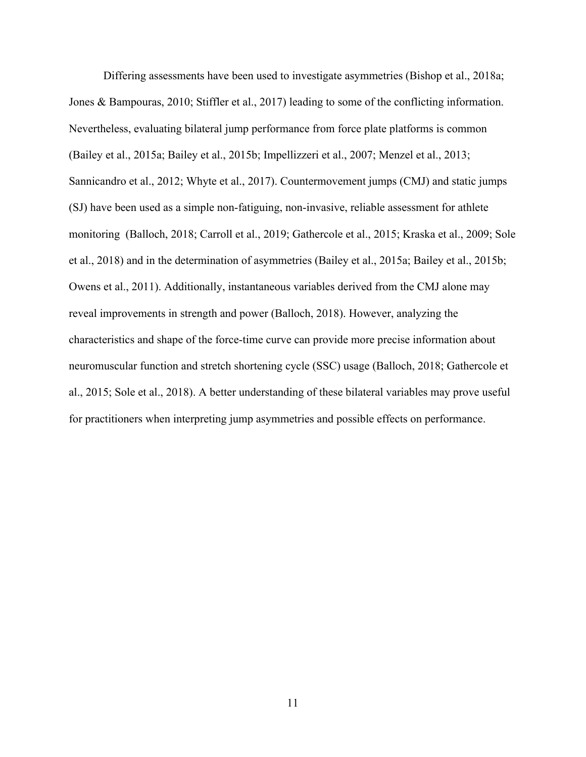Differing assessments have been used to investigate asymmetries (Bishop et al., 2018a; Jones & Bampouras, 2010; Stiffler et al., 2017) leading to some of the conflicting information. Nevertheless, evaluating bilateral jump performance from force plate platforms is common (Bailey et al., 2015a; Bailey et al., 2015b; Impellizzeri et al., 2007; Menzel et al., 2013; Sannicandro et al., 2012; Whyte et al., 2017). Countermovement jumps (CMJ) and static jumps (SJ) have been used as a simple non-fatiguing, non-invasive, reliable assessment for athlete monitoring (Balloch, 2018; Carroll et al., 2019; Gathercole et al., 2015; Kraska et al., 2009; Sole et al., 2018) and in the determination of asymmetries (Bailey et al., 2015a; Bailey et al., 2015b; Owens et al., 2011). Additionally, instantaneous variables derived from the CMJ alone may reveal improvements in strength and power (Balloch, 2018). However, analyzing the characteristics and shape of the force-time curve can provide more precise information about neuromuscular function and stretch shortening cycle (SSC) usage (Balloch, 2018; Gathercole et al., 2015; Sole et al., 2018). A better understanding of these bilateral variables may prove useful for practitioners when interpreting jump asymmetries and possible effects on performance.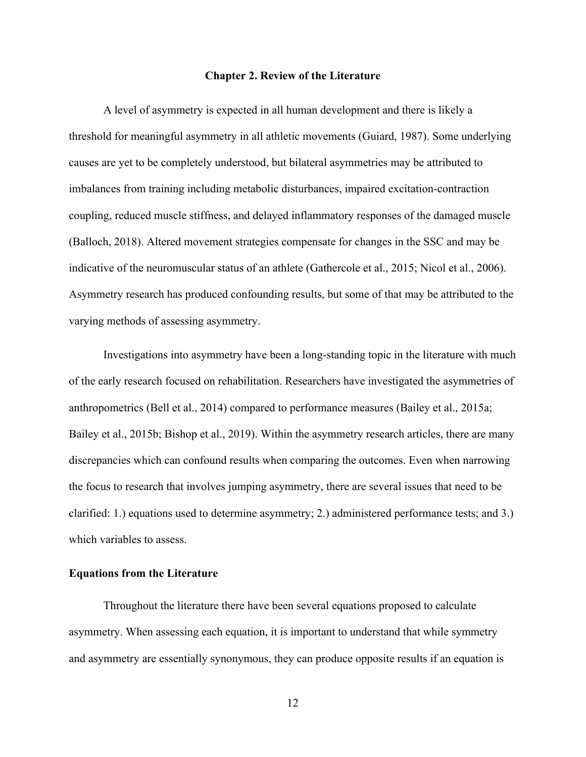#### **Chapter 2. Review of the Literature**

A level of asymmetry is expected in all human development and there is likely a threshold for meaningful asymmetry in all athletic movements (Guiard, 1987). Some underlying causes are yet to be completely understood, but bilateral asymmetries may be attributed to imbalances from training including metabolic disturbances, impaired excitation-contraction coupling, reduced muscle stiffness, and delayed inflammatory responses of the damaged muscle (Balloch, 2018). Altered movement strategies compensate for changes in the SSC and may be indicative of the neuromuscular status of an athlete (Gathercole et al., 2015; Nicol et al., 2006). Asymmetry research has produced confounding results, but some of that may be attributed to the varying methods of assessing asymmetry.

Investigations into asymmetry have been a long-standing topic in the literature with much of the early research focused on rehabilitation. Researchers have investigated the asymmetries of anthropometrics (Bell et al., 2014) compared to performance measures (Bailey et al., 2015a; Bailey et al., 2015b; Bishop et al., 2019). Within the asymmetry research articles, there are many discrepancies which can confound results when comparing the outcomes. Even when narrowing the focus to research that involves jumping asymmetry, there are several issues that need to be clarified: 1.) equations used to determine asymmetry; 2.) administered performance tests; and 3.) which variables to assess.

# **Equations from the Literature**

Throughout the literature there have been several equations proposed to calculate asymmetry. When assessing each equation, it is important to understand that while symmetry and asymmetry are essentially synonymous, they can produce opposite results if an equation is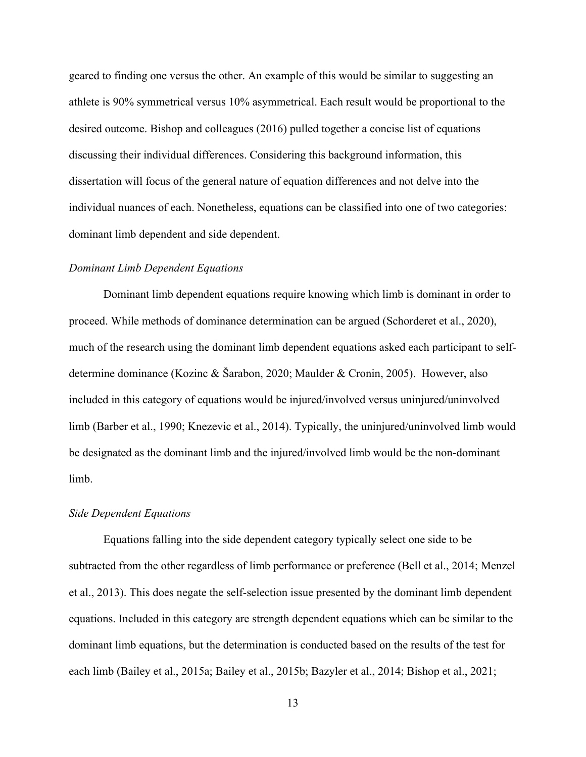geared to finding one versus the other. An example of this would be similar to suggesting an athlete is 90% symmetrical versus 10% asymmetrical. Each result would be proportional to the desired outcome. Bishop and colleagues (2016) pulled together a concise list of equations discussing their individual differences. Considering this background information, this dissertation will focus of the general nature of equation differences and not delve into the individual nuances of each. Nonetheless, equations can be classified into one of two categories: dominant limb dependent and side dependent.

# *Dominant Limb Dependent Equations*

Dominant limb dependent equations require knowing which limb is dominant in order to proceed. While methods of dominance determination can be argued (Schorderet et al., 2020), much of the research using the dominant limb dependent equations asked each participant to selfdetermine dominance (Kozinc & Šarabon, 2020; Maulder & Cronin, 2005). However, also included in this category of equations would be injured/involved versus uninjured/uninvolved limb (Barber et al., 1990; Knezevic et al., 2014). Typically, the uninjured/uninvolved limb would be designated as the dominant limb and the injured/involved limb would be the non-dominant limb.

#### *Side Dependent Equations*

Equations falling into the side dependent category typically select one side to be subtracted from the other regardless of limb performance or preference (Bell et al., 2014; Menzel et al., 2013). This does negate the self-selection issue presented by the dominant limb dependent equations. Included in this category are strength dependent equations which can be similar to the dominant limb equations, but the determination is conducted based on the results of the test for each limb (Bailey et al., 2015a; Bailey et al., 2015b; Bazyler et al., 2014; Bishop et al., 2021;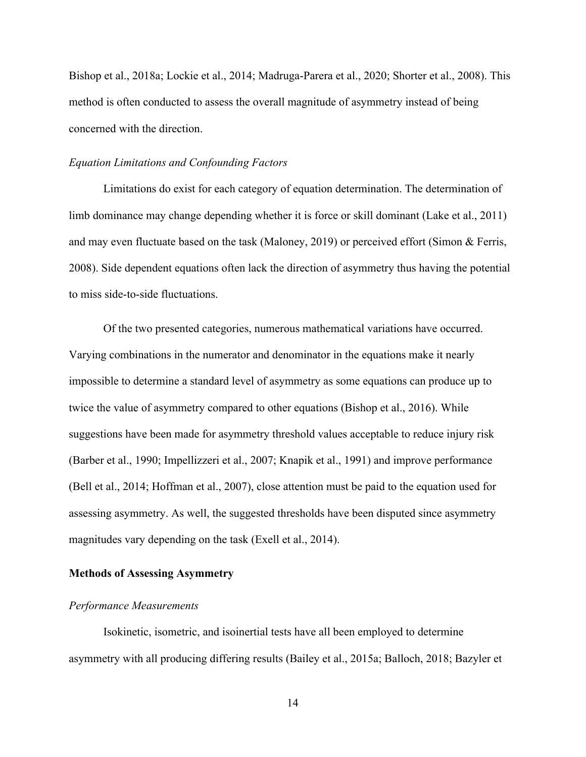Bishop et al., 2018a; Lockie et al., 2014; Madruga-Parera et al., 2020; Shorter et al., 2008). This method is often conducted to assess the overall magnitude of asymmetry instead of being concerned with the direction.

# *Equation Limitations and Confounding Factors*

Limitations do exist for each category of equation determination. The determination of limb dominance may change depending whether it is force or skill dominant (Lake et al., 2011) and may even fluctuate based on the task (Maloney, 2019) or perceived effort (Simon & Ferris, 2008). Side dependent equations often lack the direction of asymmetry thus having the potential to miss side-to-side fluctuations.

Of the two presented categories, numerous mathematical variations have occurred. Varying combinations in the numerator and denominator in the equations make it nearly impossible to determine a standard level of asymmetry as some equations can produce up to twice the value of asymmetry compared to other equations (Bishop et al., 2016). While suggestions have been made for asymmetry threshold values acceptable to reduce injury risk (Barber et al., 1990; Impellizzeri et al., 2007; Knapik et al., 1991) and improve performance (Bell et al., 2014; Hoffman et al., 2007), close attention must be paid to the equation used for assessing asymmetry. As well, the suggested thresholds have been disputed since asymmetry magnitudes vary depending on the task (Exell et al., 2014).

#### **Methods of Assessing Asymmetry**

#### *Performance Measurements*

Isokinetic, isometric, and isoinertial tests have all been employed to determine asymmetry with all producing differing results (Bailey et al., 2015a; Balloch, 2018; Bazyler et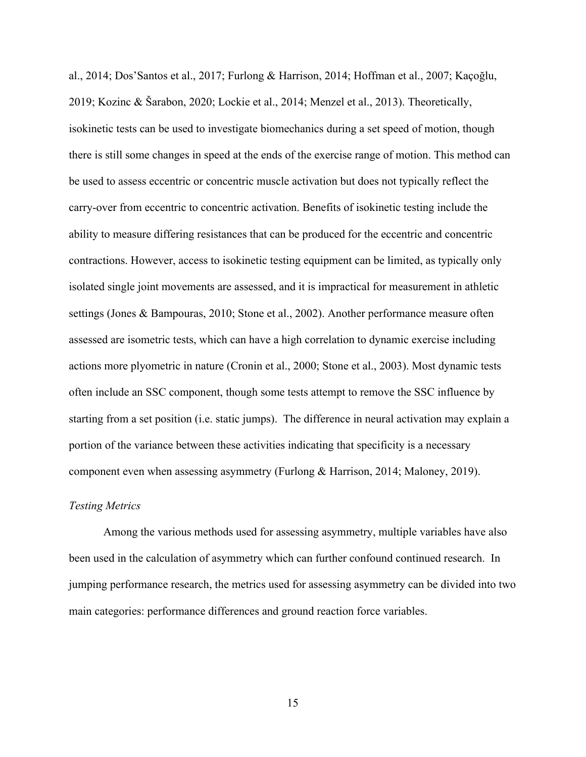al., 2014; Dos'Santos et al., 2017; Furlong & Harrison, 2014; Hoffman et al., 2007; Kaçoğlu, 2019; Kozinc & Šarabon, 2020; Lockie et al., 2014; Menzel et al., 2013). Theoretically, isokinetic tests can be used to investigate biomechanics during a set speed of motion, though there is still some changes in speed at the ends of the exercise range of motion. This method can be used to assess eccentric or concentric muscle activation but does not typically reflect the carry-over from eccentric to concentric activation. Benefits of isokinetic testing include the ability to measure differing resistances that can be produced for the eccentric and concentric contractions. However, access to isokinetic testing equipment can be limited, as typically only isolated single joint movements are assessed, and it is impractical for measurement in athletic settings (Jones & Bampouras, 2010; Stone et al., 2002). Another performance measure often assessed are isometric tests, which can have a high correlation to dynamic exercise including actions more plyometric in nature (Cronin et al., 2000; Stone et al., 2003). Most dynamic tests often include an SSC component, though some tests attempt to remove the SSC influence by starting from a set position (i.e. static jumps). The difference in neural activation may explain a portion of the variance between these activities indicating that specificity is a necessary component even when assessing asymmetry (Furlong & Harrison, 2014; Maloney, 2019).

# *Testing Metrics*

Among the various methods used for assessing asymmetry, multiple variables have also been used in the calculation of asymmetry which can further confound continued research. In jumping performance research, the metrics used for assessing asymmetry can be divided into two main categories: performance differences and ground reaction force variables.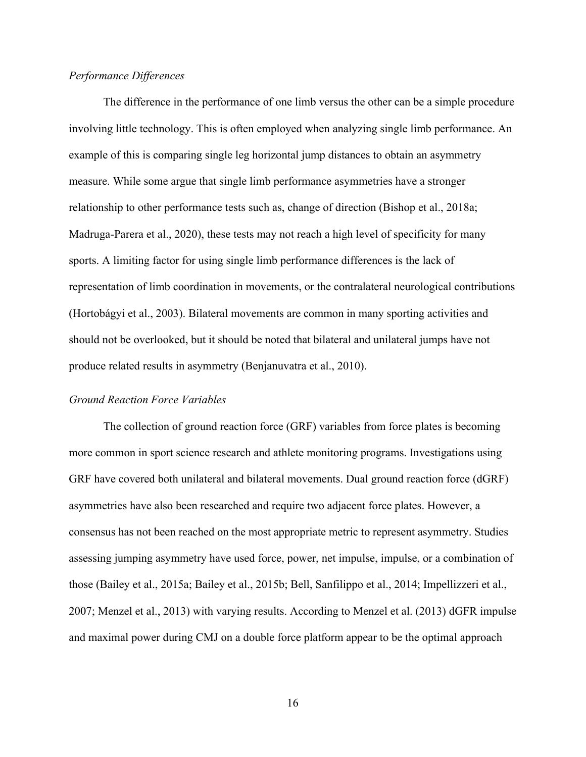# *Performance Differences*

The difference in the performance of one limb versus the other can be a simple procedure involving little technology. This is often employed when analyzing single limb performance. An example of this is comparing single leg horizontal jump distances to obtain an asymmetry measure. While some argue that single limb performance asymmetries have a stronger relationship to other performance tests such as, change of direction (Bishop et al., 2018a; Madruga-Parera et al., 2020), these tests may not reach a high level of specificity for many sports. A limiting factor for using single limb performance differences is the lack of representation of limb coordination in movements, or the contralateral neurological contributions (Hortobágyi et al., 2003). Bilateral movements are common in many sporting activities and should not be overlooked, but it should be noted that bilateral and unilateral jumps have not produce related results in asymmetry (Benjanuvatra et al., 2010).

### *Ground Reaction Force Variables*

The collection of ground reaction force (GRF) variables from force plates is becoming more common in sport science research and athlete monitoring programs. Investigations using GRF have covered both unilateral and bilateral movements. Dual ground reaction force (dGRF) asymmetries have also been researched and require two adjacent force plates. However, a consensus has not been reached on the most appropriate metric to represent asymmetry. Studies assessing jumping asymmetry have used force, power, net impulse, impulse, or a combination of those (Bailey et al., 2015a; Bailey et al., 2015b; Bell, Sanfilippo et al., 2014; Impellizzeri et al., 2007; Menzel et al., 2013) with varying results. According to Menzel et al. (2013) dGFR impulse and maximal power during CMJ on a double force platform appear to be the optimal approach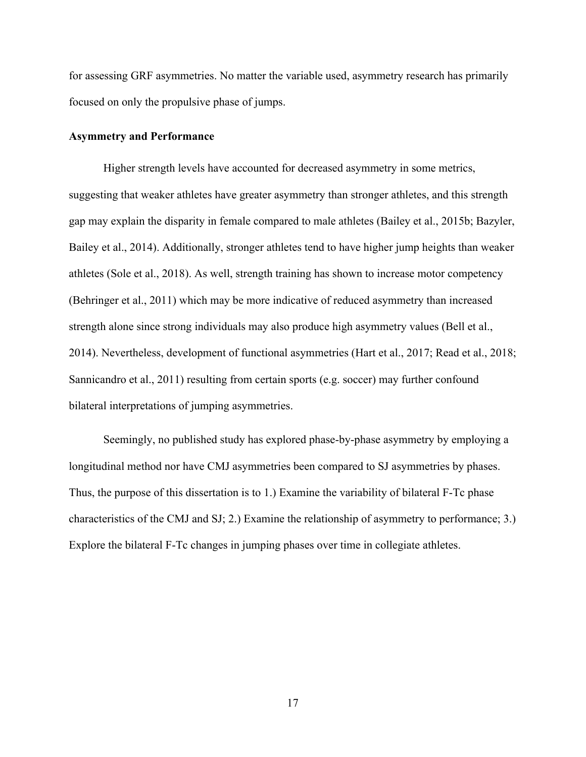for assessing GRF asymmetries. No matter the variable used, asymmetry research has primarily focused on only the propulsive phase of jumps.

## **Asymmetry and Performance**

Higher strength levels have accounted for decreased asymmetry in some metrics, suggesting that weaker athletes have greater asymmetry than stronger athletes, and this strength gap may explain the disparity in female compared to male athletes (Bailey et al., 2015b; Bazyler, Bailey et al., 2014). Additionally, stronger athletes tend to have higher jump heights than weaker athletes (Sole et al., 2018). As well, strength training has shown to increase motor competency (Behringer et al., 2011) which may be more indicative of reduced asymmetry than increased strength alone since strong individuals may also produce high asymmetry values (Bell et al., 2014). Nevertheless, development of functional asymmetries (Hart et al., 2017; Read et al., 2018; Sannicandro et al., 2011) resulting from certain sports (e.g. soccer) may further confound bilateral interpretations of jumping asymmetries.

Seemingly, no published study has explored phase-by-phase asymmetry by employing a longitudinal method nor have CMJ asymmetries been compared to SJ asymmetries by phases. Thus, the purpose of this dissertation is to 1.) Examine the variability of bilateral F-Tc phase characteristics of the CMJ and SJ; 2.) Examine the relationship of asymmetry to performance; 3.) Explore the bilateral F-Tc changes in jumping phases over time in collegiate athletes.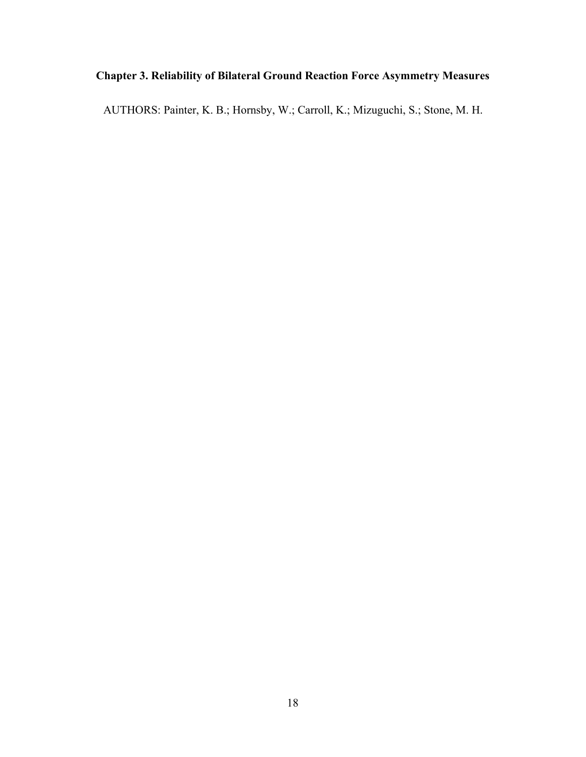# **Chapter 3. Reliability of Bilateral Ground Reaction Force Asymmetry Measures**

AUTHORS: Painter, K. B.; Hornsby, W.; Carroll, K.; Mizuguchi, S.; Stone, M. H.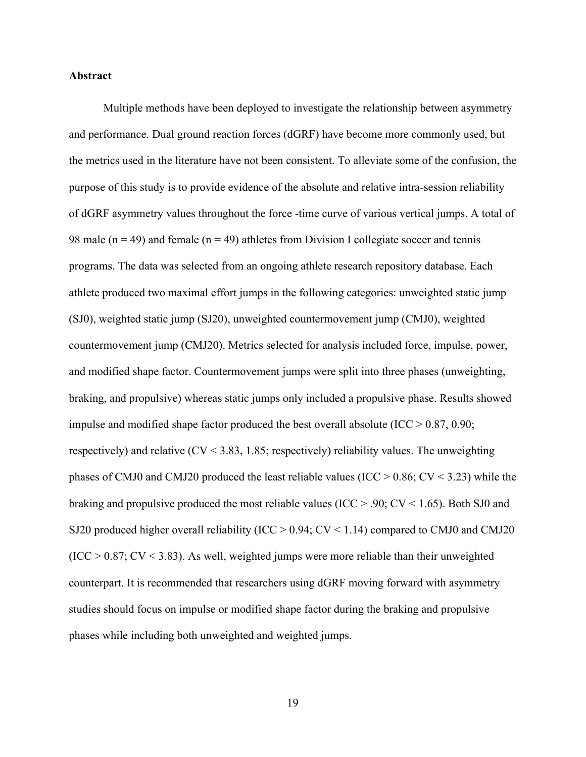## **Abstract**

Multiple methods have been deployed to investigate the relationship between asymmetry and performance. Dual ground reaction forces (dGRF) have become more commonly used, but the metrics used in the literature have not been consistent. To alleviate some of the confusion, the purpose of this study is to provide evidence of the absolute and relative intra-session reliability of dGRF asymmetry values throughout the force -time curve of various vertical jumps. A total of 98 male ( $n = 49$ ) and female ( $n = 49$ ) athletes from Division I collegiate soccer and tennis programs. The data was selected from an ongoing athlete research repository database. Each athlete produced two maximal effort jumps in the following categories: unweighted static jump (SJ0), weighted static jump (SJ20), unweighted countermovement jump (CMJ0), weighted countermovement jump (CMJ20). Metrics selected for analysis included force, impulse, power, and modified shape factor. Countermovement jumps were split into three phases (unweighting, braking, and propulsive) whereas static jumps only included a propulsive phase. Results showed impulse and modified shape factor produced the best overall absolute ( $\text{ICC} > 0.87, 0.90;$ respectively) and relative (CV < 3.83, 1.85; respectively) reliability values. The unweighting phases of CMJ0 and CMJ20 produced the least reliable values (ICC  $> 0.86$ ; CV  $< 3.23$ ) while the braking and propulsive produced the most reliable values (ICC  $> 0.90$ ; CV  $\lt$  1.65). Both SJ0 and SJ20 produced higher overall reliability (ICC  $> 0.94$ ; CV  $< 1.14$ ) compared to CMJ0 and CMJ20  $(ICC > 0.87; CV < 3.83)$ . As well, weighted jumps were more reliable than their unweighted counterpart. It is recommended that researchers using dGRF moving forward with asymmetry studies should focus on impulse or modified shape factor during the braking and propulsive phases while including both unweighted and weighted jumps.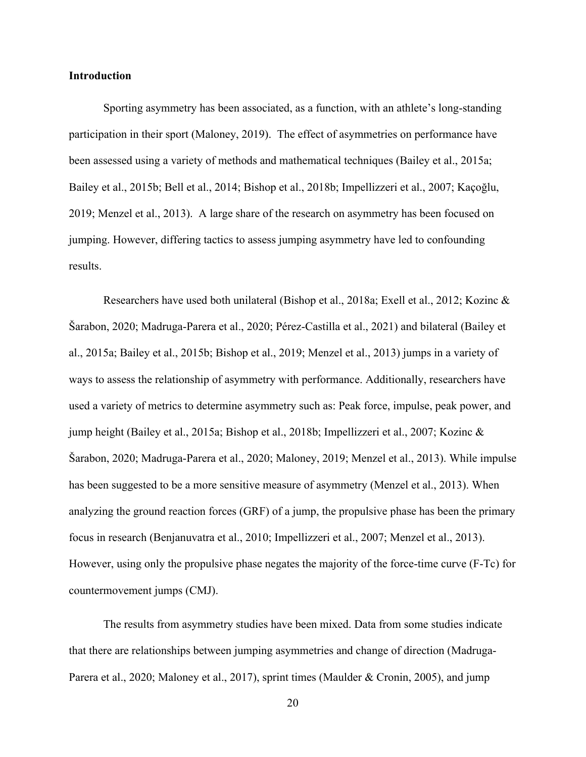### **Introduction**

Sporting asymmetry has been associated, as a function, with an athlete's long-standing participation in their sport (Maloney, 2019). The effect of asymmetries on performance have been assessed using a variety of methods and mathematical techniques (Bailey et al., 2015a; Bailey et al., 2015b; Bell et al., 2014; Bishop et al., 2018b; Impellizzeri et al., 2007; Kaçoğlu, 2019; Menzel et al., 2013). A large share of the research on asymmetry has been focused on jumping. However, differing tactics to assess jumping asymmetry have led to confounding results.

Researchers have used both unilateral (Bishop et al., 2018a; Exell et al., 2012; Kozinc & Šarabon, 2020; Madruga-Parera et al., 2020; Pérez-Castilla et al., 2021) and bilateral (Bailey et al., 2015a; Bailey et al., 2015b; Bishop et al., 2019; Menzel et al., 2013) jumps in a variety of ways to assess the relationship of asymmetry with performance. Additionally, researchers have used a variety of metrics to determine asymmetry such as: Peak force, impulse, peak power, and jump height (Bailey et al., 2015a; Bishop et al., 2018b; Impellizzeri et al., 2007; Kozinc & Šarabon, 2020; Madruga-Parera et al., 2020; Maloney, 2019; Menzel et al., 2013). While impulse has been suggested to be a more sensitive measure of asymmetry (Menzel et al., 2013). When analyzing the ground reaction forces (GRF) of a jump, the propulsive phase has been the primary focus in research (Benjanuvatra et al., 2010; Impellizzeri et al., 2007; Menzel et al., 2013). However, using only the propulsive phase negates the majority of the force-time curve (F-Tc) for countermovement jumps (CMJ).

The results from asymmetry studies have been mixed. Data from some studies indicate that there are relationships between jumping asymmetries and change of direction (Madruga-Parera et al., 2020; Maloney et al., 2017), sprint times (Maulder & Cronin, 2005), and jump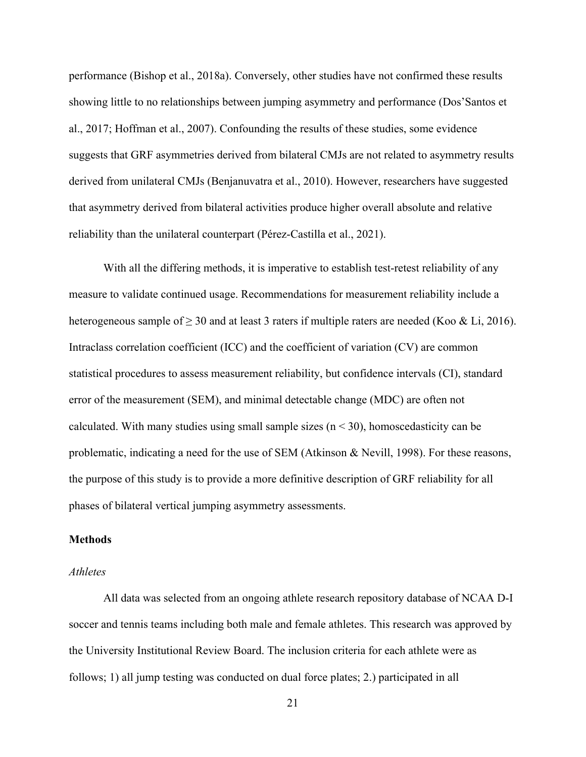performance (Bishop et al., 2018a). Conversely, other studies have not confirmed these results showing little to no relationships between jumping asymmetry and performance (Dos'Santos et al., 2017; Hoffman et al., 2007). Confounding the results of these studies, some evidence suggests that GRF asymmetries derived from bilateral CMJs are not related to asymmetry results derived from unilateral CMJs (Benjanuvatra et al., 2010). However, researchers have suggested that asymmetry derived from bilateral activities produce higher overall absolute and relative reliability than the unilateral counterpart (Pérez-Castilla et al., 2021).

With all the differing methods, it is imperative to establish test-retest reliability of any measure to validate continued usage. Recommendations for measurement reliability include a heterogeneous sample of  $\geq 30$  and at least 3 raters if multiple raters are needed (Koo & Li, 2016). Intraclass correlation coefficient (ICC) and the coefficient of variation (CV) are common statistical procedures to assess measurement reliability, but confidence intervals (CI), standard error of the measurement (SEM), and minimal detectable change (MDC) are often not calculated. With many studies using small sample sizes  $(n < 30)$ , homoscedasticity can be problematic, indicating a need for the use of SEM (Atkinson & Nevill, 1998). For these reasons, the purpose of this study is to provide a more definitive description of GRF reliability for all phases of bilateral vertical jumping asymmetry assessments.

#### **Methods**

#### *Athletes*

All data was selected from an ongoing athlete research repository database of NCAA D-I soccer and tennis teams including both male and female athletes. This research was approved by the University Institutional Review Board. The inclusion criteria for each athlete were as follows; 1) all jump testing was conducted on dual force plates; 2.) participated in all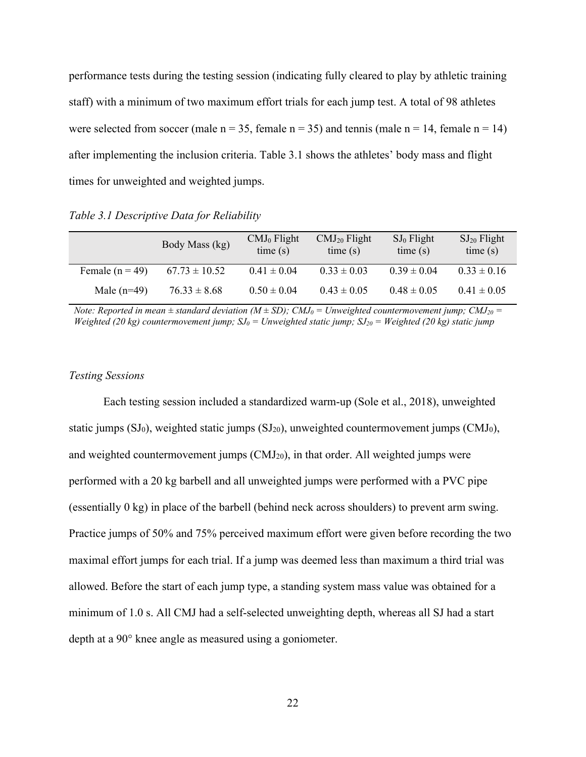performance tests during the testing session (indicating fully cleared to play by athletic training staff) with a minimum of two maximum effort trials for each jump test. A total of 98 athletes were selected from soccer (male  $n = 35$ , female  $n = 35$ ) and tennis (male  $n = 14$ , female  $n = 14$ ) after implementing the inclusion criteria. Table 3.1 shows the athletes' body mass and flight times for unweighted and weighted jumps.

*Table 3.1 Descriptive Data for Reliability* 

|                   | Body Mass (kg)    | $CMJ0$ Flight<br>time(s) | CMJ <sub>20</sub> Flight<br>time(s) | $SJ_0$ Flight<br>time(s) | $SJ_{20}$ Flight<br>time(s) |
|-------------------|-------------------|--------------------------|-------------------------------------|--------------------------|-----------------------------|
| Female $(n = 49)$ | $67.73 \pm 10.52$ | $0.41 \pm 0.04$          | $0.33 \pm 0.03$                     | $0.39 \pm 0.04$          | $0.33 \pm 0.16$             |
| Male $(n=49)$     | $76.33 \pm 8.68$  | $0.50 \pm 0.04$          | $0.43 \pm 0.05$                     | $0.48 \pm 0.05$          | $0.41 \pm 0.05$             |

*Note: Reported in mean*  $\pm$  *standard deviation (M* $\pm$ *SD); CMJ<sub>0</sub> = Unweighted countermovement jump; CMJ<sub>20</sub> = Weighted (20 kg) countermovement jump;*  $SJ_0 = Unweighted static jump$ ;  $SJ_{20} = Weighted$  (20 kg) static jump

### *Testing Sessions*

Each testing session included a standardized warm-up (Sole et al., 2018), unweighted static jumps  $(SJ_0)$ , weighted static jumps  $(SJ_{20})$ , unweighted countermovement jumps  $(CMJ_0)$ , and weighted countermovement jumps (CMJ20), in that order. All weighted jumps were performed with a 20 kg barbell and all unweighted jumps were performed with a PVC pipe (essentially 0 kg) in place of the barbell (behind neck across shoulders) to prevent arm swing. Practice jumps of 50% and 75% perceived maximum effort were given before recording the two maximal effort jumps for each trial. If a jump was deemed less than maximum a third trial was allowed. Before the start of each jump type, a standing system mass value was obtained for a minimum of 1.0 s. All CMJ had a self-selected unweighting depth, whereas all SJ had a start depth at a 90° knee angle as measured using a goniometer.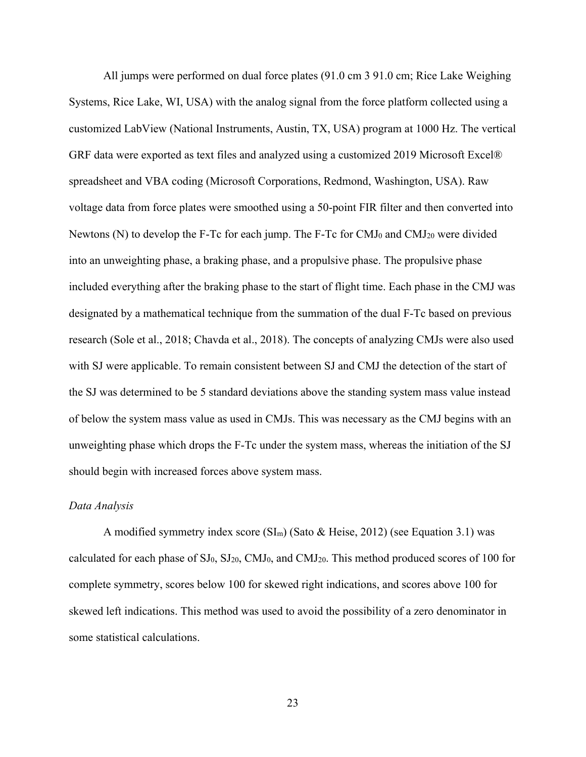All jumps were performed on dual force plates (91.0 cm 3 91.0 cm; Rice Lake Weighing Systems, Rice Lake, WI, USA) with the analog signal from the force platform collected using a customized LabView (National Instruments, Austin, TX, USA) program at 1000 Hz. The vertical GRF data were exported as text files and analyzed using a customized 2019 Microsoft Excel® spreadsheet and VBA coding (Microsoft Corporations, Redmond, Washington, USA). Raw voltage data from force plates were smoothed using a 50-point FIR filter and then converted into Newtons (N) to develop the F-Tc for each jump. The F-Tc for  $CMJ<sub>0</sub>$  and  $CMJ<sub>20</sub>$  were divided into an unweighting phase, a braking phase, and a propulsive phase. The propulsive phase included everything after the braking phase to the start of flight time. Each phase in the CMJ was designated by a mathematical technique from the summation of the dual F-Tc based on previous research (Sole et al., 2018; Chavda et al., 2018). The concepts of analyzing CMJs were also used with SJ were applicable. To remain consistent between SJ and CMJ the detection of the start of the SJ was determined to be 5 standard deviations above the standing system mass value instead of below the system mass value as used in CMJs. This was necessary as the CMJ begins with an unweighting phase which drops the F-Tc under the system mass, whereas the initiation of the SJ should begin with increased forces above system mass.

### *Data Analysis*

A modified symmetry index score  $(SI_m)$  (Sato & Heise, 2012) (see Equation 3.1) was calculated for each phase of SJ0, SJ20, CMJ0, and CMJ20. This method produced scores of 100 for complete symmetry, scores below 100 for skewed right indications, and scores above 100 for skewed left indications. This method was used to avoid the possibility of a zero denominator in some statistical calculations.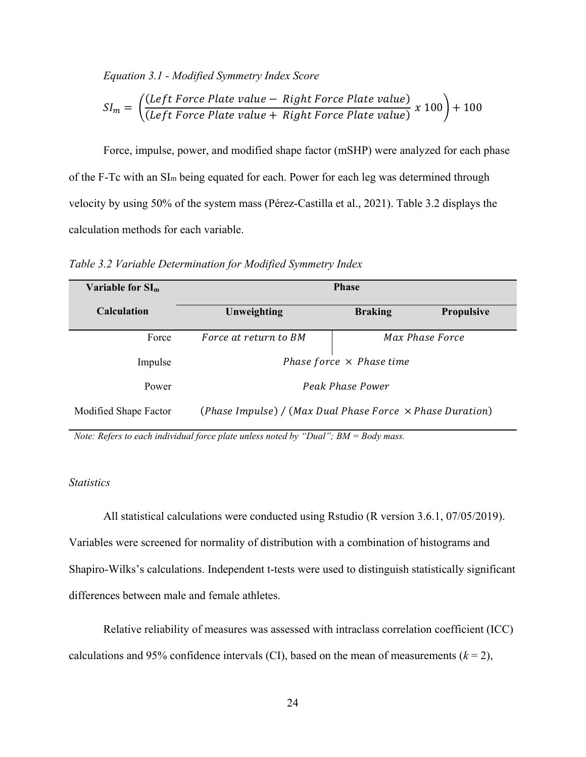*Equation 3.1 - Modified Symmetry Index Score* 

$$
SI_m = \left(\frac{(Left Force Plate value - Right Force Plate value)}{(Left Force Plate value + Right Force Plate value)} \times 100\right) + 100
$$

Force, impulse, power, and modified shape factor (mSHP) were analyzed for each phase of the F-Tc with an SIm being equated for each. Power for each leg was determined through velocity by using 50% of the system mass (Pérez-Castilla et al., 2021). Table 3.2 displays the calculation methods for each variable.

*Table 3.2 Variable Determination for Modified Symmetry Index* 

| Variable for $SIm$    | <b>Phase</b>                                                     |                |                   |
|-----------------------|------------------------------------------------------------------|----------------|-------------------|
| <b>Calculation</b>    | Unweighting                                                      | <b>Braking</b> | <b>Propulsive</b> |
| Force                 | Force at return to BM                                            |                | Max Phase Force   |
| Impulse               | Phase force $\times$ Phase time                                  |                |                   |
| Power                 | Peak Phase Power                                                 |                |                   |
| Modified Shape Factor | (Phase Impulse) / (Max Dual Phase Force $\times$ Phase Duration) |                |                   |

*Note: Refers to each individual force plate unless noted by "Dual"; BM = Body mass.* 

### *Statistics*

All statistical calculations were conducted using Rstudio (R version 3.6.1, 07/05/2019). Variables were screened for normality of distribution with a combination of histograms and Shapiro-Wilks's calculations. Independent t-tests were used to distinguish statistically significant differences between male and female athletes.

Relative reliability of measures was assessed with intraclass correlation coefficient (ICC) calculations and 95% confidence intervals (CI), based on the mean of measurements  $(k = 2)$ ,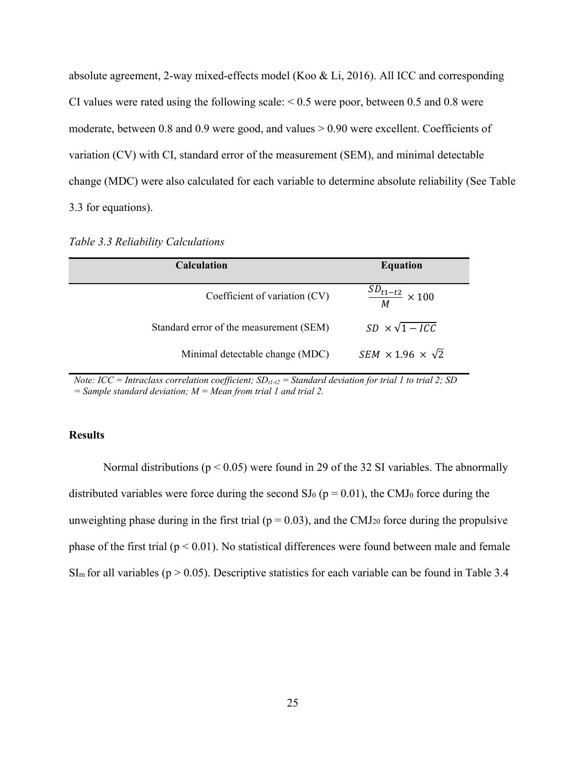absolute agreement, 2-way mixed-effects model (Koo & Li, 2016). All ICC and corresponding CI values were rated using the following scale:  $< 0.5$  were poor, between 0.5 and 0.8 were moderate, between 0.8 and 0.9 were good, and values > 0.90 were excellent. Coefficients of variation (CV) with CI, standard error of the measurement (SEM), and minimal detectable change (MDC) were also calculated for each variable to determine absolute reliability (See Table 3.3 for equations).

|  | Table 3.3 Reliability Calculations |
|--|------------------------------------|
|  |                                    |

| <b>Calculation</b>                      | <b>Equation</b>                   |
|-----------------------------------------|-----------------------------------|
| Coefficient of variation (CV)           | $\frac{SD_{t1-t2}}{M} \times 100$ |
| Standard error of the measurement (SEM) | $SD \times \sqrt{1 - ICC}$        |
| Minimal detectable change (MDC)         | $SEM \times 1.96 \times \sqrt{2}$ |

*Note: ICC = Intraclass correlation coefficient;*  $SD_{t1-t2}$  *= Standard deviation for trial 1 to trial 2; SD = Sample standard deviation; M = Mean from trial 1 and trial 2.*

# **Results**

Normal distributions ( $p < 0.05$ ) were found in 29 of the 32 SI variables. The abnormally distributed variables were force during the second  $SI_0$  ( $p = 0.01$ ), the CMJ<sub>0</sub> force during the unweighting phase during in the first trial ( $p = 0.03$ ), and the CMJ<sub>20</sub> force during the propulsive phase of the first trial ( $p < 0.01$ ). No statistical differences were found between male and female  $SI<sub>m</sub>$  for all variables (p > 0.05). Descriptive statistics for each variable can be found in Table 3.4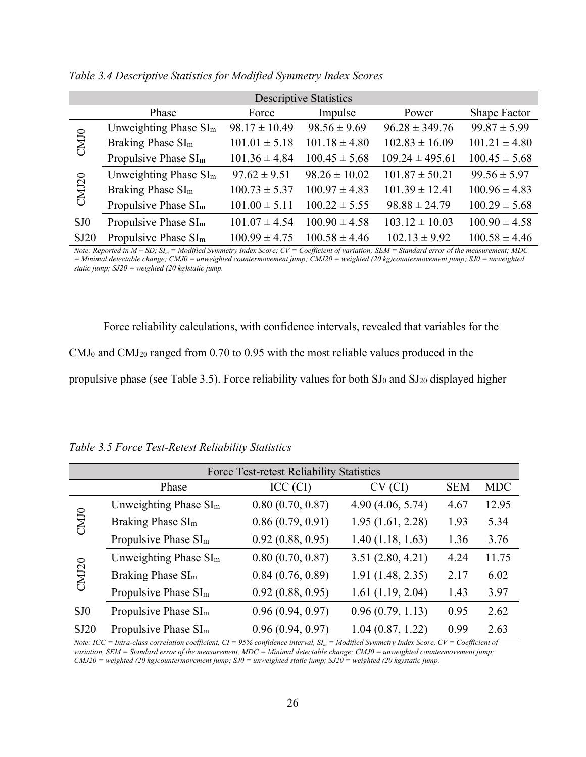| <b>Descriptive Statistics</b>    |                   |                   |                     |                   |  |  |  |
|----------------------------------|-------------------|-------------------|---------------------|-------------------|--|--|--|
| Phase                            | Force             | Impulse           | Power               | Shape Factor      |  |  |  |
| Unweighting Phase $SIm$          | $98.17 \pm 10.49$ | $98.56 \pm 9.69$  | $96.28 \pm 349.76$  | $99.87 \pm 5.99$  |  |  |  |
| Braking Phase SI <sub>m</sub>    | $101.01 \pm 5.18$ | $101.18 \pm 4.80$ | $102.83 \pm 16.09$  | $101.21 \pm 4.80$ |  |  |  |
| Propulsive Phase SI <sub>m</sub> | $101.36 \pm 4.84$ | $100.45 \pm 5.68$ | $109.24 \pm 495.61$ | $100.45 \pm 5.68$ |  |  |  |
| Unweighting Phase $SIm$          | $97.62 \pm 9.51$  | $98.26 \pm 10.02$ | $101.87 \pm 50.21$  | $99.56 \pm 5.97$  |  |  |  |
| Braking Phase SI <sub>m</sub>    | $100.73 \pm 5.37$ | $100.97 \pm 4.83$ | $101.39 \pm 12.41$  | $100.96 \pm 4.83$ |  |  |  |
| Propulsive Phase SI <sub>m</sub> | $101.00 \pm 5.11$ | $100.22 \pm 5.55$ | $98.88 \pm 24.79$   | $100.29 \pm 5.68$ |  |  |  |
| Propulsive Phase SI <sub>m</sub> | $101.07 \pm 4.54$ | $100.90 \pm 4.58$ | $103.12 \pm 10.03$  | $100.90 \pm 4.58$ |  |  |  |
| Propulsive Phase SI <sub>m</sub> | $100.99 \pm 4.75$ | $100.58 \pm 4.46$ | $102.13 \pm 9.92$   | $100.58 \pm 4.46$ |  |  |  |
|                                  |                   |                   |                     |                   |  |  |  |

*Table 3.4 Descriptive Statistics for Modified Symmetry Index Scores* 

*Note: Reported in M ± SD; SIm = Modified Symmetry Index Score; CV = Coefficient of variation; SEM = Standard error of the measurement; MDC = Minimal detectable change; CMJ0 = unweighted countermovement jump; CMJ20 = weighted (20 kg)countermovement jump; SJ0 = unweighted static jump; SJ20 = weighted (20 kg)static jump.* 

Force reliability calculations, with confidence intervals, revealed that variables for the CMJ0 and CMJ20 ranged from 0.70 to 0.95 with the most reliable values produced in the propulsive phase (see Table 3.5). Force reliability values for both SJ<sub>0</sub> and SJ<sub>20</sub> displayed higher

*Table 3.5 Force Test-Retest Reliability Statistics* 

| Force Test-retest Reliability Statistics |                                  |                  |                  |            |            |  |
|------------------------------------------|----------------------------------|------------------|------------------|------------|------------|--|
|                                          | Phase                            | ICC (CI)         | CV (CI)          | <b>SEM</b> | <b>MDC</b> |  |
|                                          | Unweighting Phase $SIm$          | 0.80(0.70, 0.87) | 4.90(4.06, 5.74) | 4.67       | 12.95      |  |
| CM <sub>10</sub>                         | Braking Phase SI <sub>m</sub>    | 0.86(0.79, 0.91) | 1.95(1.61, 2.28) | 1.93       | 5.34       |  |
|                                          | Propulsive Phase SI <sub>m</sub> | 0.92(0.88, 0.95) | 1.40(1.18, 1.63) | 1.36       | 3.76       |  |
|                                          | Unweighting Phase $SIm$          | 0.80(0.70, 0.87) | 3.51(2.80, 4.21) | 4.24       | 11.75      |  |
| CMJ20                                    | Braking Phase SI <sub>m</sub>    | 0.84(0.76, 0.89) | 1.91(1.48, 2.35) | 2.17       | 6.02       |  |
|                                          | Propulsive Phase SI <sub>m</sub> | 0.92(0.88, 0.95) | 1.61(1.19, 2.04) | 1.43       | 3.97       |  |
| SJ <sub>0</sub>                          | Propulsive Phase SI <sub>m</sub> | 0.96(0.94, 0.97) | 0.96(0.79, 1.13) | 0.95       | 2.62       |  |
| SJ20                                     | Propulsive Phase SI <sub>m</sub> | 0.96(0.94, 0.97) | 1.04(0.87, 1.22) | 0.99       | 2.63       |  |

*Note: ICC = Intra-class correlation coefficient, CI = 95% confidence interval,*  $SI_m =$  *Modified Symmetry Index Score, CV = Coefficient of variation, SEM = Standard error of the measurement, MDC = Minimal detectable change; CMJ0 = unweighted countermovement jump; CMJ20 = weighted (20 kg)countermovement jump; SJ0 = unweighted static jump; SJ20 = weighted (20 kg)static jump.*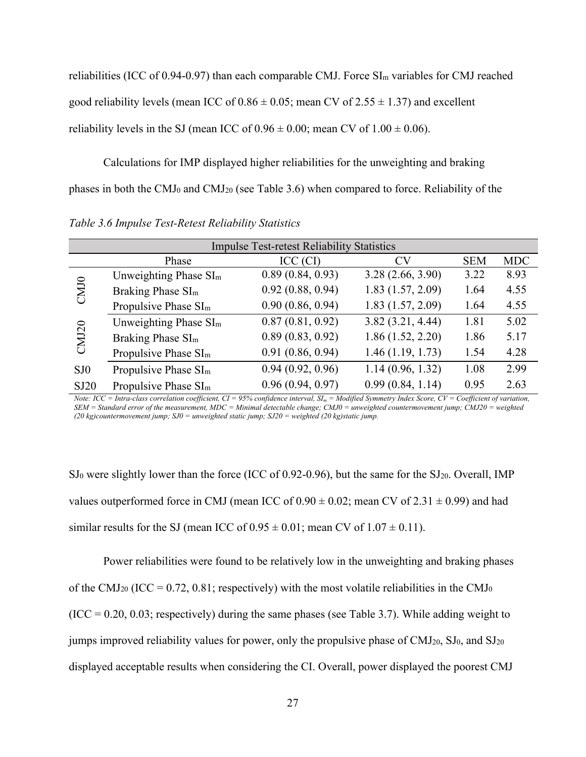reliabilities (ICC of 0.94-0.97) than each comparable CMJ. Force  $SI<sub>m</sub>$  variables for CMJ reached good reliability levels (mean ICC of  $0.86 \pm 0.05$ ; mean CV of  $2.55 \pm 1.37$ ) and excellent reliability levels in the SJ (mean ICC of  $0.96 \pm 0.00$ ; mean CV of  $1.00 \pm 0.06$ ).

Calculations for IMP displayed higher reliabilities for the unweighting and braking

phases in both the CMJ0 and CMJ20 (see Table 3.6) when compared to force. Reliability of the

|                  | <b>Impulse Test-retest Reliability Statistics</b> |                  |                  |            |            |  |  |
|------------------|---------------------------------------------------|------------------|------------------|------------|------------|--|--|
|                  | Phase                                             | ICC (CI)         | <b>CV</b>        | <b>SEM</b> | <b>MDC</b> |  |  |
|                  | Unweighting Phase $SIm$                           | 0.89(0.84, 0.93) | 3.28(2.66, 3.90) | 3.22       | 8.93       |  |  |
| CM <sub>10</sub> | Braking Phase SI <sub>m</sub>                     | 0.92(0.88, 0.94) | 1.83(1.57, 2.09) | 1.64       | 4.55       |  |  |
|                  | Propulsive Phase SI <sub>m</sub>                  | 0.90(0.86, 0.94) | 1.83(1.57, 2.09) | 1.64       | 4.55       |  |  |
|                  | Unweighting Phase $SIm$                           | 0.87(0.81, 0.92) | 3.82(3.21, 4.44) | 1.81       | 5.02       |  |  |
| <b>CMJ20</b>     | Braking Phase SI <sub>m</sub>                     | 0.89(0.83, 0.92) | 1.86(1.52, 2.20) | 1.86       | 5.17       |  |  |
|                  | Propulsive Phase SI <sub>m</sub>                  | 0.91(0.86, 0.94) | 1.46(1.19, 1.73) | 1.54       | 4.28       |  |  |
| SJ <sub>0</sub>  | Propulsive Phase SI <sub>m</sub>                  | 0.94(0.92, 0.96) | 1.14(0.96, 1.32) | 1.08       | 2.99       |  |  |
| SJ20             | Propulsive Phase SI <sub>m</sub>                  | 0.96(0.94, 0.97) | 0.99(0.84, 1.14) | 0.95       | 2.63       |  |  |

*Table 3.6 Impulse Test-Retest Reliability Statistics* 

*Note: ICC = Intra-class correlation coefficient, CI = 95% confidence interval,*  $SI_m =$ *Modified Symmetry Index Score, CV = Coefficient of variation, SEM = Standard error of the measurement, MDC = Minimal detectable change; CMJ0 = unweighted countermovement jump; CMJ20 = weighted (20 kg)countermovement jump; SJ0 = unweighted static jump; SJ20 = weighted (20 kg)static jump.* 

 $SJ_0$  were slightly lower than the force (ICC of 0.92-0.96), but the same for the SJ<sub>20</sub>. Overall, IMP values outperformed force in CMJ (mean ICC of  $0.90 \pm 0.02$ ; mean CV of  $2.31 \pm 0.99$ ) and had similar results for the SJ (mean ICC of  $0.95 \pm 0.01$ ; mean CV of  $1.07 \pm 0.11$ ).

Power reliabilities were found to be relatively low in the unweighting and braking phases of the CMJ<sub>20</sub> (ICC = 0.72, 0.81; respectively) with the most volatile reliabilities in the CMJ<sub>0</sub>  $(ICC = 0.20, 0.03; respectively)$  during the same phases (see Table 3.7). While adding weight to jumps improved reliability values for power, only the propulsive phase of  $CMJ_{20}$ ,  $SJ_0$ , and  $SJ_{20}$ displayed acceptable results when considering the CI. Overall, power displayed the poorest CMJ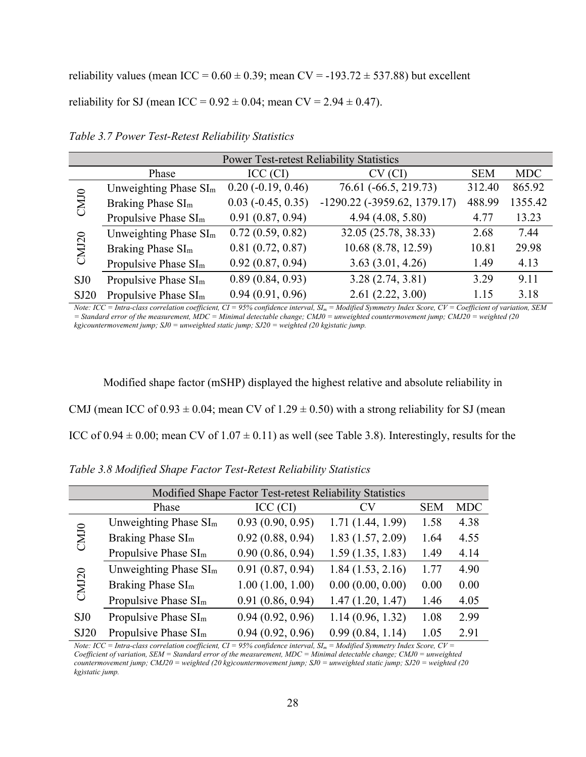reliability values (mean ICC =  $0.60 \pm 0.39$ ; mean CV = -193.72  $\pm$  537.88) but excellent

reliability for SJ (mean ICC =  $0.92 \pm 0.04$ ; mean CV =  $2.94 \pm 0.47$ ).

| <b>Power Test-retest Reliability Statistics</b> |                                  |                             |                                       |            |            |  |  |
|-------------------------------------------------|----------------------------------|-----------------------------|---------------------------------------|------------|------------|--|--|
|                                                 | Phase                            | ICC (CI)                    | CV (CI)                               | <b>SEM</b> | <b>MDC</b> |  |  |
|                                                 | Unweighting Phase $SIm$          | $0.20$ ( $-0.19, 0.46$ )    | 76.61 (-66.5, 219.73)                 | 312.40     | 865.92     |  |  |
| CMJ <sub>0</sub>                                | Braking Phase SI <sub>m</sub>    | $0.03$ ( $-0.45$ , $0.35$ ) | $-1290.22$ ( $-3959.62$ , $1379.17$ ) | 488.99     | 1355.42    |  |  |
|                                                 | Propulsive Phase SI <sub>m</sub> | 0.91(0.87, 0.94)            | 4.94(4.08, 5.80)                      | 4.77       | 13.23      |  |  |
|                                                 | Unweighting Phase $SIm$          | 0.72(0.59, 0.82)            | 32.05 (25.78, 38.33)                  | 2.68       | 7.44       |  |  |
| CMJ20                                           | Braking Phase SI <sub>m</sub>    | 0.81(0.72, 0.87)            | 10.68 (8.78, 12.59)                   | 10.81      | 29.98      |  |  |
|                                                 | Propulsive Phase SI <sub>m</sub> | 0.92(0.87, 0.94)            | 3.63(3.01, 4.26)                      | 1.49       | 4.13       |  |  |
| SJ <sub>0</sub>                                 | Propulsive Phase SI <sub>m</sub> | 0.89(0.84, 0.93)            | 3.28(2.74, 3.81)                      | 3.29       | 9.11       |  |  |
| SJ20                                            | Propulsive Phase SI <sub>m</sub> | 0.94(0.91, 0.96)            | 2.61(2.22, 3.00)                      | 1.15       | 3.18       |  |  |

*Table 3.7 Power Test-Retest Reliability Statistics* 

*Note: ICC = Intra-class correlation coefficient, CI = 95% confidence interval, SIm = Modified Symmetry Index Score, CV = Coefficient of variation, SEM = Standard error of the measurement, MDC = Minimal detectable change; CMJ0 = unweighted countermovement jump; CMJ20 = weighted (20 kg)countermovement jump; SJ0 = unweighted static jump; SJ20 = weighted (20 kg)static jump.* 

Modified shape factor (mSHP) displayed the highest relative and absolute reliability in CMJ (mean ICC of  $0.93 \pm 0.04$ ; mean CV of  $1.29 \pm 0.50$ ) with a strong reliability for SJ (mean ICC of 0.94  $\pm$  0.00; mean CV of 1.07  $\pm$  0.11) as well (see Table 3.8). Interestingly, results for the

| Modified Shape Factor Test-retest Reliability Statistics |                                   |                  |                  |            |            |
|----------------------------------------------------------|-----------------------------------|------------------|------------------|------------|------------|
|                                                          | Phase                             | ICC (CI)         | CV               | <b>SEM</b> | <b>MDC</b> |
| CM <sub>10</sub>                                         | Unweighting Phase SI <sub>m</sub> | 0.93(0.90, 0.95) | 1.71(1.44, 1.99) | 1.58       | 4.38       |
|                                                          | Braking Phase SI <sub>m</sub>     | 0.92(0.88, 0.94) | 1.83(1.57, 2.09) | 1.64       | 4.55       |
|                                                          | Propulsive Phase SI <sub>m</sub>  | 0.90(0.86, 0.94) | 1.59(1.35, 1.83) | 1.49       | 4.14       |
| <b>CMJ20</b>                                             | Unweighting Phase SI <sub>m</sub> | 0.91(0.87, 0.94) | 1.84(1.53, 2.16) | 1.77       | 4.90       |
|                                                          | Braking Phase SI <sub>m</sub>     | 1.00(1.00, 1.00) | 0.00(0.00, 0.00) | 0.00       | 0.00       |
|                                                          | Propulsive Phase SI <sub>m</sub>  | 0.91(0.86, 0.94) | 1.47(1.20, 1.47) | 1.46       | 4.05       |
| S <sub>10</sub>                                          | Propulsive Phase SI <sub>m</sub>  | 0.94(0.92, 0.96) | 1.14(0.96, 1.32) | 1.08       | 2.99       |
| SJ20                                                     | Propulsive Phase $SIm$            | 0.94(0.92, 0.96) | 0.99(0.84, 1.14) | 1.05       | 2.91       |

*Table 3.8 Modified Shape Factor Test-Retest Reliability Statistics* 

*Note: ICC = Intra-class correlation coefficient, CI = 95% confidence interval,*  $SI_m =$  *Modified Symmetry Index Score, CV = Coefficient of variation, SEM = Standard error of the measurement, MDC = Minimal detectable change; CMJ0 = unweighted countermovement jump; CMJ20 = weighted (20 kg)countermovement jump; SJ0 = unweighted static jump; SJ20 = weighted (20 kg)static jump.*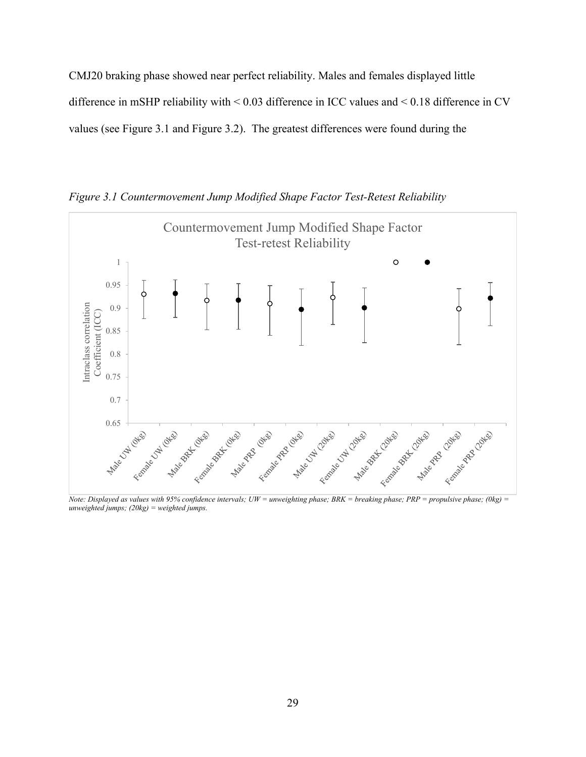CMJ20 braking phase showed near perfect reliability. Males and females displayed little difference in mSHP reliability with < 0.03 difference in ICC values and < 0.18 difference in CV values (see Figure 3.1 and Figure 3.2). The greatest differences were found during the





*Note: Displayed as values with 95% confidence intervals; UW = unweighting phase; BRK = breaking phase; PRP = propulsive phase; (0kg) = unweighted jumps; (20kg) = weighted jumps.*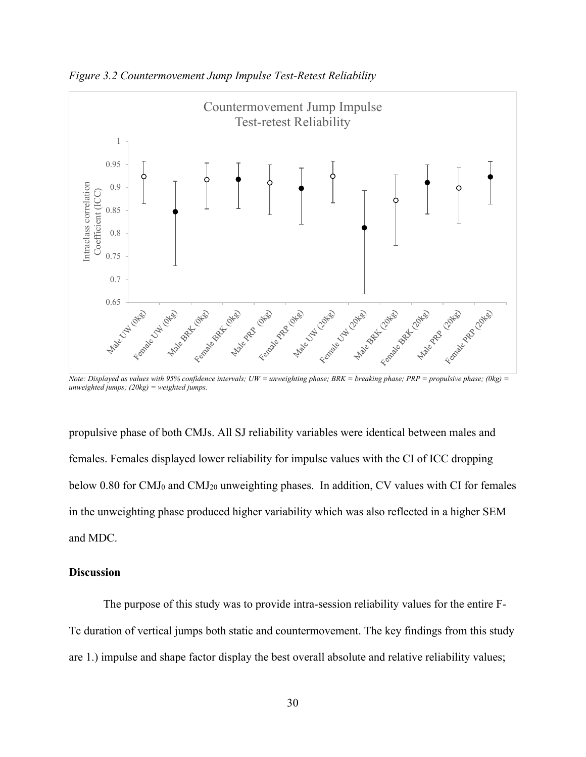

*Figure 3.2 Countermovement Jump Impulse Test-Retest Reliability* 

*Note: Displayed as values with 95% confidence intervals; UW = unweighting phase; BRK = breaking phase; PRP = propulsive phase; (0kg) = unweighted jumps; (20kg) = weighted jumps.* 

propulsive phase of both CMJs. All SJ reliability variables were identical between males and females. Females displayed lower reliability for impulse values with the CI of ICC dropping below 0.80 for CMJ<sub>0</sub> and CMJ<sub>20</sub> unweighting phases. In addition, CV values with CI for females in the unweighting phase produced higher variability which was also reflected in a higher SEM and MDC.

# **Discussion**

The purpose of this study was to provide intra-session reliability values for the entire F-Tc duration of vertical jumps both static and countermovement. The key findings from this study are 1.) impulse and shape factor display the best overall absolute and relative reliability values;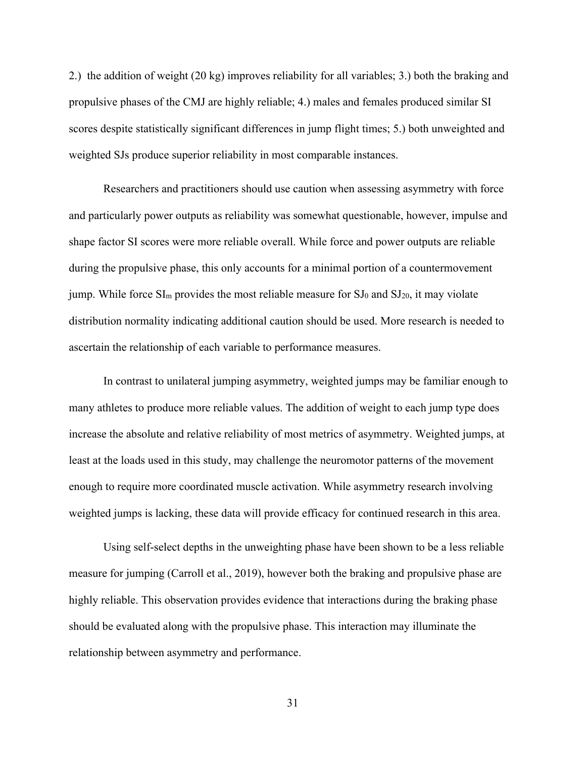2.) the addition of weight (20 kg) improves reliability for all variables; 3.) both the braking and propulsive phases of the CMJ are highly reliable; 4.) males and females produced similar SI scores despite statistically significant differences in jump flight times; 5.) both unweighted and weighted SJs produce superior reliability in most comparable instances.

Researchers and practitioners should use caution when assessing asymmetry with force and particularly power outputs as reliability was somewhat questionable, however, impulse and shape factor SI scores were more reliable overall. While force and power outputs are reliable during the propulsive phase, this only accounts for a minimal portion of a countermovement jump. While force  $SI_m$  provides the most reliable measure for  $SI_0$  and  $SI_{20}$ , it may violate distribution normality indicating additional caution should be used. More research is needed to ascertain the relationship of each variable to performance measures.

In contrast to unilateral jumping asymmetry, weighted jumps may be familiar enough to many athletes to produce more reliable values. The addition of weight to each jump type does increase the absolute and relative reliability of most metrics of asymmetry. Weighted jumps, at least at the loads used in this study, may challenge the neuromotor patterns of the movement enough to require more coordinated muscle activation. While asymmetry research involving weighted jumps is lacking, these data will provide efficacy for continued research in this area.

Using self-select depths in the unweighting phase have been shown to be a less reliable measure for jumping (Carroll et al., 2019), however both the braking and propulsive phase are highly reliable. This observation provides evidence that interactions during the braking phase should be evaluated along with the propulsive phase. This interaction may illuminate the relationship between asymmetry and performance.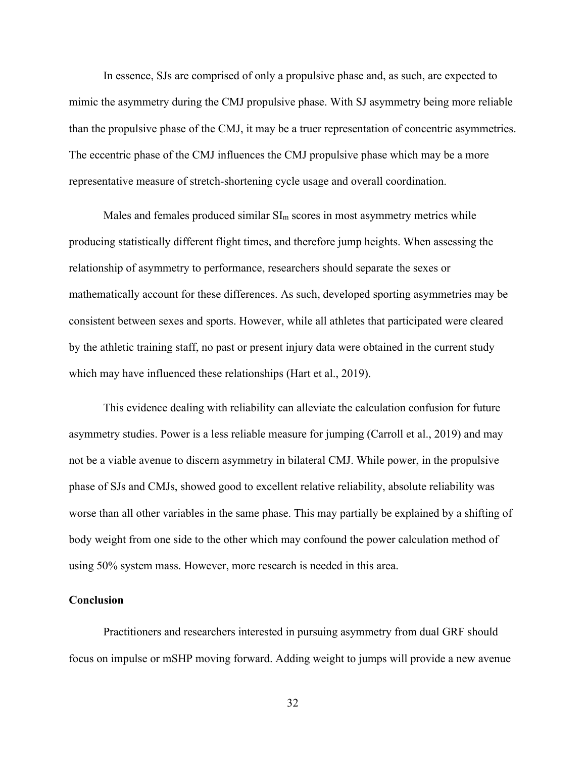In essence, SJs are comprised of only a propulsive phase and, as such, are expected to mimic the asymmetry during the CMJ propulsive phase. With SJ asymmetry being more reliable than the propulsive phase of the CMJ, it may be a truer representation of concentric asymmetries. The eccentric phase of the CMJ influences the CMJ propulsive phase which may be a more representative measure of stretch-shortening cycle usage and overall coordination.

Males and females produced similar  $SI_m$  scores in most asymmetry metrics while producing statistically different flight times, and therefore jump heights. When assessing the relationship of asymmetry to performance, researchers should separate the sexes or mathematically account for these differences. As such, developed sporting asymmetries may be consistent between sexes and sports. However, while all athletes that participated were cleared by the athletic training staff, no past or present injury data were obtained in the current study which may have influenced these relationships (Hart et al., 2019).

This evidence dealing with reliability can alleviate the calculation confusion for future asymmetry studies. Power is a less reliable measure for jumping (Carroll et al., 2019) and may not be a viable avenue to discern asymmetry in bilateral CMJ. While power, in the propulsive phase of SJs and CMJs, showed good to excellent relative reliability, absolute reliability was worse than all other variables in the same phase. This may partially be explained by a shifting of body weight from one side to the other which may confound the power calculation method of using 50% system mass. However, more research is needed in this area.

# **Conclusion**

Practitioners and researchers interested in pursuing asymmetry from dual GRF should focus on impulse or mSHP moving forward. Adding weight to jumps will provide a new avenue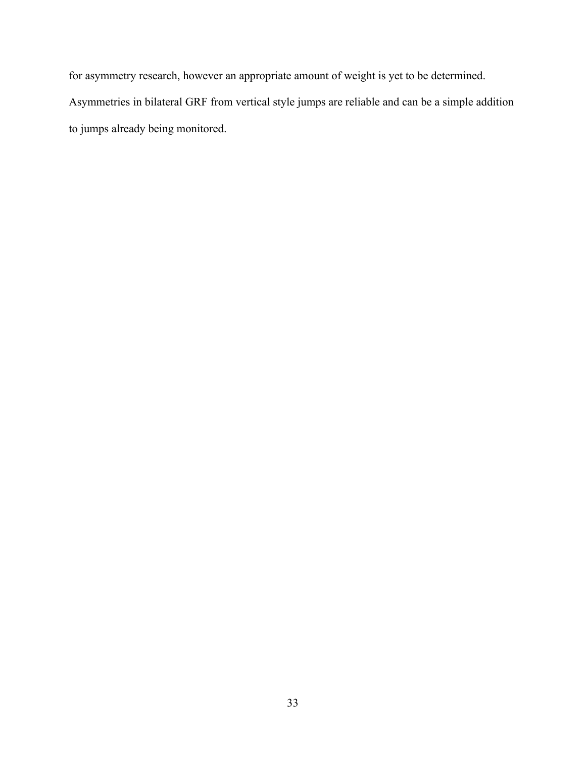for asymmetry research, however an appropriate amount of weight is yet to be determined.

Asymmetries in bilateral GRF from vertical style jumps are reliable and can be a simple addition to jumps already being monitored.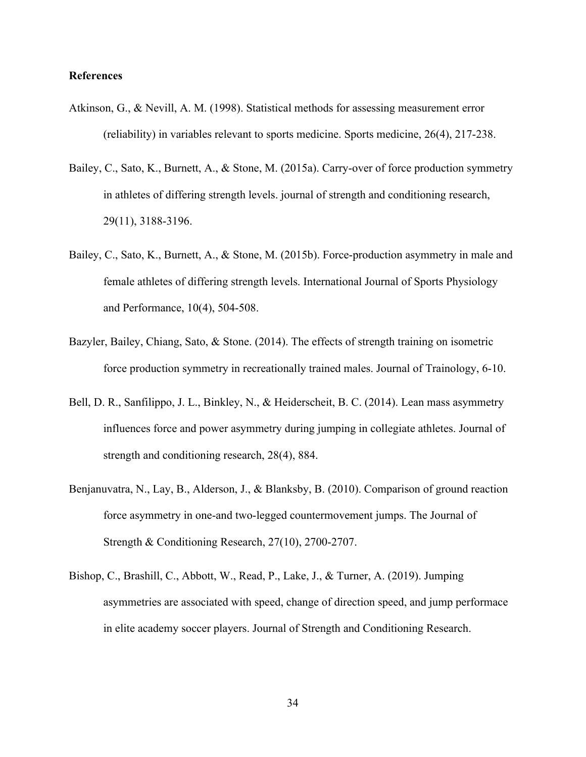# **References**

- Atkinson, G., & Nevill, A. M. (1998). Statistical methods for assessing measurement error (reliability) in variables relevant to sports medicine. Sports medicine, 26(4), 217-238.
- Bailey, C., Sato, K., Burnett, A., & Stone, M. (2015a). Carry-over of force production symmetry in athletes of differing strength levels. journal of strength and conditioning research, 29(11), 3188-3196.
- Bailey, C., Sato, K., Burnett, A., & Stone, M. (2015b). Force-production asymmetry in male and female athletes of differing strength levels. International Journal of Sports Physiology and Performance, 10(4), 504-508.
- Bazyler, Bailey, Chiang, Sato, & Stone. (2014). The effects of strength training on isometric force production symmetry in recreationally trained males. Journal of Trainology, 6-10.
- Bell, D. R., Sanfilippo, J. L., Binkley, N., & Heiderscheit, B. C. (2014). Lean mass asymmetry influences force and power asymmetry during jumping in collegiate athletes. Journal of strength and conditioning research, 28(4), 884.
- Benjanuvatra, N., Lay, B., Alderson, J., & Blanksby, B. (2010). Comparison of ground reaction force asymmetry in one-and two-legged countermovement jumps. The Journal of Strength & Conditioning Research, 27(10), 2700-2707.
- Bishop, C., Brashill, C., Abbott, W., Read, P., Lake, J., & Turner, A. (2019). Jumping asymmetries are associated with speed, change of direction speed, and jump performace in elite academy soccer players. Journal of Strength and Conditioning Research.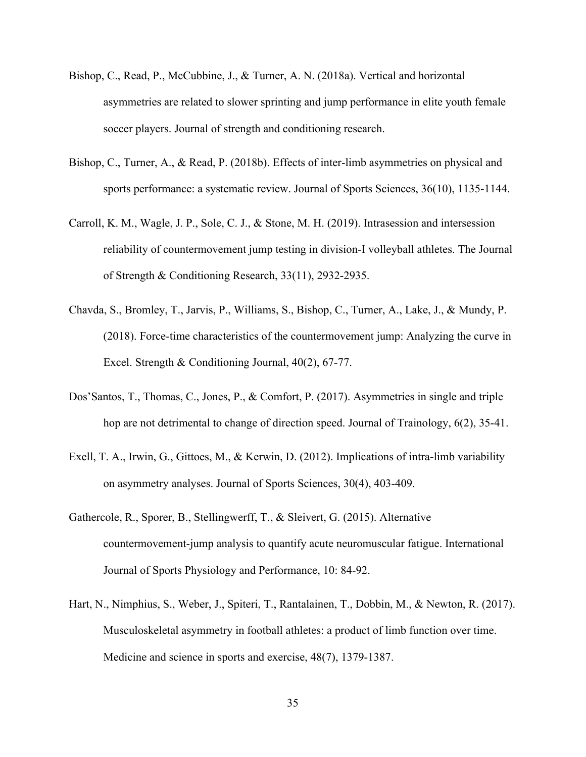- Bishop, C., Read, P., McCubbine, J., & Turner, A. N. (2018a). Vertical and horizontal asymmetries are related to slower sprinting and jump performance in elite youth female soccer players. Journal of strength and conditioning research.
- Bishop, C., Turner, A., & Read, P. (2018b). Effects of inter-limb asymmetries on physical and sports performance: a systematic review. Journal of Sports Sciences, 36(10), 1135-1144.
- Carroll, K. M., Wagle, J. P., Sole, C. J., & Stone, M. H. (2019). Intrasession and intersession reliability of countermovement jump testing in division-I volleyball athletes. The Journal of Strength & Conditioning Research, 33(11), 2932-2935.
- Chavda, S., Bromley, T., Jarvis, P., Williams, S., Bishop, C., Turner, A., Lake, J., & Mundy, P. (2018). Force-time characteristics of the countermovement jump: Analyzing the curve in Excel. Strength & Conditioning Journal, 40(2), 67-77.
- Dos'Santos, T., Thomas, C., Jones, P., & Comfort, P. (2017). Asymmetries in single and triple hop are not detrimental to change of direction speed. Journal of Trainology, 6(2), 35-41.
- Exell, T. A., Irwin, G., Gittoes, M., & Kerwin, D. (2012). Implications of intra-limb variability on asymmetry analyses. Journal of Sports Sciences, 30(4), 403-409.
- Gathercole, R., Sporer, B., Stellingwerff, T., & Sleivert, G. (2015). Alternative countermovement-jump analysis to quantify acute neuromuscular fatigue. International Journal of Sports Physiology and Performance, 10: 84-92.
- Hart, N., Nimphius, S., Weber, J., Spiteri, T., Rantalainen, T., Dobbin, M., & Newton, R. (2017). Musculoskeletal asymmetry in football athletes: a product of limb function over time. Medicine and science in sports and exercise, 48(7), 1379-1387.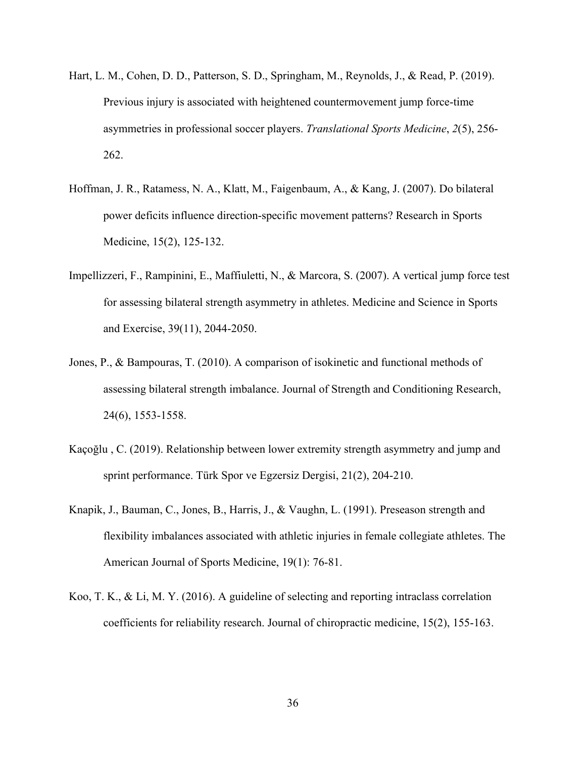- Hart, L. M., Cohen, D. D., Patterson, S. D., Springham, M., Reynolds, J., & Read, P. (2019). Previous injury is associated with heightened countermovement jump force‐time asymmetries in professional soccer players. *Translational Sports Medicine*, *2*(5), 256- 262.
- Hoffman, J. R., Ratamess, N. A., Klatt, M., Faigenbaum, A., & Kang, J. (2007). Do bilateral power deficits influence direction-specific movement patterns? Research in Sports Medicine, 15(2), 125-132.
- Impellizzeri, F., Rampinini, E., Maffiuletti, N., & Marcora, S. (2007). A vertical jump force test for assessing bilateral strength asymmetry in athletes. Medicine and Science in Sports and Exercise, 39(11), 2044-2050.
- Jones, P., & Bampouras, T. (2010). A comparison of isokinetic and functional methods of assessing bilateral strength imbalance. Journal of Strength and Conditioning Research, 24(6), 1553-1558.
- Kaçoğlu , C. (2019). Relationship between lower extremity strength asymmetry and jump and sprint performance. Türk Spor ve Egzersiz Dergisi, 21(2), 204-210.
- Knapik, J., Bauman, C., Jones, B., Harris, J., & Vaughn, L. (1991). Preseason strength and flexibility imbalances associated with athletic injuries in female collegiate athletes. The American Journal of Sports Medicine, 19(1): 76-81.
- Koo, T. K., & Li, M. Y. (2016). A guideline of selecting and reporting intraclass correlation coefficients for reliability research. Journal of chiropractic medicine, 15(2), 155-163.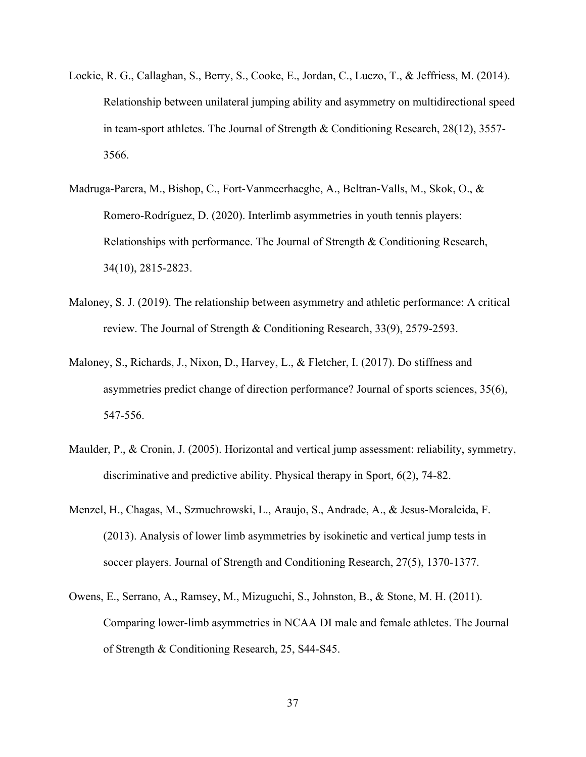- Lockie, R. G., Callaghan, S., Berry, S., Cooke, E., Jordan, C., Luczo, T., & Jeffriess, M. (2014). Relationship between unilateral jumping ability and asymmetry on multidirectional speed in team-sport athletes. The Journal of Strength & Conditioning Research, 28(12), 3557- 3566.
- Madruga-Parera, M., Bishop, C., Fort-Vanmeerhaeghe, A., Beltran-Valls, M., Skok, O., & Romero-Rodríguez, D. (2020). Interlimb asymmetries in youth tennis players: Relationships with performance. The Journal of Strength & Conditioning Research, 34(10), 2815-2823.
- Maloney, S. J. (2019). The relationship between asymmetry and athletic performance: A critical review. The Journal of Strength & Conditioning Research, 33(9), 2579-2593.
- Maloney, S., Richards, J., Nixon, D., Harvey, L., & Fletcher, I. (2017). Do stiffness and asymmetries predict change of direction performance? Journal of sports sciences, 35(6), 547-556.
- Maulder, P., & Cronin, J. (2005). Horizontal and vertical jump assessment: reliability, symmetry, discriminative and predictive ability. Physical therapy in Sport, 6(2), 74-82.
- Menzel, H., Chagas, M., Szmuchrowski, L., Araujo, S., Andrade, A., & Jesus-Moraleida, F. (2013). Analysis of lower limb asymmetries by isokinetic and vertical jump tests in soccer players. Journal of Strength and Conditioning Research, 27(5), 1370-1377.
- Owens, E., Serrano, A., Ramsey, M., Mizuguchi, S., Johnston, B., & Stone, M. H. (2011). Comparing lower-limb asymmetries in NCAA DI male and female athletes. The Journal of Strength & Conditioning Research, 25, S44-S45.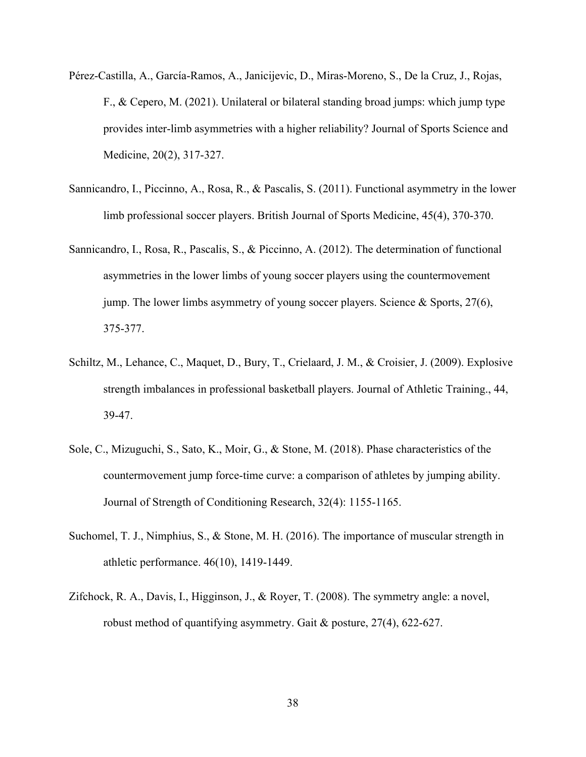- Pérez-Castilla, A., García-Ramos, A., Janicijevic, D., Miras-Moreno, S., De la Cruz, J., Rojas, F., & Cepero, M. (2021). Unilateral or bilateral standing broad jumps: which jump type provides inter-limb asymmetries with a higher reliability? Journal of Sports Science and Medicine, 20(2), 317-327.
- Sannicandro, I., Piccinno, A., Rosa, R., & Pascalis, S. (2011). Functional asymmetry in the lower limb professional soccer players. British Journal of Sports Medicine, 45(4), 370-370.
- Sannicandro, I., Rosa, R., Pascalis, S., & Piccinno, A. (2012). The determination of functional asymmetries in the lower limbs of young soccer players using the countermovement jump. The lower limbs asymmetry of young soccer players. Science & Sports, 27(6), 375-377.
- Schiltz, M., Lehance, C., Maquet, D., Bury, T., Crielaard, J. M., & Croisier, J. (2009). Explosive strength imbalances in professional basketball players. Journal of Athletic Training., 44, 39-47.
- Sole, C., Mizuguchi, S., Sato, K., Moir, G., & Stone, M. (2018). Phase characteristics of the countermovement jump force-time curve: a comparison of athletes by jumping ability. Journal of Strength of Conditioning Research, 32(4): 1155-1165.
- Suchomel, T. J., Nimphius, S., & Stone, M. H. (2016). The importance of muscular strength in athletic performance. 46(10), 1419-1449.
- Zifchock, R. A., Davis, I., Higginson, J., & Royer, T. (2008). The symmetry angle: a novel, robust method of quantifying asymmetry. Gait & posture, 27(4), 622-627.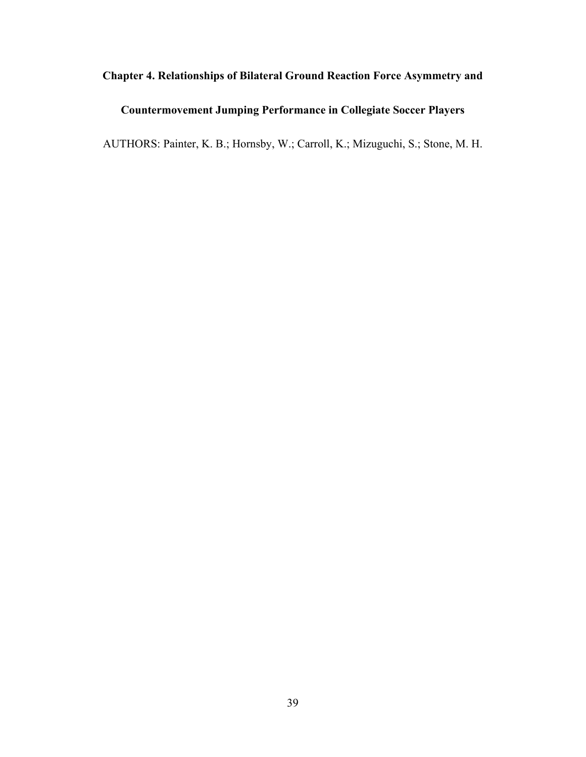# **Chapter 4. Relationships of Bilateral Ground Reaction Force Asymmetry and**

# **Countermovement Jumping Performance in Collegiate Soccer Players**

AUTHORS: Painter, K. B.; Hornsby, W.; Carroll, K.; Mizuguchi, S.; Stone, M. H.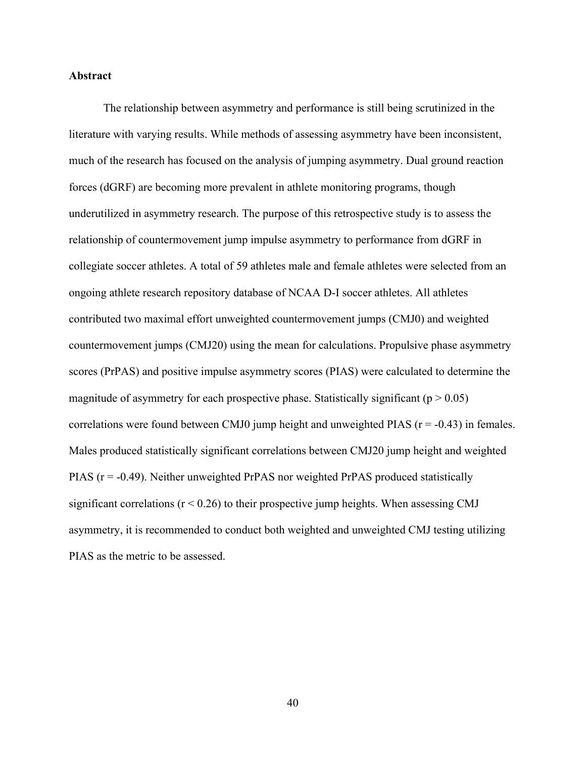# **Abstract**

The relationship between asymmetry and performance is still being scrutinized in the literature with varying results. While methods of assessing asymmetry have been inconsistent, much of the research has focused on the analysis of jumping asymmetry. Dual ground reaction forces (dGRF) are becoming more prevalent in athlete monitoring programs, though underutilized in asymmetry research. The purpose of this retrospective study is to assess the relationship of countermovement jump impulse asymmetry to performance from dGRF in collegiate soccer athletes. A total of 59 athletes male and female athletes were selected from an ongoing athlete research repository database of NCAA D-I soccer athletes. All athletes contributed two maximal effort unweighted countermovement jumps (CMJ0) and weighted countermovement jumps (CMJ20) using the mean for calculations. Propulsive phase asymmetry scores (PrPAS) and positive impulse asymmetry scores (PIAS) were calculated to determine the magnitude of asymmetry for each prospective phase. Statistically significant ( $p > 0.05$ ) correlations were found between CMJ0 jump height and unweighted PIAS ( $r = -0.43$ ) in females. Males produced statistically significant correlations between CMJ20 jump height and weighted PIAS (r = -0.49). Neither unweighted PrPAS nor weighted PrPAS produced statistically significant correlations  $(r < 0.26)$  to their prospective jump heights. When assessing CMJ asymmetry, it is recommended to conduct both weighted and unweighted CMJ testing utilizing PIAS as the metric to be assessed.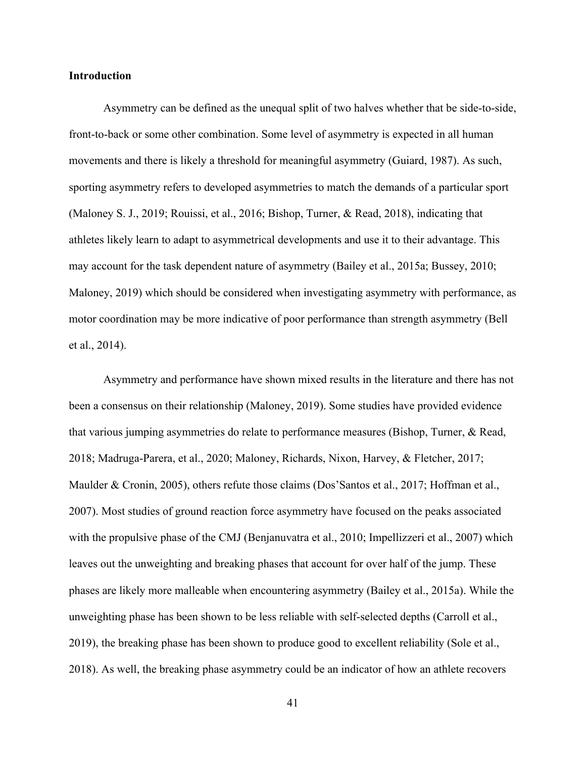## **Introduction**

Asymmetry can be defined as the unequal split of two halves whether that be side-to-side, front-to-back or some other combination. Some level of asymmetry is expected in all human movements and there is likely a threshold for meaningful asymmetry (Guiard, 1987). As such, sporting asymmetry refers to developed asymmetries to match the demands of a particular sport (Maloney S. J., 2019; Rouissi, et al., 2016; Bishop, Turner, & Read, 2018), indicating that athletes likely learn to adapt to asymmetrical developments and use it to their advantage. This may account for the task dependent nature of asymmetry (Bailey et al., 2015a; Bussey, 2010; Maloney, 2019) which should be considered when investigating asymmetry with performance, as motor coordination may be more indicative of poor performance than strength asymmetry (Bell et al., 2014).

Asymmetry and performance have shown mixed results in the literature and there has not been a consensus on their relationship (Maloney, 2019). Some studies have provided evidence that various jumping asymmetries do relate to performance measures (Bishop, Turner, & Read, 2018; Madruga-Parera, et al., 2020; Maloney, Richards, Nixon, Harvey, & Fletcher, 2017; Maulder & Cronin, 2005), others refute those claims (Dos'Santos et al., 2017; Hoffman et al., 2007). Most studies of ground reaction force asymmetry have focused on the peaks associated with the propulsive phase of the CMJ (Benjanuvatra et al., 2010; Impellizzeri et al., 2007) which leaves out the unweighting and breaking phases that account for over half of the jump. These phases are likely more malleable when encountering asymmetry (Bailey et al., 2015a). While the unweighting phase has been shown to be less reliable with self-selected depths (Carroll et al., 2019), the breaking phase has been shown to produce good to excellent reliability (Sole et al., 2018). As well, the breaking phase asymmetry could be an indicator of how an athlete recovers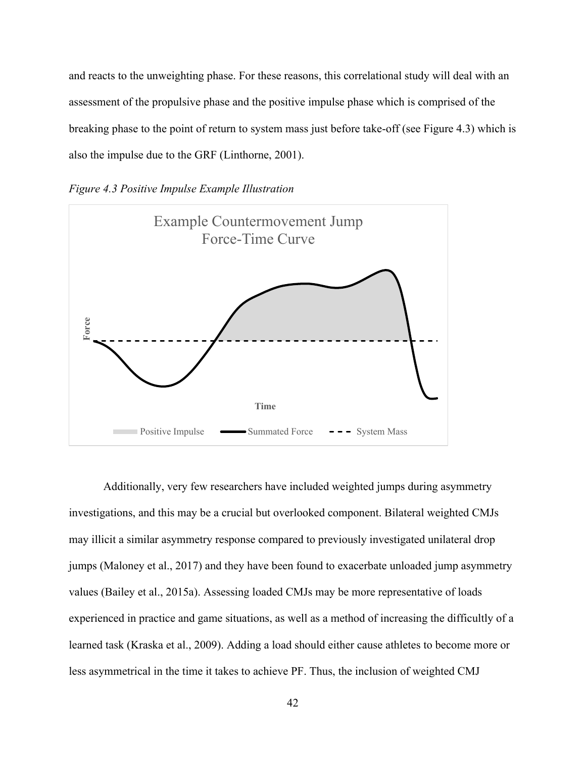and reacts to the unweighting phase. For these reasons, this correlational study will deal with an assessment of the propulsive phase and the positive impulse phase which is comprised of the breaking phase to the point of return to system mass just before take-off (see Figure 4.3) which is also the impulse due to the GRF (Linthorne, 2001).





Additionally, very few researchers have included weighted jumps during asymmetry investigations, and this may be a crucial but overlooked component. Bilateral weighted CMJs may illicit a similar asymmetry response compared to previously investigated unilateral drop jumps (Maloney et al., 2017) and they have been found to exacerbate unloaded jump asymmetry values (Bailey et al., 2015a). Assessing loaded CMJs may be more representative of loads experienced in practice and game situations, as well as a method of increasing the difficultly of a learned task (Kraska et al., 2009). Adding a load should either cause athletes to become more or For the time interest as a symmetrical in the time it takes to achieve PF. Thus, the inclusion of weighted component less asymmetrical in the time it takes to achieve PF. Thus, the inclusion of weighted CMJ cannot also the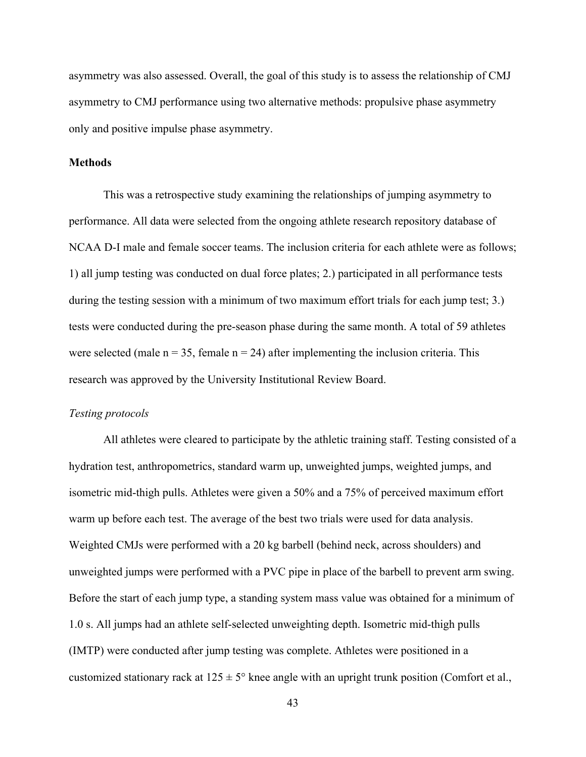asymmetry was also assessed. Overall, the goal of this study is to assess the relationship of CMJ asymmetry to CMJ performance using two alternative methods: propulsive phase asymmetry only and positive impulse phase asymmetry.

## **Methods**

This was a retrospective study examining the relationships of jumping asymmetry to performance. All data were selected from the ongoing athlete research repository database of NCAA D-I male and female soccer teams. The inclusion criteria for each athlete were as follows; 1) all jump testing was conducted on dual force plates; 2.) participated in all performance tests during the testing session with a minimum of two maximum effort trials for each jump test; 3.) tests were conducted during the pre-season phase during the same month. A total of 59 athletes were selected (male  $n = 35$ , female  $n = 24$ ) after implementing the inclusion criteria. This research was approved by the University Institutional Review Board.

## *Testing protocols*

All athletes were cleared to participate by the athletic training staff. Testing consisted of a hydration test, anthropometrics, standard warm up, unweighted jumps, weighted jumps, and isometric mid-thigh pulls. Athletes were given a 50% and a 75% of perceived maximum effort warm up before each test. The average of the best two trials were used for data analysis. Weighted CMJs were performed with a 20 kg barbell (behind neck, across shoulders) and unweighted jumps were performed with a PVC pipe in place of the barbell to prevent arm swing. Before the start of each jump type, a standing system mass value was obtained for a minimum of 1.0 s. All jumps had an athlete self-selected unweighting depth. Isometric mid-thigh pulls (IMTP) were conducted after jump testing was complete. Athletes were positioned in a customized stationary rack at  $125 \pm 5^{\circ}$  knee angle with an upright trunk position (Comfort et al.,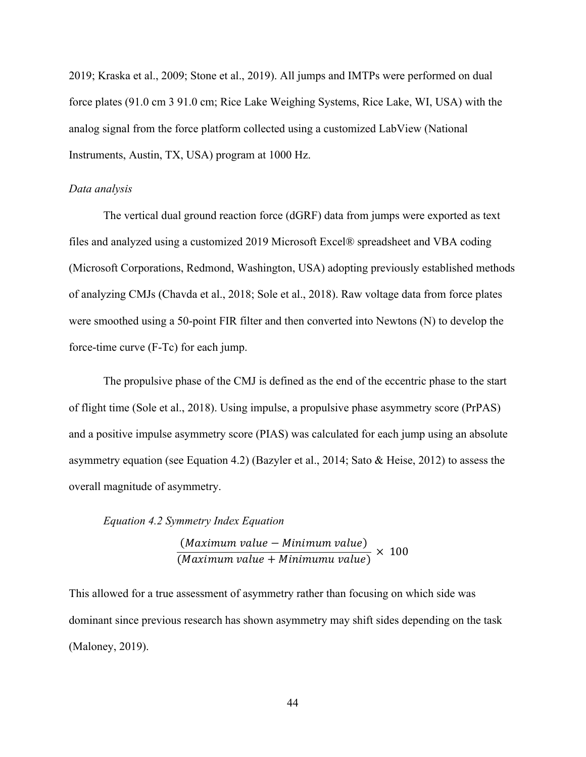2019; Kraska et al., 2009; Stone et al., 2019). All jumps and IMTPs were performed on dual force plates (91.0 cm 3 91.0 cm; Rice Lake Weighing Systems, Rice Lake, WI, USA) with the analog signal from the force platform collected using a customized LabView (National Instruments, Austin, TX, USA) program at 1000 Hz.

# *Data analysis*

The vertical dual ground reaction force (dGRF) data from jumps were exported as text files and analyzed using a customized 2019 Microsoft Excel® spreadsheet and VBA coding (Microsoft Corporations, Redmond, Washington, USA) adopting previously established methods of analyzing CMJs (Chavda et al., 2018; Sole et al., 2018). Raw voltage data from force plates were smoothed using a 50-point FIR filter and then converted into Newtons (N) to develop the force-time curve (F-Tc) for each jump.

The propulsive phase of the CMJ is defined as the end of the eccentric phase to the start of flight time (Sole et al., 2018). Using impulse, a propulsive phase asymmetry score (PrPAS) and a positive impulse asymmetry score (PIAS) was calculated for each jump using an absolute asymmetry equation (see Equation 4.2) (Bazyler et al., 2014; Sato & Heise, 2012) to assess the overall magnitude of asymmetry.

## *Equation 4.2 Symmetry Index Equation*

(Maximum value - Minimum value)  $\frac{N}{M}$   $\times$  100<br>(Maximum value + Minimumu value)  $\times$  100

This allowed for a true assessment of asymmetry rather than focusing on which side was dominant since previous research has shown asymmetry may shift sides depending on the task (Maloney, 2019).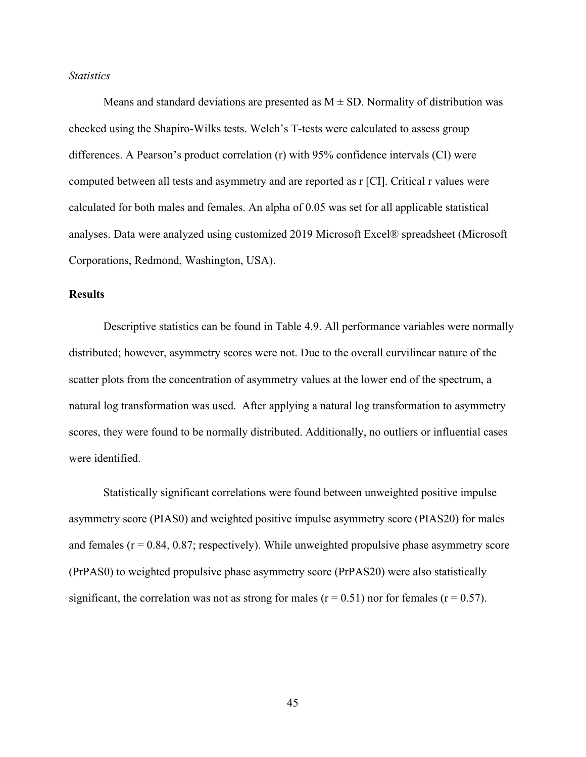# *Statistics*

Means and standard deviations are presented as  $M \pm SD$ . Normality of distribution was checked using the Shapiro-Wilks tests. Welch's T-tests were calculated to assess group differences. A Pearson's product correlation (r) with 95% confidence intervals (CI) were computed between all tests and asymmetry and are reported as r [CI]. Critical r values were calculated for both males and females. An alpha of 0.05 was set for all applicable statistical analyses. Data were analyzed using customized 2019 Microsoft Excel® spreadsheet (Microsoft Corporations, Redmond, Washington, USA).

# **Results**

Descriptive statistics can be found in Table 4.9. All performance variables were normally distributed; however, asymmetry scores were not. Due to the overall curvilinear nature of the scatter plots from the concentration of asymmetry values at the lower end of the spectrum, a natural log transformation was used. After applying a natural log transformation to asymmetry scores, they were found to be normally distributed. Additionally, no outliers or influential cases were identified.

Statistically significant correlations were found between unweighted positive impulse asymmetry score (PIAS0) and weighted positive impulse asymmetry score (PIAS20) for males and females  $(r = 0.84, 0.87;$  respectively). While unweighted propulsive phase asymmetry score (PrPAS0) to weighted propulsive phase asymmetry score (PrPAS20) were also statistically significant, the correlation was not as strong for males ( $r = 0.51$ ) nor for females ( $r = 0.57$ ).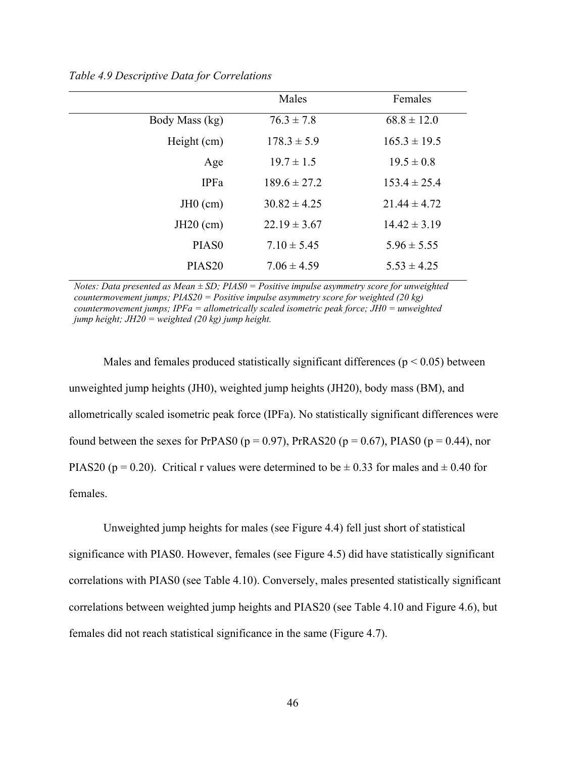|                    | Males            | Females          |
|--------------------|------------------|------------------|
| Body Mass (kg)     | $76.3 \pm 7.8$   | $68.8 \pm 12.0$  |
| Height (cm)        | $178.3 \pm 5.9$  | $165.3 \pm 19.5$ |
| Age                | $19.7 \pm 1.5$   | $19.5 \pm 0.8$   |
| <b>IPFa</b>        | $189.6 \pm 27.2$ | $153.4 \pm 25.4$ |
| $JH0$ (cm)         | $30.82 \pm 4.25$ | $21.44 \pm 4.72$ |
| $JH20$ (cm)        | $22.19 \pm 3.67$ | $14.42 \pm 3.19$ |
| PIAS <sub>0</sub>  | $7.10 \pm 5.45$  | $5.96 \pm 5.55$  |
| PIAS <sub>20</sub> | $7.06 \pm 4.59$  | $5.53 \pm 4.25$  |

*Table 4.9 Descriptive Data for Correlations* 

*Notes: Data presented as Mean ± SD; PIAS0 = Positive impulse asymmetry score for unweighted countermovement jumps; PIAS20 = Positive impulse asymmetry score for weighted (20 kg) countermovement jumps; IPFa = allometrically scaled isometric peak force; JH0 = unweighted jump height; JH20 = weighted (20 kg) jump height.*

Males and females produced statistically significant differences ( $p < 0.05$ ) between unweighted jump heights (JH0), weighted jump heights (JH20), body mass (BM), and allometrically scaled isometric peak force (IPFa). No statistically significant differences were found between the sexes for PrPAS0 ( $p = 0.97$ ), PrRAS20 ( $p = 0.67$ ), PIAS0 ( $p = 0.44$ ), nor PIAS20 (p = 0.20). Critical r values were determined to be  $\pm$  0.33 for males and  $\pm$  0.40 for females.

Unweighted jump heights for males (see Figure 4.4) fell just short of statistical significance with PIAS0. However, females (see Figure 4.5) did have statistically significant correlations with PIAS0 (see Table 4.10). Conversely, males presented statistically significant correlations between weighted jump heights and PIAS20 (see Table 4.10 and Figure 4.6), but females did not reach statistical significance in the same (Figure 4.7).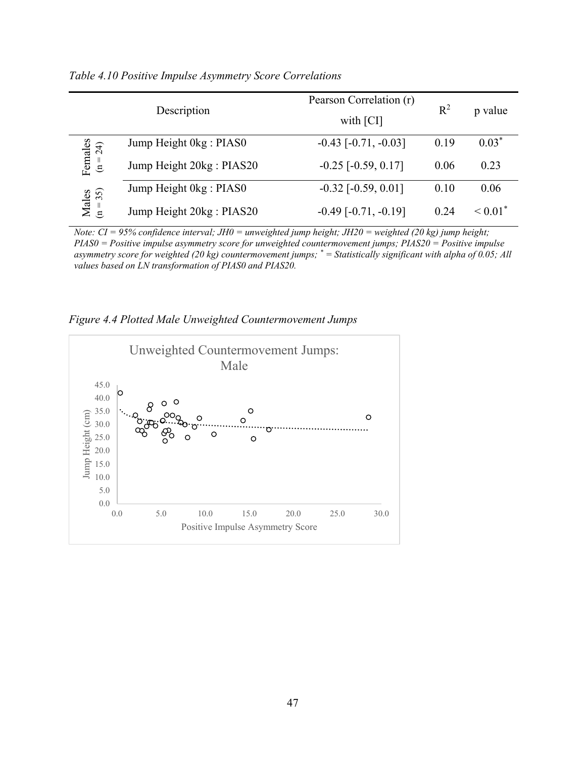|                       | Description               | Pearson Correlation (r)<br>with [CI] | $R^2$ | p value                  |
|-----------------------|---------------------------|--------------------------------------|-------|--------------------------|
|                       | Jump Height 0kg : PIAS0   | $-0.43$ [ $-0.71, -0.03$ ]           | 0.19  | $0.03*$                  |
| Females<br>$(n = 24)$ | Jump Height 20kg : PIAS20 | $-0.25$ [ $-0.59, 0.17$ ]            | 0.06  | 0.23                     |
|                       | Jump Height 0kg: PIAS0    | $-0.32$ [ $-0.59, 0.01$ ]            | 0.10  | 0.06                     |
| $Males$<br>(n = 35)   | Jump Height 20kg : PIAS20 | $-0.49$ [ $-0.71, -0.19$ ]           | 0.24  | $\leq 0.01$ <sup>*</sup> |

*Table 4.10 Positive Impulse Asymmetry Score Correlations* 

*Note: CI = 95% confidence interval; JH0 = unweighted jump height; JH20 = weighted (20 kg) jump height; PIAS0 = Positive impulse asymmetry score for unweighted countermovement jumps; PIAS20 = Positive impulse asymmetry score for weighted (20 kg) countermovement jumps; \* = Statistically significant with alpha of 0.05; All values based on LN transformation of PIAS0 and PIAS20.* 

*Figure 4.4 Plotted Male Unweighted Countermovement Jumps* 

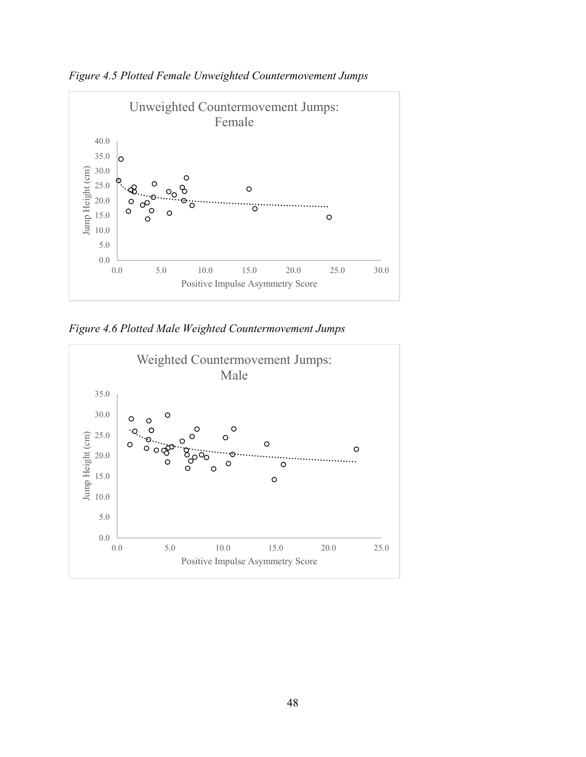



*Figure 4.6 Plotted Male Weighted Countermovement Jumps* 

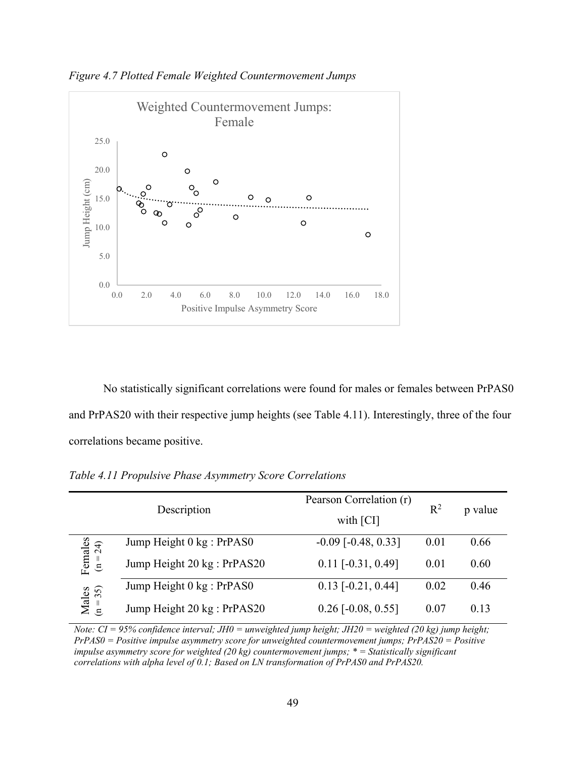

*Figure 4.7 Plotted Female Weighted Countermovement Jumps* 

No statistically significant correlations were found for males or females between PrPAS0 and PrPAS20 with their respective jump heights (see Table 4.11). Interestingly, three of the four correlations became positive.

|                         | Description                 | Pearson Correlation (r)<br>with [CI] | $R^2$ | p value |
|-------------------------|-----------------------------|--------------------------------------|-------|---------|
|                         | Jump Height 0 kg : PrPAS0   | $-0.09$ [ $-0.48$ , 0.33]            | 0.01  | 0.66    |
| Females<br>( $n = 24$ ) | Jump Height 20 kg : PrPAS20 | $0.11$ [-0.31, 0.49]                 | 0.01  | 0.60    |
|                         | Jump Height 0 kg : PrPAS0   | $0.13$ [ $-0.21$ , $0.44$ ]          | 0.02  | 0.46    |
| Males<br>$(n = 35)$     | Jump Height 20 kg : PrPAS20 | $0.26$ [-0.08, 0.55]                 | 0.07  | 0.13    |

*Table 4.11 Propulsive Phase Asymmetry Score Correlations* 

*Note: CI = 95% confidence interval; JH0 = unweighted jump height; JH20 = weighted (20 kg) jump height; PrPAS0 = Positive impulse asymmetry score for unweighted countermovement jumps; PrPAS20 = Positive impulse asymmetry score for weighted (20 kg) countermovement jumps; \* = Statistically significant correlations with alpha level of 0.1; Based on LN transformation of PrPAS0 and PrPAS20.*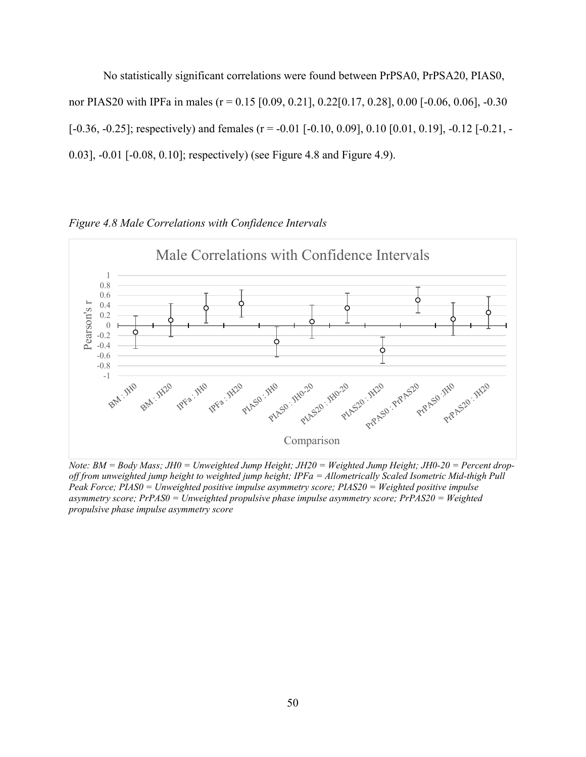No statistically significant correlations were found between PrPSA0, PrPSA20, PIAS0, nor PIAS20 with IPFa in males (r = 0.15 [0.09, 0.21], 0.22[0.17, 0.28], 0.00 [-0.06, 0.06], -0.30  $[-0.36, -0.25]$ ; respectively) and females (r = -0.01 [-0.10, 0.09], 0.10 [0.01, 0.19], -0.12 [-0.21, -0.03], -0.01 [-0.08, 0.10]; respectively) (see Figure 4.8 and Figure 4.9).

Male Correlations with Confidence Intervals1 0.8 0.6 Pearson's r 0.4 Pearson's r 0.2 0 -0.2 -0.4 Ò -0.6 -0.8 -1 P1/ASD: 1210 REES . 1420 BM . 1420 RFFa .. THO PLASO - Wa-20 PLASSO . 1HD-20 PLASSO . 1KDO . 1RRASDO . 1KDO . 1KDO Comparison

*Figure 4.8 Male Correlations with Confidence Intervals* 

*Note: BM = Body Mass; JH0 = Unweighted Jump Height; JH20 = Weighted Jump Height; JH0-20 = Percent dropoff from unweighted jump height to weighted jump height; IPFa = Allometrically Scaled Isometric Mid-thigh Pull Peak Force; PIAS0 = Unweighted positive impulse asymmetry score; PIAS20 = Weighted positive impulse asymmetry score; PrPAS0 = Unweighted propulsive phase impulse asymmetry score; PrPAS20 = Weighted propulsive phase impulse asymmetry score*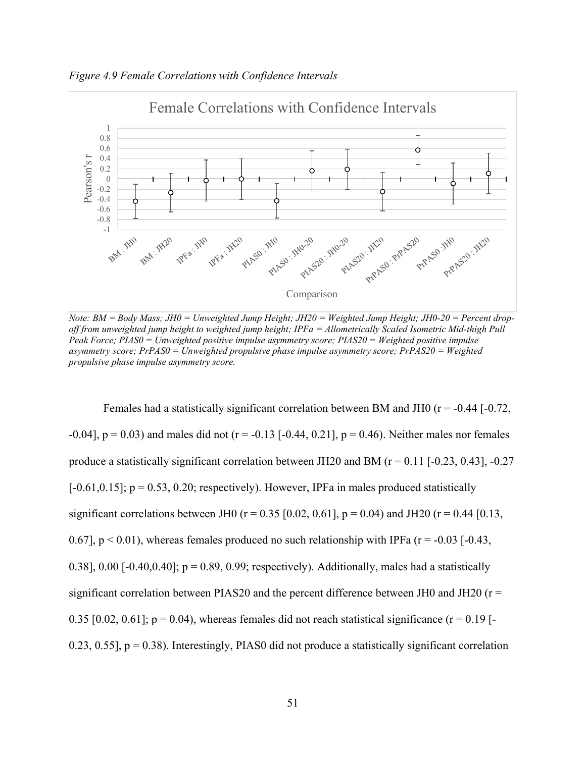

*Figure 4.9 Female Correlations with Confidence Intervals* 

*Note: BM = Body Mass; JH0 = Unweighted Jump Height; JH20 = Weighted Jump Height; JH0-20 = Percent dropoff from unweighted jump height to weighted jump height; IPFa = Allometrically Scaled Isometric Mid-thigh Pull Peak Force; PIAS0 = Unweighted positive impulse asymmetry score; PIAS20 = Weighted positive impulse asymmetry score; PrPAS0 = Unweighted propulsive phase impulse asymmetry score; PrPAS20 = Weighted propulsive phase impulse asymmetry score.*

Females had a statistically significant correlation between BM and JH0 ( $r = -0.44$  [ $-0.72$ , -0.04],  $p = 0.03$  and males did not ( $r = -0.13$  [-0.44, 0.21],  $p = 0.46$ ). Neither males nor females produce a statistically significant correlation between JH20 and BM ( $r = 0.11$  [-0.23, 0.43], -0.27  $[-0.61, 0.15]$ ; p = 0.53, 0.20; respectively). However, IPFa in males produced statistically significant correlations between JH0 ( $r = 0.35$  [0.02, 0.61],  $p = 0.04$ ) and JH20 ( $r = 0.44$  [0.13, 0.67],  $p < 0.01$ ), whereas females produced no such relationship with IPFa ( $r = -0.03$  [-0.43, 0.38], 0.00 [-0.40,0.40];  $p = 0.89$ , 0.99; respectively). Additionally, males had a statistically significant correlation between PIAS20 and the percent difference between JH0 and JH20 ( $r =$ 0.35 [0.02, 0.61];  $p = 0.04$ ), whereas females did not reach statistical significance ( $r = 0.19$  [-0.23, 0.55],  $p = 0.38$ ). Interestingly, PIAS0 did not produce a statistically significant correlation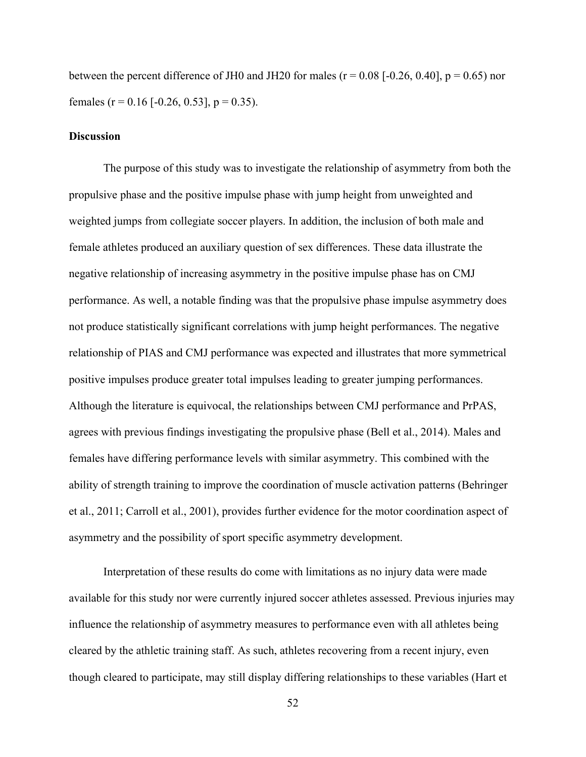between the percent difference of JH0 and JH20 for males ( $r = 0.08$  [-0.26, 0.40],  $p = 0.65$ ) nor females ( $r = 0.16$  [-0.26, 0.53],  $p = 0.35$ ).

# **Discussion**

The purpose of this study was to investigate the relationship of asymmetry from both the propulsive phase and the positive impulse phase with jump height from unweighted and weighted jumps from collegiate soccer players. In addition, the inclusion of both male and female athletes produced an auxiliary question of sex differences. These data illustrate the negative relationship of increasing asymmetry in the positive impulse phase has on CMJ performance. As well, a notable finding was that the propulsive phase impulse asymmetry does not produce statistically significant correlations with jump height performances. The negative relationship of PIAS and CMJ performance was expected and illustrates that more symmetrical positive impulses produce greater total impulses leading to greater jumping performances. Although the literature is equivocal, the relationships between CMJ performance and PrPAS, agrees with previous findings investigating the propulsive phase (Bell et al., 2014). Males and females have differing performance levels with similar asymmetry. This combined with the ability of strength training to improve the coordination of muscle activation patterns (Behringer et al., 2011; Carroll et al., 2001), provides further evidence for the motor coordination aspect of asymmetry and the possibility of sport specific asymmetry development.

Interpretation of these results do come with limitations as no injury data were made available for this study nor were currently injured soccer athletes assessed. Previous injuries may influence the relationship of asymmetry measures to performance even with all athletes being cleared by the athletic training staff. As such, athletes recovering from a recent injury, even though cleared to participate, may still display differing relationships to these variables (Hart et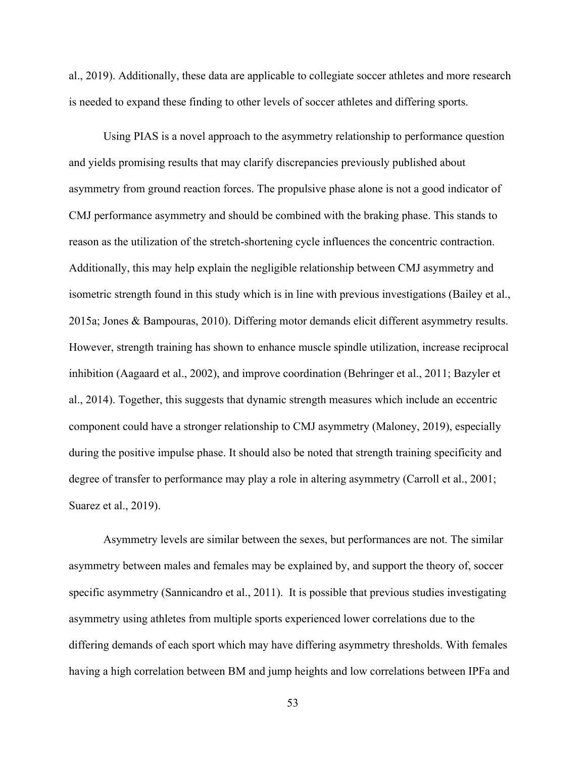al., 2019). Additionally, these data are applicable to collegiate soccer athletes and more research is needed to expand these finding to other levels of soccer athletes and differing sports.

Using PIAS is a novel approach to the asymmetry relationship to performance question and yields promising results that may clarify discrepancies previously published about asymmetry from ground reaction forces. The propulsive phase alone is not a good indicator of CMJ performance asymmetry and should be combined with the braking phase. This stands to reason as the utilization of the stretch-shortening cycle influences the concentric contraction. Additionally, this may help explain the negligible relationship between CMJ asymmetry and isometric strength found in this study which is in line with previous investigations (Bailey et al., 2015a; Jones & Bampouras, 2010). Differing motor demands elicit different asymmetry results. However, strength training has shown to enhance muscle spindle utilization, increase reciprocal inhibition (Aagaard et al., 2002), and improve coordination (Behringer et al., 2011; Bazyler et al., 2014). Together, this suggests that dynamic strength measures which include an eccentric component could have a stronger relationship to CMJ asymmetry (Maloney, 2019), especially during the positive impulse phase. It should also be noted that strength training specificity and degree of transfer to performance may play a role in altering asymmetry (Carroll et al., 2001; Suarez et al., 2019).

Asymmetry levels are similar between the sexes, but performances are not. The similar asymmetry between males and females may be explained by, and support the theory of, soccer specific asymmetry (Sannicandro et al., 2011). It is possible that previous studies investigating asymmetry using athletes from multiple sports experienced lower correlations due to the differing demands of each sport which may have differing asymmetry thresholds. With females having a high correlation between BM and jump heights and low correlations between IPFa and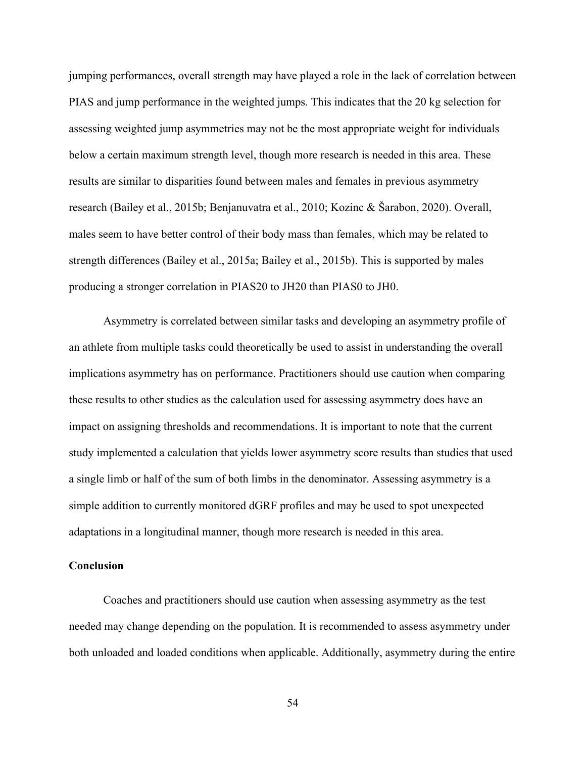jumping performances, overall strength may have played a role in the lack of correlation between PIAS and jump performance in the weighted jumps. This indicates that the 20 kg selection for assessing weighted jump asymmetries may not be the most appropriate weight for individuals below a certain maximum strength level, though more research is needed in this area. These results are similar to disparities found between males and females in previous asymmetry research (Bailey et al., 2015b; Benjanuvatra et al., 2010; Kozinc & Šarabon, 2020). Overall, males seem to have better control of their body mass than females, which may be related to strength differences (Bailey et al., 2015a; Bailey et al., 2015b). This is supported by males producing a stronger correlation in PIAS20 to JH20 than PIAS0 to JH0.

Asymmetry is correlated between similar tasks and developing an asymmetry profile of an athlete from multiple tasks could theoretically be used to assist in understanding the overall implications asymmetry has on performance. Practitioners should use caution when comparing these results to other studies as the calculation used for assessing asymmetry does have an impact on assigning thresholds and recommendations. It is important to note that the current study implemented a calculation that yields lower asymmetry score results than studies that used a single limb or half of the sum of both limbs in the denominator. Assessing asymmetry is a simple addition to currently monitored dGRF profiles and may be used to spot unexpected adaptations in a longitudinal manner, though more research is needed in this area.

## **Conclusion**

Coaches and practitioners should use caution when assessing asymmetry as the test needed may change depending on the population. It is recommended to assess asymmetry under both unloaded and loaded conditions when applicable. Additionally, asymmetry during the entire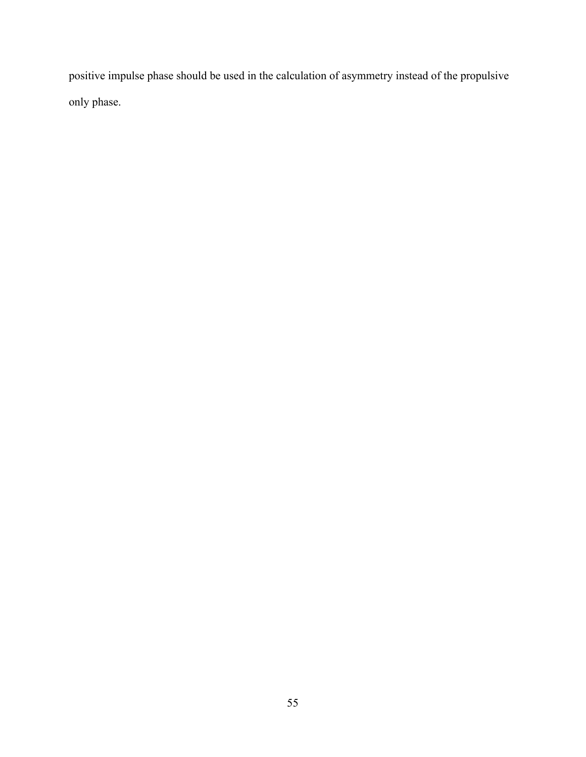positive impulse phase should be used in the calculation of asymmetry instead of the propulsive only phase.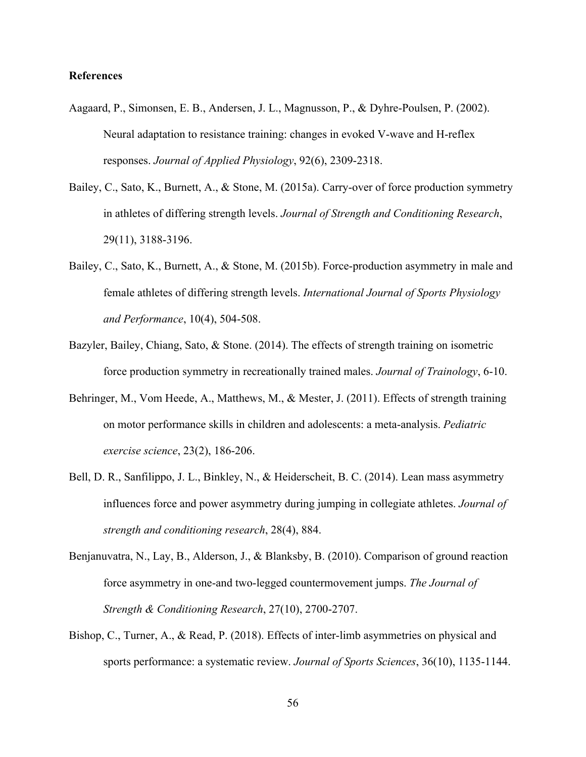# **References**

- Aagaard, P., Simonsen, E. B., Andersen, J. L., Magnusson, P., & Dyhre-Poulsen, P. (2002). Neural adaptation to resistance training: changes in evoked V-wave and H-reflex responses. *Journal of Applied Physiology*, 92(6), 2309-2318.
- Bailey, C., Sato, K., Burnett, A., & Stone, M. (2015a). Carry-over of force production symmetry in athletes of differing strength levels. *Journal of Strength and Conditioning Research*, 29(11), 3188-3196.
- Bailey, C., Sato, K., Burnett, A., & Stone, M. (2015b). Force-production asymmetry in male and female athletes of differing strength levels. *International Journal of Sports Physiology and Performance*, 10(4), 504-508.
- Bazyler, Bailey, Chiang, Sato, & Stone. (2014). The effects of strength training on isometric force production symmetry in recreationally trained males. *Journal of Trainology*, 6-10.
- Behringer, M., Vom Heede, A., Matthews, M., & Mester, J. (2011). Effects of strength training on motor performance skills in children and adolescents: a meta-analysis. *Pediatric exercise science*, 23(2), 186-206.
- Bell, D. R., Sanfilippo, J. L., Binkley, N., & Heiderscheit, B. C. (2014). Lean mass asymmetry influences force and power asymmetry during jumping in collegiate athletes. *Journal of strength and conditioning research*, 28(4), 884.
- Benjanuvatra, N., Lay, B., Alderson, J., & Blanksby, B. (2010). Comparison of ground reaction force asymmetry in one-and two-legged countermovement jumps. *The Journal of Strength & Conditioning Research*, 27(10), 2700-2707.
- Bishop, C., Turner, A., & Read, P. (2018). Effects of inter-limb asymmetries on physical and sports performance: a systematic review. *Journal of Sports Sciences*, 36(10), 1135-1144.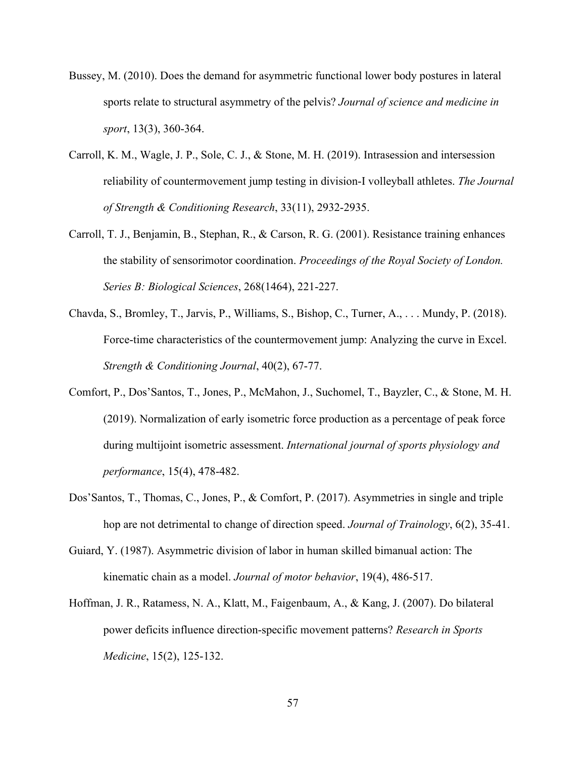- Bussey, M. (2010). Does the demand for asymmetric functional lower body postures in lateral sports relate to structural asymmetry of the pelvis? *Journal of science and medicine in sport*, 13(3), 360-364.
- Carroll, K. M., Wagle, J. P., Sole, C. J., & Stone, M. H. (2019). Intrasession and intersession reliability of countermovement jump testing in division-I volleyball athletes. *The Journal of Strength & Conditioning Research*, 33(11), 2932-2935.
- Carroll, T. J., Benjamin, B., Stephan, R., & Carson, R. G. (2001). Resistance training enhances the stability of sensorimotor coordination. *Proceedings of the Royal Society of London. Series B: Biological Sciences*, 268(1464), 221-227.
- Chavda, S., Bromley, T., Jarvis, P., Williams, S., Bishop, C., Turner, A., . . . Mundy, P. (2018). Force-time characteristics of the countermovement jump: Analyzing the curve in Excel. *Strength & Conditioning Journal*, 40(2), 67-77.
- Comfort, P., Dos'Santos, T., Jones, P., McMahon, J., Suchomel, T., Bayzler, C., & Stone, M. H. (2019). Normalization of early isometric force production as a percentage of peak force during multijoint isometric assessment. *International journal of sports physiology and performance*, 15(4), 478-482.
- Dos'Santos, T., Thomas, C., Jones, P., & Comfort, P. (2017). Asymmetries in single and triple hop are not detrimental to change of direction speed. *Journal of Trainology*, 6(2), 35-41.
- Guiard, Y. (1987). Asymmetric division of labor in human skilled bimanual action: The kinematic chain as a model. *Journal of motor behavior*, 19(4), 486-517.
- Hoffman, J. R., Ratamess, N. A., Klatt, M., Faigenbaum, A., & Kang, J. (2007). Do bilateral power deficits influence direction-specific movement patterns? *Research in Sports Medicine*, 15(2), 125-132.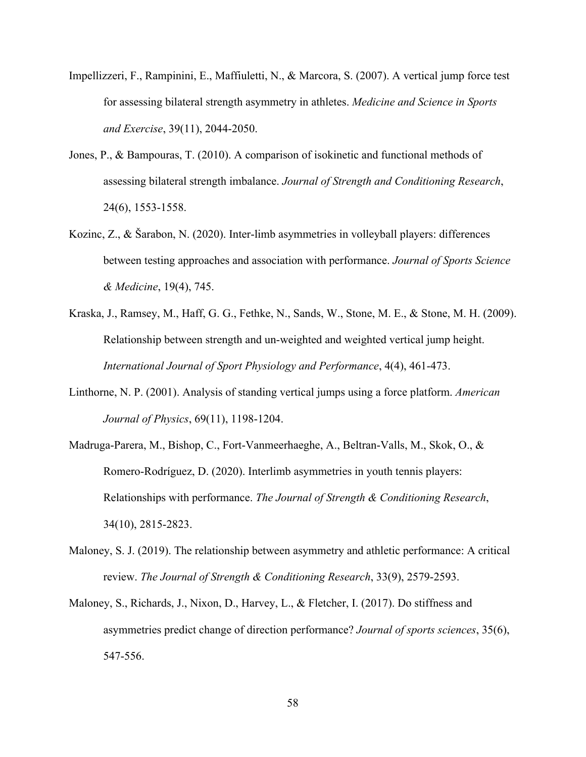- Impellizzeri, F., Rampinini, E., Maffiuletti, N., & Marcora, S. (2007). A vertical jump force test for assessing bilateral strength asymmetry in athletes. *Medicine and Science in Sports and Exercise*, 39(11), 2044-2050.
- Jones, P., & Bampouras, T. (2010). A comparison of isokinetic and functional methods of assessing bilateral strength imbalance. *Journal of Strength and Conditioning Research*, 24(6), 1553-1558.
- Kozinc, Z., & Šarabon, N. (2020). Inter-limb asymmetries in volleyball players: differences between testing approaches and association with performance. *Journal of Sports Science & Medicine*, 19(4), 745.
- Kraska, J., Ramsey, M., Haff, G. G., Fethke, N., Sands, W., Stone, M. E., & Stone, M. H. (2009). Relationship between strength and un-weighted and weighted vertical jump height. *International Journal of Sport Physiology and Performance*, 4(4), 461-473.
- Linthorne, N. P. (2001). Analysis of standing vertical jumps using a force platform. *American Journal of Physics*, 69(11), 1198-1204.
- Madruga-Parera, M., Bishop, C., Fort-Vanmeerhaeghe, A., Beltran-Valls, M., Skok, O., & Romero-Rodríguez, D. (2020). Interlimb asymmetries in youth tennis players: Relationships with performance. *The Journal of Strength & Conditioning Research*, 34(10), 2815-2823.
- Maloney, S. J. (2019). The relationship between asymmetry and athletic performance: A critical review. *The Journal of Strength & Conditioning Research*, 33(9), 2579-2593.
- Maloney, S., Richards, J., Nixon, D., Harvey, L., & Fletcher, I. (2017). Do stiffness and asymmetries predict change of direction performance? *Journal of sports sciences*, 35(6), 547-556.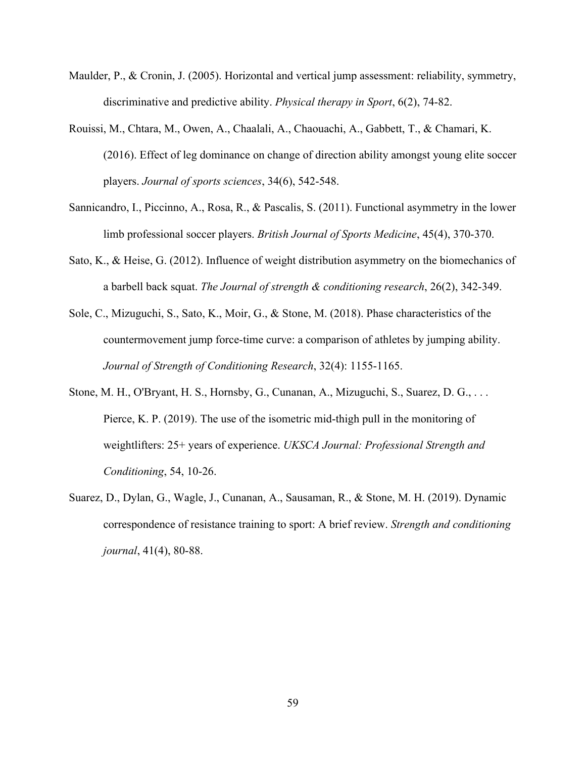- Maulder, P., & Cronin, J. (2005). Horizontal and vertical jump assessment: reliability, symmetry, discriminative and predictive ability. *Physical therapy in Sport*, 6(2), 74-82.
- Rouissi, M., Chtara, M., Owen, A., Chaalali, A., Chaouachi, A., Gabbett, T., & Chamari, K. (2016). Effect of leg dominance on change of direction ability amongst young elite soccer players. *Journal of sports sciences*, 34(6), 542-548.
- Sannicandro, I., Piccinno, A., Rosa, R., & Pascalis, S. (2011). Functional asymmetry in the lower limb professional soccer players. *British Journal of Sports Medicine*, 45(4), 370-370.
- Sato, K., & Heise, G. (2012). Influence of weight distribution asymmetry on the biomechanics of a barbell back squat. *The Journal of strength & conditioning research*, 26(2), 342-349.
- Sole, C., Mizuguchi, S., Sato, K., Moir, G., & Stone, M. (2018). Phase characteristics of the countermovement jump force-time curve: a comparison of athletes by jumping ability. *Journal of Strength of Conditioning Research*, 32(4): 1155-1165.
- Stone, M. H., O'Bryant, H. S., Hornsby, G., Cunanan, A., Mizuguchi, S., Suarez, D. G., . . . Pierce, K. P. (2019). The use of the isometric mid-thigh pull in the monitoring of weightlifters: 25+ years of experience. *UKSCA Journal: Professional Strength and Conditioning*, 54, 10-26.
- Suarez, D., Dylan, G., Wagle, J., Cunanan, A., Sausaman, R., & Stone, M. H. (2019). Dynamic correspondence of resistance training to sport: A brief review. *Strength and conditioning journal*, 41(4), 80-88.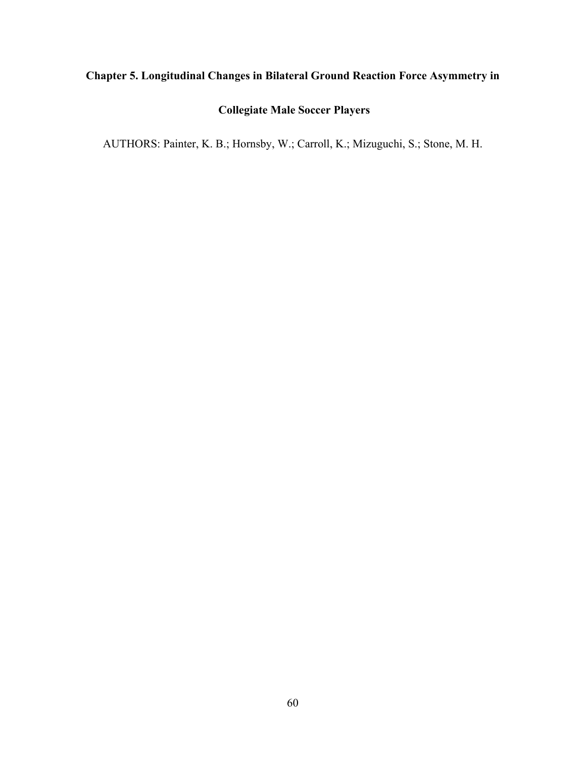# **Chapter 5. Longitudinal Changes in Bilateral Ground Reaction Force Asymmetry in**

# **Collegiate Male Soccer Players**

AUTHORS: Painter, K. B.; Hornsby, W.; Carroll, K.; Mizuguchi, S.; Stone, M. H.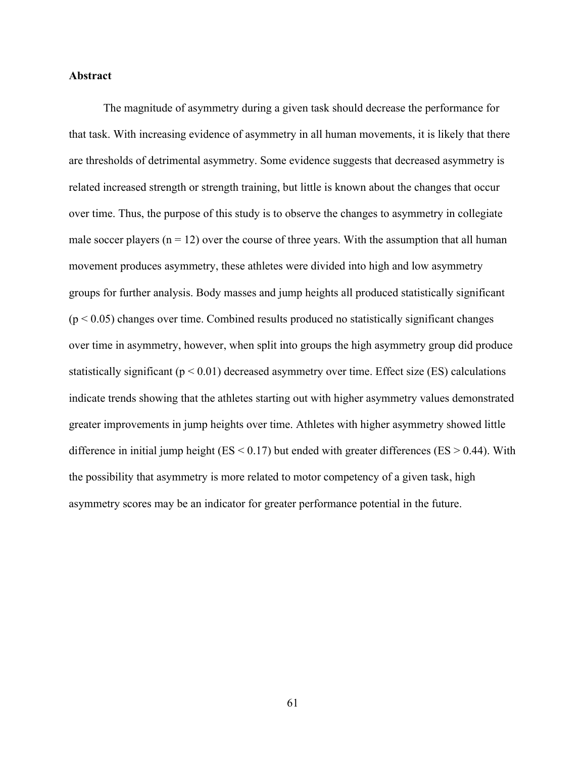## **Abstract**

The magnitude of asymmetry during a given task should decrease the performance for that task. With increasing evidence of asymmetry in all human movements, it is likely that there are thresholds of detrimental asymmetry. Some evidence suggests that decreased asymmetry is related increased strength or strength training, but little is known about the changes that occur over time. Thus, the purpose of this study is to observe the changes to asymmetry in collegiate male soccer players  $(n = 12)$  over the course of three years. With the assumption that all human movement produces asymmetry, these athletes were divided into high and low asymmetry groups for further analysis. Body masses and jump heights all produced statistically significant  $(p < 0.05)$  changes over time. Combined results produced no statistically significant changes over time in asymmetry, however, when split into groups the high asymmetry group did produce statistically significant ( $p < 0.01$ ) decreased asymmetry over time. Effect size (ES) calculations indicate trends showing that the athletes starting out with higher asymmetry values demonstrated greater improvements in jump heights over time. Athletes with higher asymmetry showed little difference in initial jump height ( $ES < 0.17$ ) but ended with greater differences ( $ES > 0.44$ ). With the possibility that asymmetry is more related to motor competency of a given task, high asymmetry scores may be an indicator for greater performance potential in the future.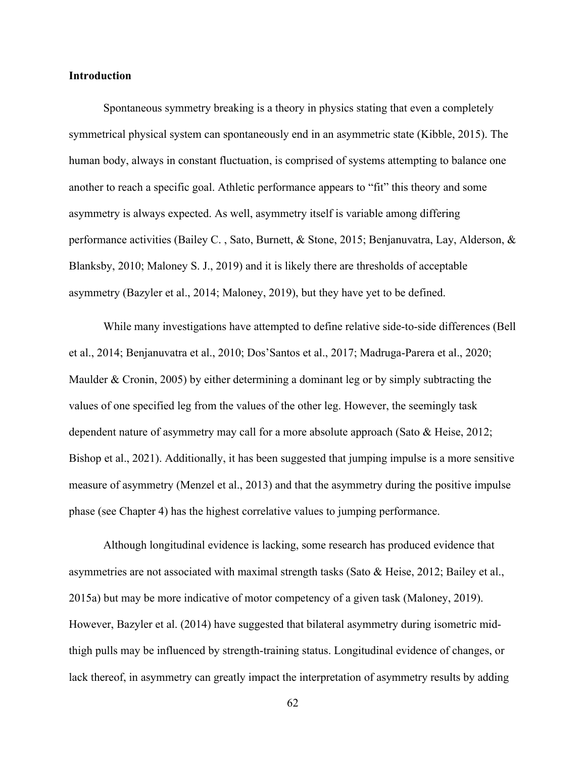## **Introduction**

Spontaneous symmetry breaking is a theory in physics stating that even a completely symmetrical physical system can spontaneously end in an asymmetric state (Kibble, 2015). The human body, always in constant fluctuation, is comprised of systems attempting to balance one another to reach a specific goal. Athletic performance appears to "fit" this theory and some asymmetry is always expected. As well, asymmetry itself is variable among differing performance activities (Bailey C. , Sato, Burnett, & Stone, 2015; Benjanuvatra, Lay, Alderson, & Blanksby, 2010; Maloney S. J., 2019) and it is likely there are thresholds of acceptable asymmetry (Bazyler et al., 2014; Maloney, 2019), but they have yet to be defined.

While many investigations have attempted to define relative side-to-side differences (Bell et al., 2014; Benjanuvatra et al., 2010; Dos'Santos et al., 2017; Madruga-Parera et al., 2020; Maulder & Cronin, 2005) by either determining a dominant leg or by simply subtracting the values of one specified leg from the values of the other leg. However, the seemingly task dependent nature of asymmetry may call for a more absolute approach (Sato & Heise, 2012; Bishop et al., 2021). Additionally, it has been suggested that jumping impulse is a more sensitive measure of asymmetry (Menzel et al., 2013) and that the asymmetry during the positive impulse phase (see Chapter 4) has the highest correlative values to jumping performance.

Although longitudinal evidence is lacking, some research has produced evidence that asymmetries are not associated with maximal strength tasks (Sato & Heise, 2012; Bailey et al., 2015a) but may be more indicative of motor competency of a given task (Maloney, 2019). However, Bazyler et al. (2014) have suggested that bilateral asymmetry during isometric midthigh pulls may be influenced by strength-training status. Longitudinal evidence of changes, or lack thereof, in asymmetry can greatly impact the interpretation of asymmetry results by adding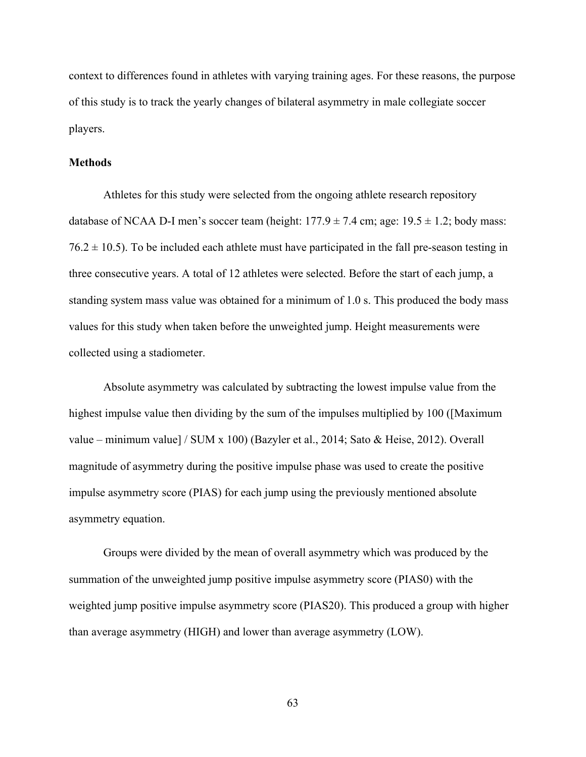context to differences found in athletes with varying training ages. For these reasons, the purpose of this study is to track the yearly changes of bilateral asymmetry in male collegiate soccer players.

#### **Methods**

Athletes for this study were selected from the ongoing athlete research repository database of NCAA D-I men's soccer team (height:  $177.9 \pm 7.4$  cm; age:  $19.5 \pm 1.2$ ; body mass:  $76.2 \pm 10.5$ ). To be included each athlete must have participated in the fall pre-season testing in three consecutive years. A total of 12 athletes were selected. Before the start of each jump, a standing system mass value was obtained for a minimum of 1.0 s. This produced the body mass values for this study when taken before the unweighted jump. Height measurements were collected using a stadiometer.

Absolute asymmetry was calculated by subtracting the lowest impulse value from the highest impulse value then dividing by the sum of the impulses multiplied by 100 ([Maximum value – minimum value] / SUM x 100) (Bazyler et al., 2014; Sato & Heise, 2012). Overall magnitude of asymmetry during the positive impulse phase was used to create the positive impulse asymmetry score (PIAS) for each jump using the previously mentioned absolute asymmetry equation.

Groups were divided by the mean of overall asymmetry which was produced by the summation of the unweighted jump positive impulse asymmetry score (PIAS0) with the weighted jump positive impulse asymmetry score (PIAS20). This produced a group with higher than average asymmetry (HIGH) and lower than average asymmetry (LOW).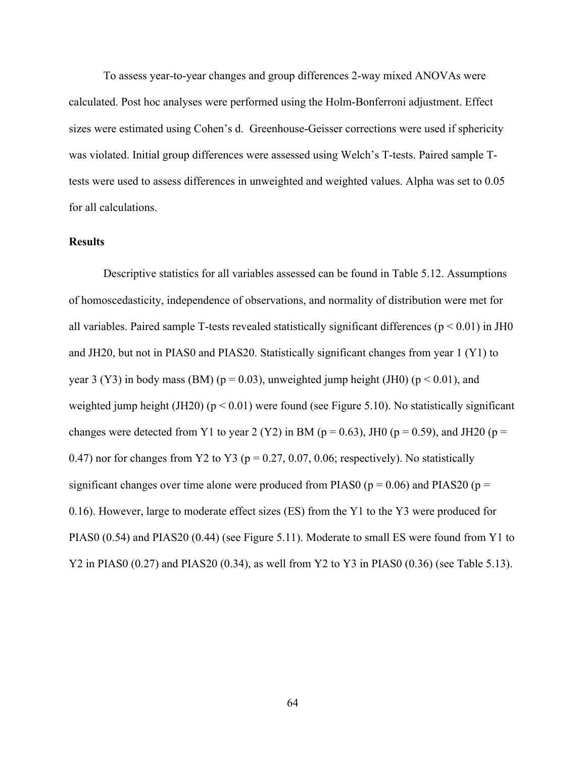To assess year-to-year changes and group differences 2-way mixed ANOVAs were calculated. Post hoc analyses were performed using the Holm-Bonferroni adjustment. Effect sizes were estimated using Cohen's d. Greenhouse-Geisser corrections were used if sphericity was violated. Initial group differences were assessed using Welch's T-tests. Paired sample Ttests were used to assess differences in unweighted and weighted values. Alpha was set to 0.05 for all calculations.

# **Results**

Descriptive statistics for all variables assessed can be found in Table 5.12. Assumptions of homoscedasticity, independence of observations, and normality of distribution were met for all variables. Paired sample T-tests revealed statistically significant differences ( $p < 0.01$ ) in JH0 and JH20, but not in PIAS0 and PIAS20. Statistically significant changes from year 1 (Y1) to year 3 (Y3) in body mass (BM) ( $p = 0.03$ ), unweighted jump height (JH0) ( $p < 0.01$ ), and weighted jump height (JH20) ( $p < 0.01$ ) were found (see Figure 5.10). No statistically significant changes were detected from Y1 to year 2 (Y2) in BM ( $p = 0.63$ ), JH0 ( $p = 0.59$ ), and JH20 ( $p =$ 0.47) nor for changes from Y2 to Y3 ( $p = 0.27, 0.07, 0.06$ ; respectively). No statistically significant changes over time alone were produced from PIAS0 ( $p = 0.06$ ) and PIAS20 ( $p =$ 0.16). However, large to moderate effect sizes (ES) from the Y1 to the Y3 were produced for PIAS0 (0.54) and PIAS20 (0.44) (see Figure 5.11). Moderate to small ES were found from Y1 to Y2 in PIAS0 (0.27) and PIAS20 (0.34), as well from Y2 to Y3 in PIAS0 (0.36) (see Table 5.13).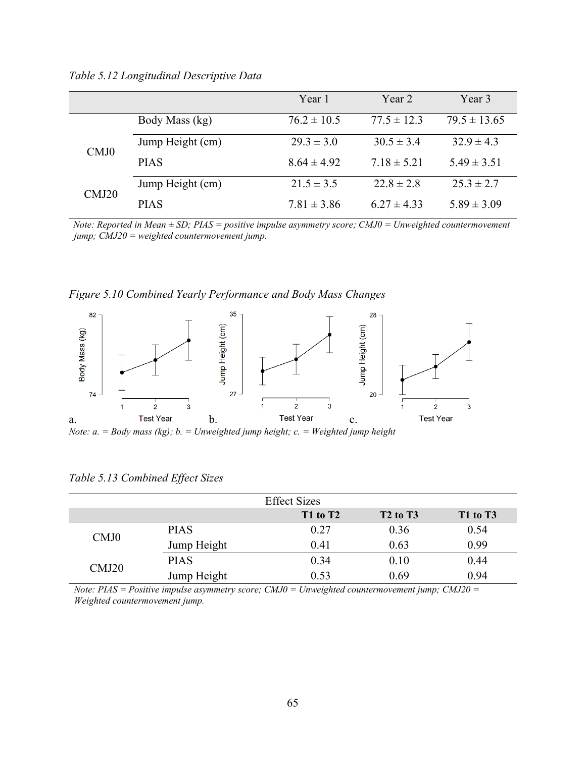|       |                  | Year 1          | Year 2          | Year 3           |
|-------|------------------|-----------------|-----------------|------------------|
|       | Body Mass (kg)   | $76.2 \pm 10.5$ | $77.5 \pm 12.3$ | $79.5 \pm 13.65$ |
| CMJ0  | Jump Height (cm) | $29.3 \pm 3.0$  | $30.5 \pm 3.4$  | $32.9 \pm 4.3$   |
|       | <b>PIAS</b>      | $8.64 \pm 4.92$ | $7.18 \pm 5.21$ | $5.49 \pm 3.51$  |
| CMJ20 | Jump Height (cm) | $21.5 \pm 3.5$  | $22.8 \pm 2.8$  | $25.3 \pm 2.7$   |
|       | <b>PIAS</b>      | $7.81 \pm 3.86$ | $6.27 \pm 4.33$ | $5.89 \pm 3.09$  |

*Table 5.12 Longitudinal Descriptive Data* 

*Note: Reported in Mean ± SD; PIAS = positive impulse asymmetry score; CMJ0 = Unweighted countermovement jump; CMJ20 = weighted countermovement jump.* 

*Figure 5.10 Combined Yearly Performance and Body Mass Changes* 



*Note: a. = Body mass (kg); b. = Unweighted jump height; c. = Weighted jump height* 

| <b>Effect Sizes</b> |             |          |                                  |          |
|---------------------|-------------|----------|----------------------------------|----------|
|                     |             | T1 to T2 | T <sub>2</sub> to T <sub>3</sub> | T1 to T3 |
| CMJ0                | <b>PIAS</b> | 0.27     | 0.36                             | 0.54     |
|                     | Jump Height | 0.41     | 0.63                             | 0.99     |
| CMJ20               | <b>PIAS</b> | 0.34     | 0.10                             | 0.44     |
|                     | Jump Height | 0.53     | 0.69                             | 0.94     |

*Table 5.13 Combined Effect Sizes* 

*Note: PIAS = Positive impulse asymmetry score; CMJ0 = Unweighted countermovement jump; CMJ20 = Weighted countermovement jump.*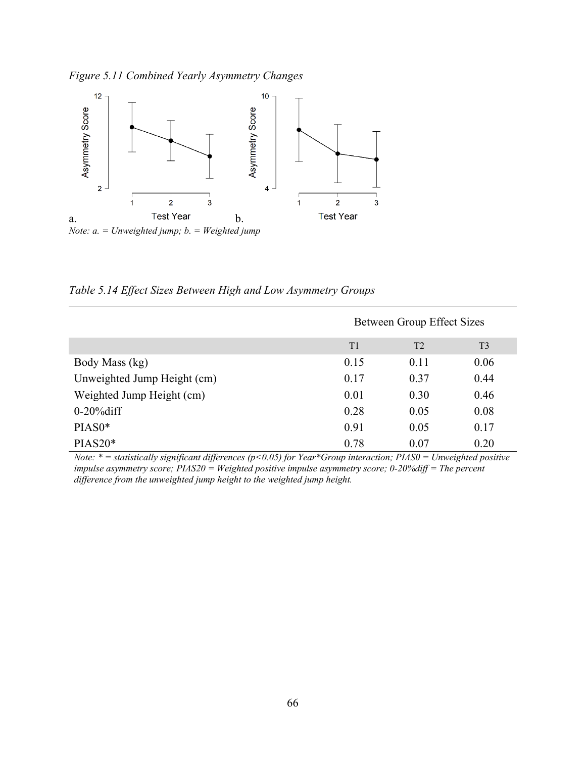*Figure 5.11 Combined Yearly Asymmetry Changes* 



*Table 5.14 Effect Sizes Between High and Low Asymmetry Groups* 

|                             | Between Group Effect Sizes |                |                |
|-----------------------------|----------------------------|----------------|----------------|
|                             | T1                         | T <sub>2</sub> | T <sub>3</sub> |
| Body Mass (kg)              | 0.15                       | 0.11           | 0.06           |
| Unweighted Jump Height (cm) | 0.17                       | 0.37           | 0.44           |
| Weighted Jump Height (cm)   | 0.01                       | 0.30           | 0.46           |
| $0-20\%$ diff               | 0.28                       | 0.05           | 0.08           |
| PIAS0*                      | 0.91                       | 0.05           | 0.17           |
| $PIAS20*$                   | 0.78                       | 0.07           | 0.20           |

*Note: \* = statistically significant differences (p<0.05) for Year\*Group interaction; PIAS0 = Unweighted positive impulse asymmetry score; PIAS20 = Weighted positive impulse asymmetry score; 0-20%diff = The percent difference from the unweighted jump height to the weighted jump height.*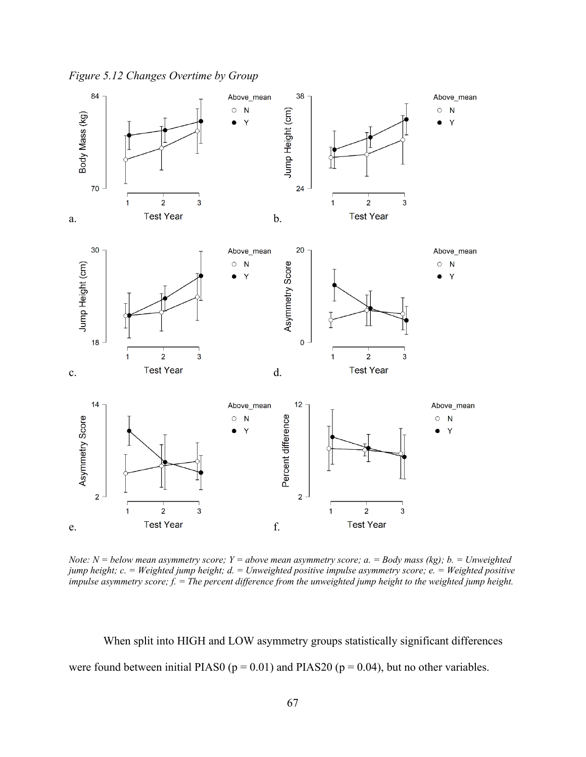*Figure 5.12 Changes Overtime by Group* 



*Note: N = below mean asymmetry score; Y = above mean asymmetry score; a. = Body mass (kg); b. = Unweighted jump height; c. = Weighted jump height; d. = Unweighted positive impulse asymmetry score; e. = Weighted positive impulse asymmetry score; f. = The percent difference from the unweighted jump height to the weighted jump height.* 

When split into HIGH and LOW asymmetry groups statistically significant differences were found between initial PIAS0 ( $p = 0.01$ ) and PIAS20 ( $p = 0.04$ ), but no other variables.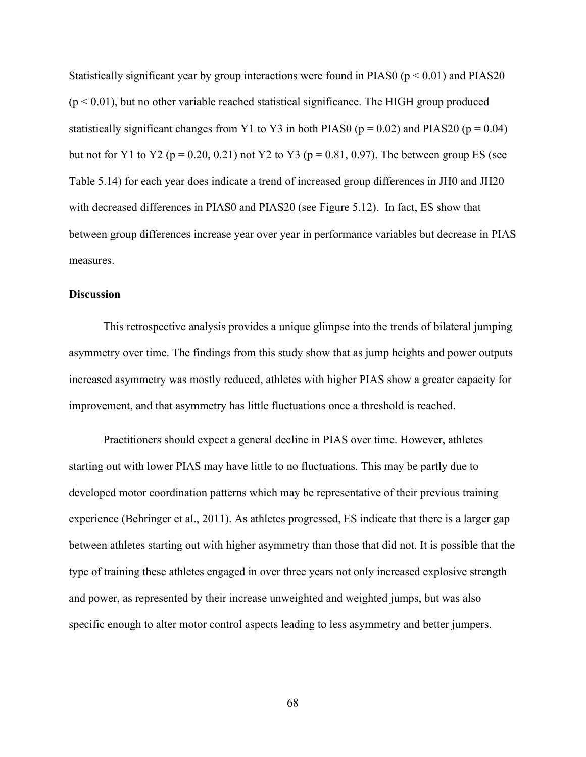Statistically significant year by group interactions were found in PIAS0 ( $p < 0.01$ ) and PIAS20  $(p < 0.01)$ , but no other variable reached statistical significance. The HIGH group produced statistically significant changes from Y1 to Y3 in both PIAS0 ( $p = 0.02$ ) and PIAS20 ( $p = 0.04$ ) but not for Y1 to Y2 ( $p = 0.20, 0.21$ ) not Y2 to Y3 ( $p = 0.81, 0.97$ ). The between group ES (see Table 5.14) for each year does indicate a trend of increased group differences in JH0 and JH20 with decreased differences in PIAS0 and PIAS20 (see Figure 5.12). In fact, ES show that between group differences increase year over year in performance variables but decrease in PIAS measures.

# **Discussion**

This retrospective analysis provides a unique glimpse into the trends of bilateral jumping asymmetry over time. The findings from this study show that as jump heights and power outputs increased asymmetry was mostly reduced, athletes with higher PIAS show a greater capacity for improvement, and that asymmetry has little fluctuations once a threshold is reached.

Practitioners should expect a general decline in PIAS over time. However, athletes starting out with lower PIAS may have little to no fluctuations. This may be partly due to developed motor coordination patterns which may be representative of their previous training experience (Behringer et al., 2011). As athletes progressed, ES indicate that there is a larger gap between athletes starting out with higher asymmetry than those that did not. It is possible that the type of training these athletes engaged in over three years not only increased explosive strength and power, as represented by their increase unweighted and weighted jumps, but was also specific enough to alter motor control aspects leading to less asymmetry and better jumpers.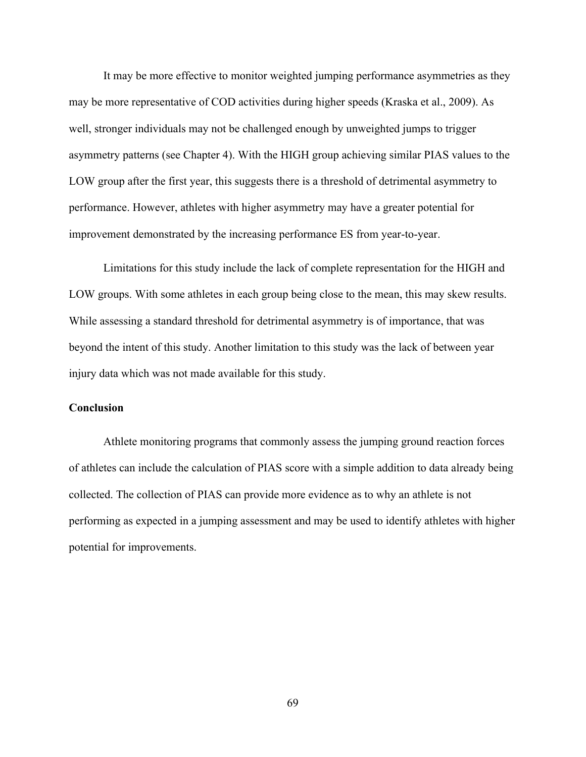It may be more effective to monitor weighted jumping performance asymmetries as they may be more representative of COD activities during higher speeds (Kraska et al., 2009). As well, stronger individuals may not be challenged enough by unweighted jumps to trigger asymmetry patterns (see Chapter 4). With the HIGH group achieving similar PIAS values to the LOW group after the first year, this suggests there is a threshold of detrimental asymmetry to performance. However, athletes with higher asymmetry may have a greater potential for improvement demonstrated by the increasing performance ES from year-to-year.

Limitations for this study include the lack of complete representation for the HIGH and LOW groups. With some athletes in each group being close to the mean, this may skew results. While assessing a standard threshold for detrimental asymmetry is of importance, that was beyond the intent of this study. Another limitation to this study was the lack of between year injury data which was not made available for this study.

# **Conclusion**

Athlete monitoring programs that commonly assess the jumping ground reaction forces of athletes can include the calculation of PIAS score with a simple addition to data already being collected. The collection of PIAS can provide more evidence as to why an athlete is not performing as expected in a jumping assessment and may be used to identify athletes with higher potential for improvements.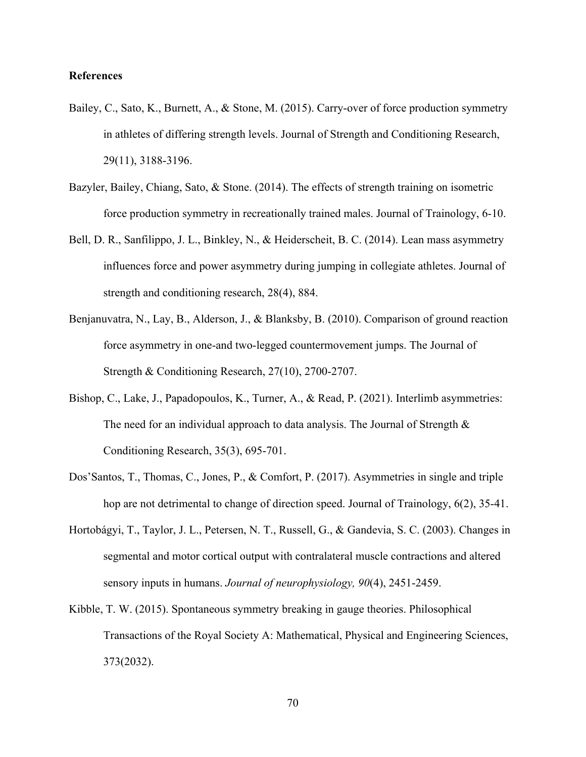# **References**

- Bailey, C., Sato, K., Burnett, A., & Stone, M. (2015). Carry-over of force production symmetry in athletes of differing strength levels. Journal of Strength and Conditioning Research, 29(11), 3188-3196.
- Bazyler, Bailey, Chiang, Sato, & Stone. (2014). The effects of strength training on isometric force production symmetry in recreationally trained males. Journal of Trainology, 6-10.
- Bell, D. R., Sanfilippo, J. L., Binkley, N., & Heiderscheit, B. C. (2014). Lean mass asymmetry influences force and power asymmetry during jumping in collegiate athletes. Journal of strength and conditioning research, 28(4), 884.
- Benjanuvatra, N., Lay, B., Alderson, J., & Blanksby, B. (2010). Comparison of ground reaction force asymmetry in one-and two-legged countermovement jumps. The Journal of Strength & Conditioning Research, 27(10), 2700-2707.
- Bishop, C., Lake, J., Papadopoulos, K., Turner, A., & Read, P. (2021). Interlimb asymmetries: The need for an individual approach to data analysis. The Journal of Strength  $\&$ Conditioning Research, 35(3), 695-701.
- Dos'Santos, T., Thomas, C., Jones, P., & Comfort, P. (2017). Asymmetries in single and triple hop are not detrimental to change of direction speed. Journal of Trainology, 6(2), 35-41.
- Hortobágyi, T., Taylor, J. L., Petersen, N. T., Russell, G., & Gandevia, S. C. (2003). Changes in segmental and motor cortical output with contralateral muscle contractions and altered sensory inputs in humans. *Journal of neurophysiology, 90*(4), 2451-2459.
- Kibble, T. W. (2015). Spontaneous symmetry breaking in gauge theories. Philosophical Transactions of the Royal Society A: Mathematical, Physical and Engineering Sciences, 373(2032).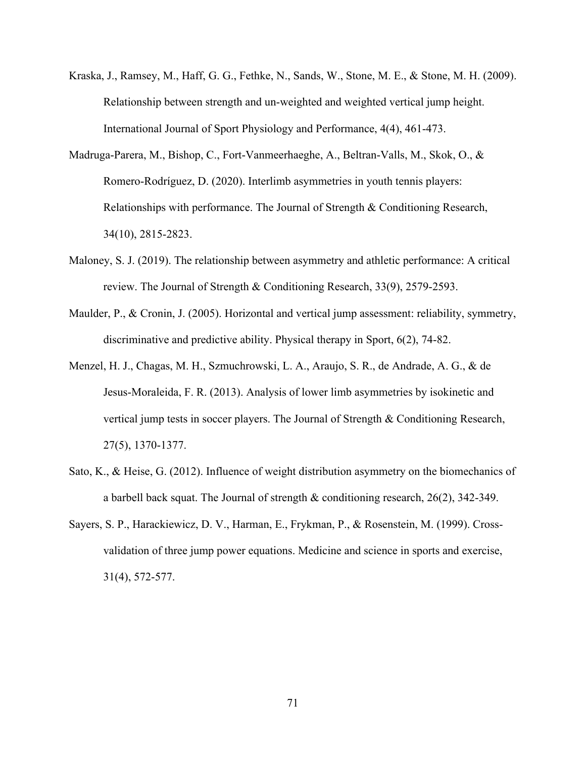- Kraska, J., Ramsey, M., Haff, G. G., Fethke, N., Sands, W., Stone, M. E., & Stone, M. H. (2009). Relationship between strength and un-weighted and weighted vertical jump height. International Journal of Sport Physiology and Performance, 4(4), 461-473.
- Madruga-Parera, M., Bishop, C., Fort-Vanmeerhaeghe, A., Beltran-Valls, M., Skok, O., & Romero-Rodríguez, D. (2020). Interlimb asymmetries in youth tennis players: Relationships with performance. The Journal of Strength & Conditioning Research, 34(10), 2815-2823.
- Maloney, S. J. (2019). The relationship between asymmetry and athletic performance: A critical review. The Journal of Strength & Conditioning Research, 33(9), 2579-2593.
- Maulder, P., & Cronin, J. (2005). Horizontal and vertical jump assessment: reliability, symmetry, discriminative and predictive ability. Physical therapy in Sport, 6(2), 74-82.
- Menzel, H. J., Chagas, M. H., Szmuchrowski, L. A., Araujo, S. R., de Andrade, A. G., & de Jesus-Moraleida, F. R. (2013). Analysis of lower limb asymmetries by isokinetic and vertical jump tests in soccer players. The Journal of Strength & Conditioning Research, 27(5), 1370-1377.
- Sato, K., & Heise, G. (2012). Influence of weight distribution asymmetry on the biomechanics of a barbell back squat. The Journal of strength & conditioning research, 26(2), 342-349.
- Sayers, S. P., Harackiewicz, D. V., Harman, E., Frykman, P., & Rosenstein, M. (1999). Crossvalidation of three jump power equations. Medicine and science in sports and exercise, 31(4), 572-577.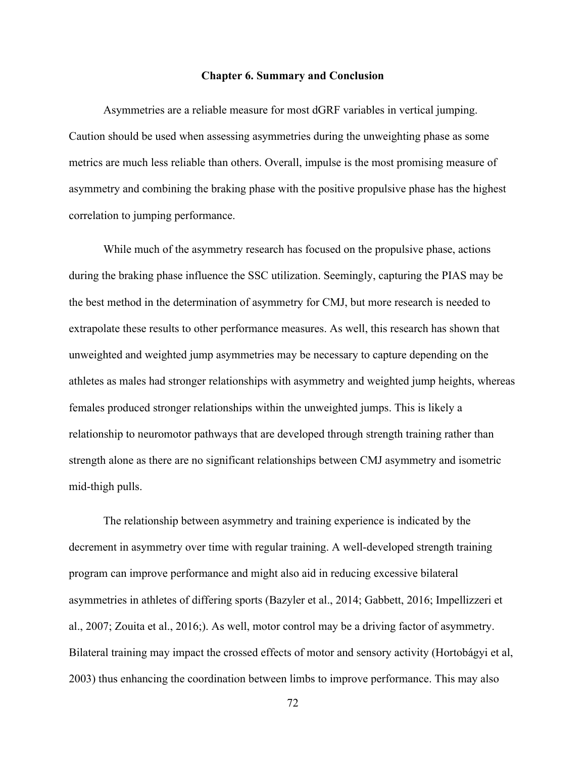## **Chapter 6. Summary and Conclusion**

Asymmetries are a reliable measure for most dGRF variables in vertical jumping. Caution should be used when assessing asymmetries during the unweighting phase as some metrics are much less reliable than others. Overall, impulse is the most promising measure of asymmetry and combining the braking phase with the positive propulsive phase has the highest correlation to jumping performance.

While much of the asymmetry research has focused on the propulsive phase, actions during the braking phase influence the SSC utilization. Seemingly, capturing the PIAS may be the best method in the determination of asymmetry for CMJ, but more research is needed to extrapolate these results to other performance measures. As well, this research has shown that unweighted and weighted jump asymmetries may be necessary to capture depending on the athletes as males had stronger relationships with asymmetry and weighted jump heights, whereas females produced stronger relationships within the unweighted jumps. This is likely a relationship to neuromotor pathways that are developed through strength training rather than strength alone as there are no significant relationships between CMJ asymmetry and isometric mid-thigh pulls.

The relationship between asymmetry and training experience is indicated by the decrement in asymmetry over time with regular training. A well-developed strength training program can improve performance and might also aid in reducing excessive bilateral asymmetries in athletes of differing sports (Bazyler et al., 2014; Gabbett, 2016; Impellizzeri et al., 2007; Zouita et al., 2016;). As well, motor control may be a driving factor of asymmetry. Bilateral training may impact the crossed effects of motor and sensory activity (Hortobágyi et al, 2003) thus enhancing the coordination between limbs to improve performance. This may also

72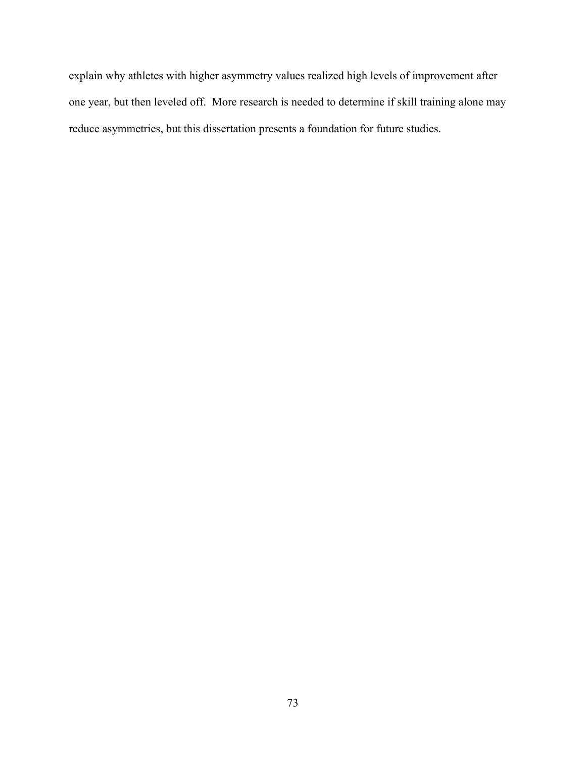explain why athletes with higher asymmetry values realized high levels of improvement after one year, but then leveled off. More research is needed to determine if skill training alone may reduce asymmetries, but this dissertation presents a foundation for future studies.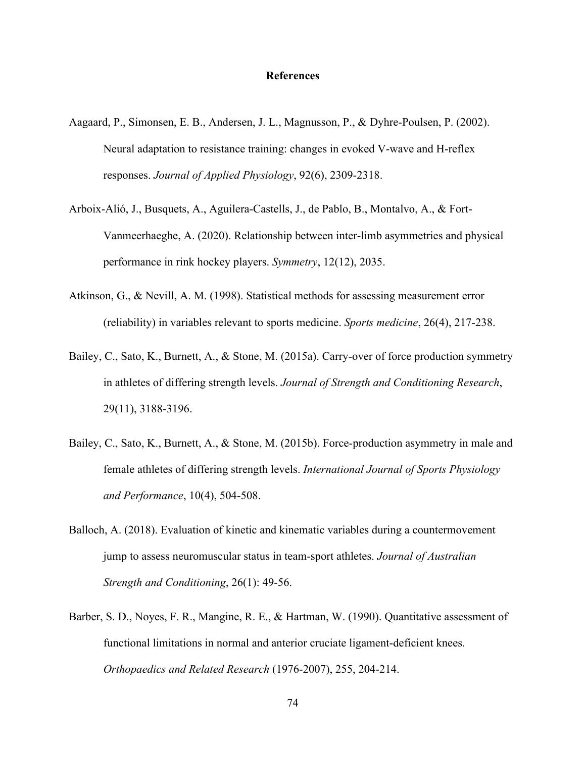## **References**

- Aagaard, P., Simonsen, E. B., Andersen, J. L., Magnusson, P., & Dyhre-Poulsen, P. (2002). Neural adaptation to resistance training: changes in evoked V-wave and H-reflex responses. *Journal of Applied Physiology*, 92(6), 2309-2318.
- Arboix-Alió, J., Busquets, A., Aguilera-Castells, J., de Pablo, B., Montalvo, A., & Fort-Vanmeerhaeghe, A. (2020). Relationship between inter-limb asymmetries and physical performance in rink hockey players. *Symmetry*, 12(12), 2035.
- Atkinson, G., & Nevill, A. M. (1998). Statistical methods for assessing measurement error (reliability) in variables relevant to sports medicine. *Sports medicine*, 26(4), 217-238.
- Bailey, C., Sato, K., Burnett, A., & Stone, M. (2015a). Carry-over of force production symmetry in athletes of differing strength levels. *Journal of Strength and Conditioning Research*, 29(11), 3188-3196.
- Bailey, C., Sato, K., Burnett, A., & Stone, M. (2015b). Force-production asymmetry in male and female athletes of differing strength levels. *International Journal of Sports Physiology and Performance*, 10(4), 504-508.
- Balloch, A. (2018). Evaluation of kinetic and kinematic variables during a countermovement jump to assess neuromuscular status in team-sport athletes. *Journal of Australian Strength and Conditioning*, 26(1): 49-56.
- Barber, S. D., Noyes, F. R., Mangine, R. E., & Hartman, W. (1990). Quantitative assessment of functional limitations in normal and anterior cruciate ligament-deficient knees. *Orthopaedics and Related Research* (1976-2007), 255, 204-214.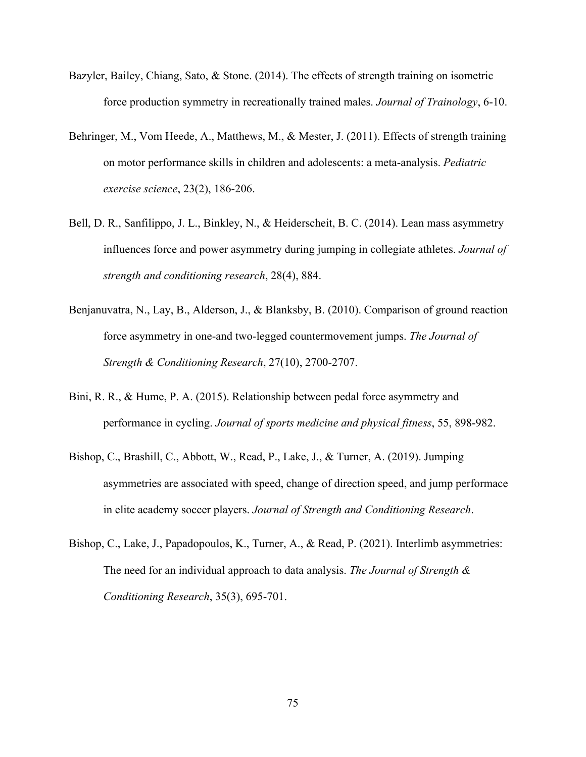- Bazyler, Bailey, Chiang, Sato, & Stone. (2014). The effects of strength training on isometric force production symmetry in recreationally trained males. *Journal of Trainology*, 6-10.
- Behringer, M., Vom Heede, A., Matthews, M., & Mester, J. (2011). Effects of strength training on motor performance skills in children and adolescents: a meta-analysis. *Pediatric exercise science*, 23(2), 186-206.
- Bell, D. R., Sanfilippo, J. L., Binkley, N., & Heiderscheit, B. C. (2014). Lean mass asymmetry influences force and power asymmetry during jumping in collegiate athletes. *Journal of strength and conditioning research*, 28(4), 884.
- Benjanuvatra, N., Lay, B., Alderson, J., & Blanksby, B. (2010). Comparison of ground reaction force asymmetry in one-and two-legged countermovement jumps. *The Journal of Strength & Conditioning Research*, 27(10), 2700-2707.
- Bini, R. R., & Hume, P. A. (2015). Relationship between pedal force asymmetry and performance in cycling. *Journal of sports medicine and physical fitness*, 55, 898-982.
- Bishop, C., Brashill, C., Abbott, W., Read, P., Lake, J., & Turner, A. (2019). Jumping asymmetries are associated with speed, change of direction speed, and jump performace in elite academy soccer players. *Journal of Strength and Conditioning Research*.
- Bishop, C., Lake, J., Papadopoulos, K., Turner, A., & Read, P. (2021). Interlimb asymmetries: The need for an individual approach to data analysis. *The Journal of Strength & Conditioning Research*, 35(3), 695-701.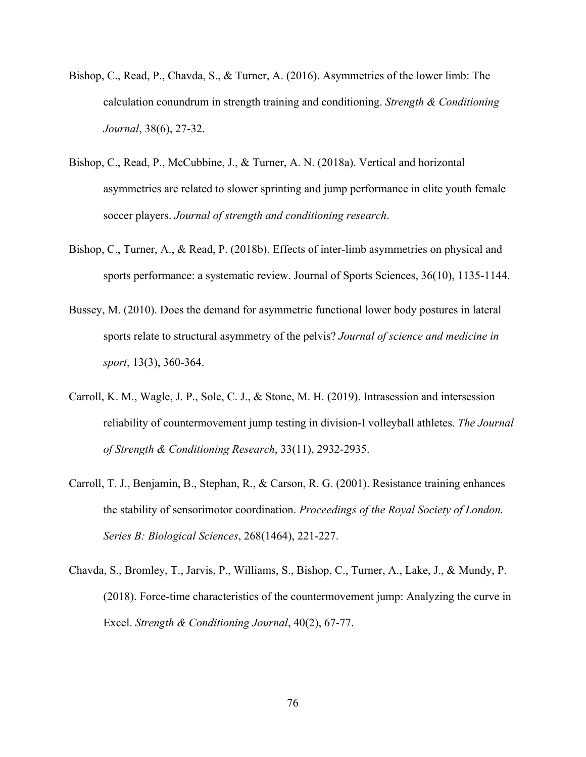- Bishop, C., Read, P., Chavda, S., & Turner, A. (2016). Asymmetries of the lower limb: The calculation conundrum in strength training and conditioning. *Strength & Conditioning Journal*, 38(6), 27-32.
- Bishop, C., Read, P., McCubbine, J., & Turner, A. N. (2018a). Vertical and horizontal asymmetries are related to slower sprinting and jump performance in elite youth female soccer players. *Journal of strength and conditioning research*.
- Bishop, C., Turner, A., & Read, P. (2018b). Effects of inter-limb asymmetries on physical and sports performance: a systematic review. Journal of Sports Sciences, 36(10), 1135-1144.
- Bussey, M. (2010). Does the demand for asymmetric functional lower body postures in lateral sports relate to structural asymmetry of the pelvis? *Journal of science and medicine in sport*, 13(3), 360-364.
- Carroll, K. M., Wagle, J. P., Sole, C. J., & Stone, M. H. (2019). Intrasession and intersession reliability of countermovement jump testing in division-I volleyball athletes. *The Journal of Strength & Conditioning Research*, 33(11), 2932-2935.
- Carroll, T. J., Benjamin, B., Stephan, R., & Carson, R. G. (2001). Resistance training enhances the stability of sensorimotor coordination. *Proceedings of the Royal Society of London. Series B: Biological Sciences*, 268(1464), 221-227.
- Chavda, S., Bromley, T., Jarvis, P., Williams, S., Bishop, C., Turner, A., Lake, J., & Mundy, P. (2018). Force-time characteristics of the countermovement jump: Analyzing the curve in Excel. *Strength & Conditioning Journal*, 40(2), 67-77.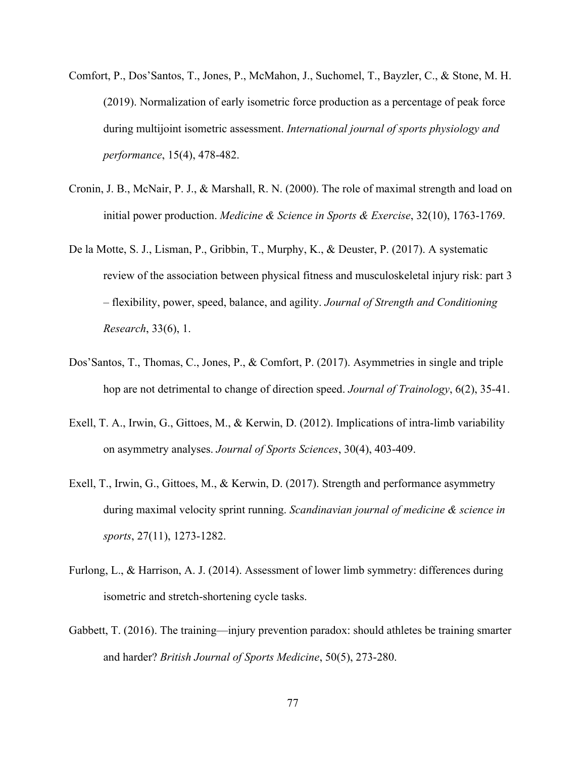- Comfort, P., Dos'Santos, T., Jones, P., McMahon, J., Suchomel, T., Bayzler, C., & Stone, M. H. (2019). Normalization of early isometric force production as a percentage of peak force during multijoint isometric assessment. *International journal of sports physiology and performance*, 15(4), 478-482.
- Cronin, J. B., McNair, P. J., & Marshall, R. N. (2000). The role of maximal strength and load on initial power production. *Medicine & Science in Sports & Exercise*, 32(10), 1763-1769.
- De la Motte, S. J., Lisman, P., Gribbin, T., Murphy, K., & Deuster, P. (2017). A systematic review of the association between physical fitness and musculoskeletal injury risk: part 3 – flexibility, power, speed, balance, and agility. *Journal of Strength and Conditioning Research*, 33(6), 1.
- Dos'Santos, T., Thomas, C., Jones, P., & Comfort, P. (2017). Asymmetries in single and triple hop are not detrimental to change of direction speed. *Journal of Trainology*, 6(2), 35-41.
- Exell, T. A., Irwin, G., Gittoes, M., & Kerwin, D. (2012). Implications of intra-limb variability on asymmetry analyses. *Journal of Sports Sciences*, 30(4), 403-409.
- Exell, T., Irwin, G., Gittoes, M., & Kerwin, D. (2017). Strength and performance asymmetry during maximal velocity sprint running. *Scandinavian journal of medicine & science in sports*, 27(11), 1273-1282.
- Furlong, L., & Harrison, A. J. (2014). Assessment of lower limb symmetry: differences during isometric and stretch-shortening cycle tasks.
- Gabbett, T. (2016). The training—injury prevention paradox: should athletes be training smarter and harder? *British Journal of Sports Medicine*, 50(5), 273-280.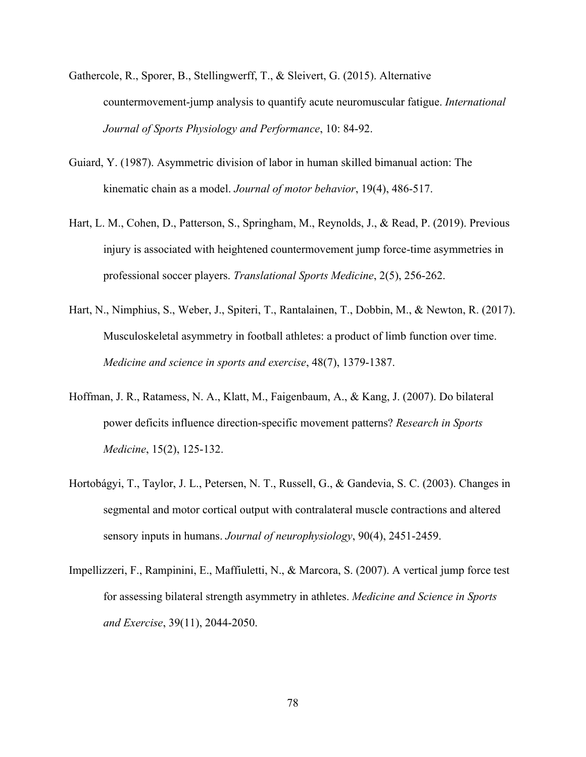- Gathercole, R., Sporer, B., Stellingwerff, T., & Sleivert, G. (2015). Alternative countermovement-jump analysis to quantify acute neuromuscular fatigue. *International Journal of Sports Physiology and Performance*, 10: 84-92.
- Guiard, Y. (1987). Asymmetric division of labor in human skilled bimanual action: The kinematic chain as a model. *Journal of motor behavior*, 19(4), 486-517.
- Hart, L. M., Cohen, D., Patterson, S., Springham, M., Reynolds, J., & Read, P. (2019). Previous injury is associated with heightened countermovement jump force-time asymmetries in professional soccer players. *Translational Sports Medicine*, 2(5), 256-262.
- Hart, N., Nimphius, S., Weber, J., Spiteri, T., Rantalainen, T., Dobbin, M., & Newton, R. (2017). Musculoskeletal asymmetry in football athletes: a product of limb function over time. *Medicine and science in sports and exercise*, 48(7), 1379-1387.
- Hoffman, J. R., Ratamess, N. A., Klatt, M., Faigenbaum, A., & Kang, J. (2007). Do bilateral power deficits influence direction-specific movement patterns? *Research in Sports Medicine*, 15(2), 125-132.
- Hortobágyi, T., Taylor, J. L., Petersen, N. T., Russell, G., & Gandevia, S. C. (2003). Changes in segmental and motor cortical output with contralateral muscle contractions and altered sensory inputs in humans. *Journal of neurophysiology*, 90(4), 2451-2459.
- Impellizzeri, F., Rampinini, E., Maffiuletti, N., & Marcora, S. (2007). A vertical jump force test for assessing bilateral strength asymmetry in athletes. *Medicine and Science in Sports and Exercise*, 39(11), 2044-2050.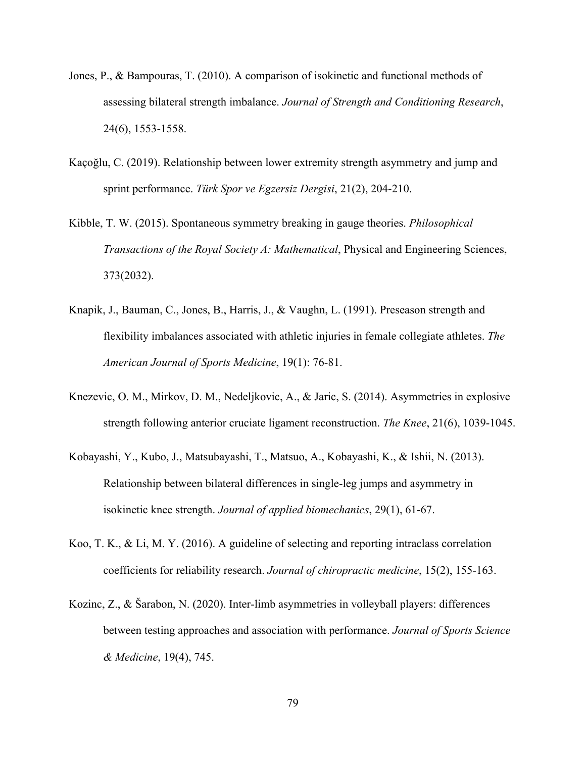- Jones, P., & Bampouras, T. (2010). A comparison of isokinetic and functional methods of assessing bilateral strength imbalance. *Journal of Strength and Conditioning Research*, 24(6), 1553-1558.
- Kaçoğlu, C. (2019). Relationship between lower extremity strength asymmetry and jump and sprint performance. *Türk Spor ve Egzersiz Dergisi*, 21(2), 204-210.
- Kibble, T. W. (2015). Spontaneous symmetry breaking in gauge theories. *Philosophical Transactions of the Royal Society A: Mathematical*, Physical and Engineering Sciences, 373(2032).
- Knapik, J., Bauman, C., Jones, B., Harris, J., & Vaughn, L. (1991). Preseason strength and flexibility imbalances associated with athletic injuries in female collegiate athletes. *The American Journal of Sports Medicine*, 19(1): 76-81.
- Knezevic, O. M., Mirkov, D. M., Nedeljkovic, A., & Jaric, S. (2014). Asymmetries in explosive strength following anterior cruciate ligament reconstruction. *The Knee*, 21(6), 1039-1045.
- Kobayashi, Y., Kubo, J., Matsubayashi, T., Matsuo, A., Kobayashi, K., & Ishii, N. (2013). Relationship between bilateral differences in single-leg jumps and asymmetry in isokinetic knee strength. *Journal of applied biomechanics*, 29(1), 61-67.
- Koo, T. K., & Li, M. Y. (2016). A guideline of selecting and reporting intraclass correlation coefficients for reliability research. *Journal of chiropractic medicine*, 15(2), 155-163.
- Kozinc, Z., & Šarabon, N. (2020). Inter-limb asymmetries in volleyball players: differences between testing approaches and association with performance. *Journal of Sports Science & Medicine*, 19(4), 745.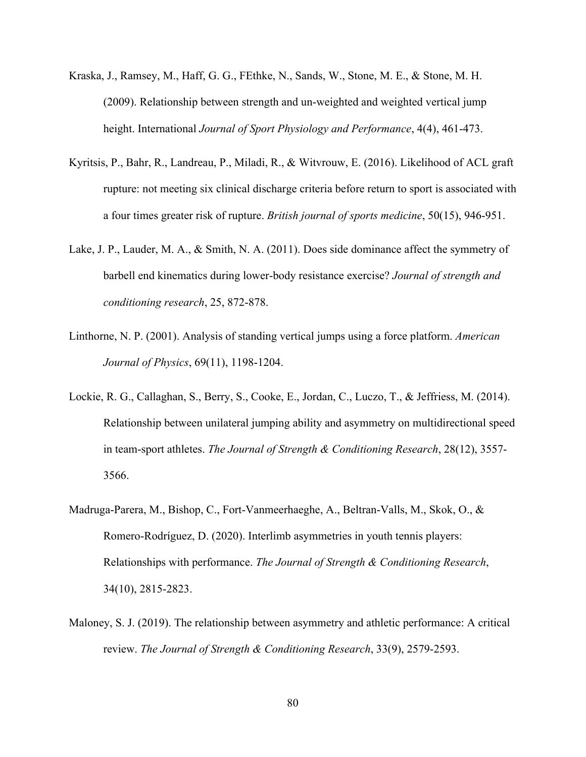- Kraska, J., Ramsey, M., Haff, G. G., FEthke, N., Sands, W., Stone, M. E., & Stone, M. H. (2009). Relationship between strength and un-weighted and weighted vertical jump height. International *Journal of Sport Physiology and Performance*, 4(4), 461-473.
- Kyritsis, P., Bahr, R., Landreau, P., Miladi, R., & Witvrouw, E. (2016). Likelihood of ACL graft rupture: not meeting six clinical discharge criteria before return to sport is associated with a four times greater risk of rupture. *British journal of sports medicine*, 50(15), 946-951.
- Lake, J. P., Lauder, M. A., & Smith, N. A. (2011). Does side dominance affect the symmetry of barbell end kinematics during lower-body resistance exercise? *Journal of strength and conditioning research*, 25, 872-878.
- Linthorne, N. P. (2001). Analysis of standing vertical jumps using a force platform. *American Journal of Physics*, 69(11), 1198-1204.
- Lockie, R. G., Callaghan, S., Berry, S., Cooke, E., Jordan, C., Luczo, T., & Jeffriess, M. (2014). Relationship between unilateral jumping ability and asymmetry on multidirectional speed in team-sport athletes. *The Journal of Strength & Conditioning Research*, 28(12), 3557- 3566.
- Madruga-Parera, M., Bishop, C., Fort-Vanmeerhaeghe, A., Beltran-Valls, M., Skok, O., & Romero-Rodríguez, D. (2020). Interlimb asymmetries in youth tennis players: Relationships with performance. *The Journal of Strength & Conditioning Research*, 34(10), 2815-2823.
- Maloney, S. J. (2019). The relationship between asymmetry and athletic performance: A critical review. *The Journal of Strength & Conditioning Research*, 33(9), 2579-2593.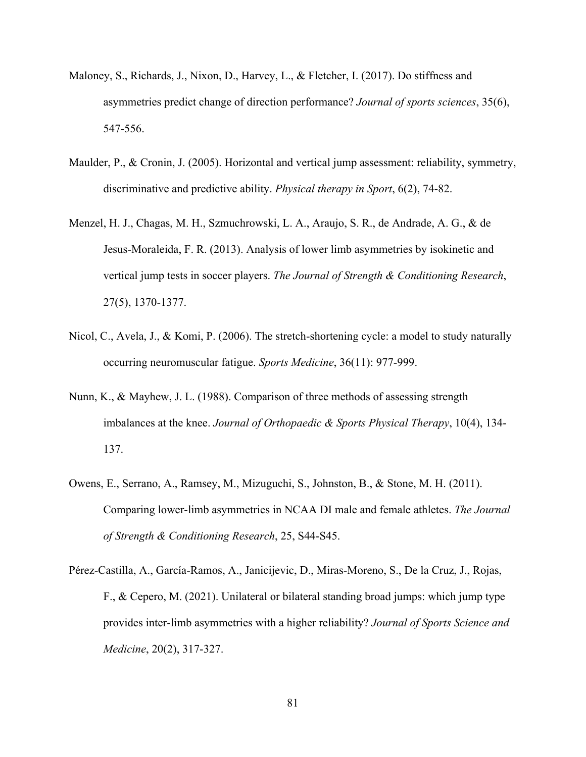- Maloney, S., Richards, J., Nixon, D., Harvey, L., & Fletcher, I. (2017). Do stiffness and asymmetries predict change of direction performance? *Journal of sports sciences*, 35(6), 547-556.
- Maulder, P., & Cronin, J. (2005). Horizontal and vertical jump assessment: reliability, symmetry, discriminative and predictive ability. *Physical therapy in Sport*, 6(2), 74-82.
- Menzel, H. J., Chagas, M. H., Szmuchrowski, L. A., Araujo, S. R., de Andrade, A. G., & de Jesus-Moraleida, F. R. (2013). Analysis of lower limb asymmetries by isokinetic and vertical jump tests in soccer players. *The Journal of Strength & Conditioning Research*, 27(5), 1370-1377.
- Nicol, C., Avela, J., & Komi, P. (2006). The stretch-shortening cycle: a model to study naturally occurring neuromuscular fatigue. *Sports Medicine*, 36(11): 977-999.
- Nunn, K., & Mayhew, J. L. (1988). Comparison of three methods of assessing strength imbalances at the knee. *Journal of Orthopaedic & Sports Physical Therapy*, 10(4), 134- 137.
- Owens, E., Serrano, A., Ramsey, M., Mizuguchi, S., Johnston, B., & Stone, M. H. (2011). Comparing lower-limb asymmetries in NCAA DI male and female athletes. *The Journal of Strength & Conditioning Research*, 25, S44-S45.
- Pérez-Castilla, A., García-Ramos, A., Janicijevic, D., Miras-Moreno, S., De la Cruz, J., Rojas, F., & Cepero, M. (2021). Unilateral or bilateral standing broad jumps: which jump type provides inter-limb asymmetries with a higher reliability? *Journal of Sports Science and Medicine*, 20(2), 317-327.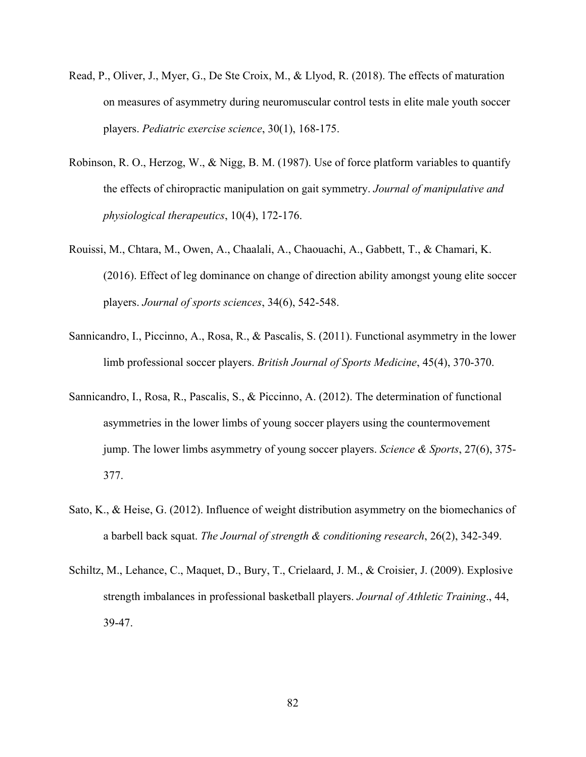- Read, P., Oliver, J., Myer, G., De Ste Croix, M., & Llyod, R. (2018). The effects of maturation on measures of asymmetry during neuromuscular control tests in elite male youth soccer players. *Pediatric exercise science*, 30(1), 168-175.
- Robinson, R. O., Herzog, W., & Nigg, B. M. (1987). Use of force platform variables to quantify the effects of chiropractic manipulation on gait symmetry. *Journal of manipulative and physiological therapeutics*, 10(4), 172-176.
- Rouissi, M., Chtara, M., Owen, A., Chaalali, A., Chaouachi, A., Gabbett, T., & Chamari, K. (2016). Effect of leg dominance on change of direction ability amongst young elite soccer players. *Journal of sports sciences*, 34(6), 542-548.
- Sannicandro, I., Piccinno, A., Rosa, R., & Pascalis, S. (2011). Functional asymmetry in the lower limb professional soccer players. *British Journal of Sports Medicine*, 45(4), 370-370.
- Sannicandro, I., Rosa, R., Pascalis, S., & Piccinno, A. (2012). The determination of functional asymmetries in the lower limbs of young soccer players using the countermovement jump. The lower limbs asymmetry of young soccer players. *Science & Sports*, 27(6), 375- 377.
- Sato, K., & Heise, G. (2012). Influence of weight distribution asymmetry on the biomechanics of a barbell back squat. *The Journal of strength & conditioning research*, 26(2), 342-349.
- Schiltz, M., Lehance, C., Maquet, D., Bury, T., Crielaard, J. M., & Croisier, J. (2009). Explosive strength imbalances in professional basketball players. *Journal of Athletic Training*., 44, 39-47.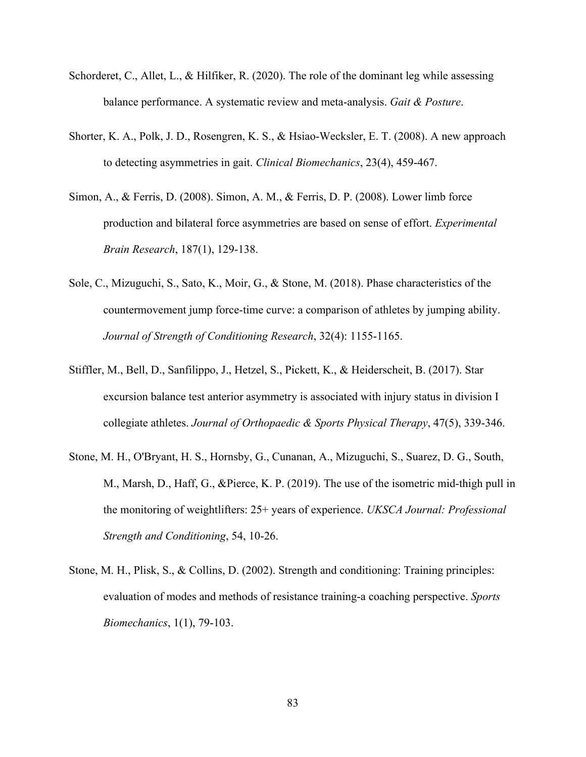- Schorderet, C., Allet, L., & Hilfiker, R. (2020). The role of the dominant leg while assessing balance performance. A systematic review and meta-analysis. *Gait & Posture*.
- Shorter, K. A., Polk, J. D., Rosengren, K. S., & Hsiao-Wecksler, E. T. (2008). A new approach to detecting asymmetries in gait. *Clinical Biomechanics*, 23(4), 459-467.
- Simon, A., & Ferris, D. (2008). Simon, A. M., & Ferris, D. P. (2008). Lower limb force production and bilateral force asymmetries are based on sense of effort. *Experimental Brain Research*, 187(1), 129-138.
- Sole, C., Mizuguchi, S., Sato, K., Moir, G., & Stone, M. (2018). Phase characteristics of the countermovement jump force-time curve: a comparison of athletes by jumping ability. *Journal of Strength of Conditioning Research*, 32(4): 1155-1165.
- Stiffler, M., Bell, D., Sanfilippo, J., Hetzel, S., Pickett, K., & Heiderscheit, B. (2017). Star excursion balance test anterior asymmetry is associated with injury status in division I collegiate athletes. *Journal of Orthopaedic & Sports Physical Therapy*, 47(5), 339-346.
- Stone, M. H., O'Bryant, H. S., Hornsby, G., Cunanan, A., Mizuguchi, S., Suarez, D. G., South, M., Marsh, D., Haff, G., &Pierce, K. P. (2019). The use of the isometric mid-thigh pull in the monitoring of weightlifters: 25+ years of experience. *UKSCA Journal: Professional Strength and Conditioning*, 54, 10-26.
- Stone, M. H., Plisk, S., & Collins, D. (2002). Strength and conditioning: Training principles: evaluation of modes and methods of resistance training‐a coaching perspective. *Sports Biomechanics*, 1(1), 79-103.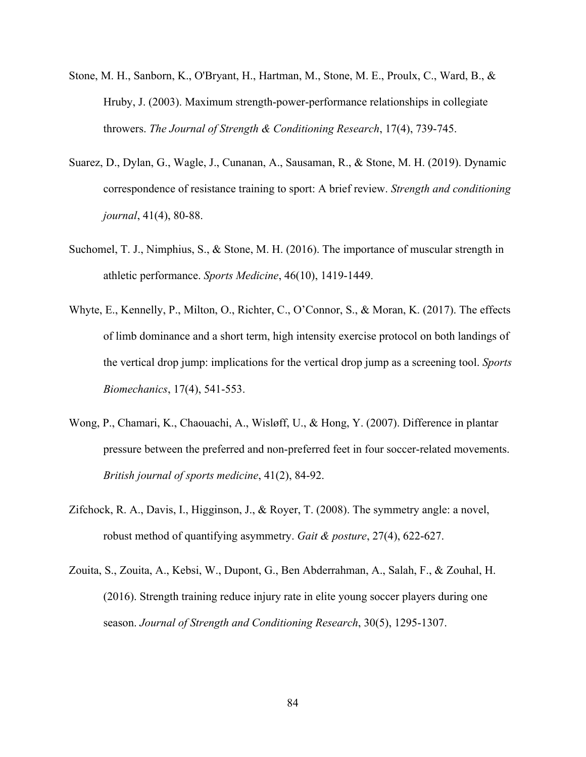- Stone, M. H., Sanborn, K., O'Bryant, H., Hartman, M., Stone, M. E., Proulx, C., Ward, B., & Hruby, J. (2003). Maximum strength-power-performance relationships in collegiate throwers. *The Journal of Strength & Conditioning Research*, 17(4), 739-745.
- Suarez, D., Dylan, G., Wagle, J., Cunanan, A., Sausaman, R., & Stone, M. H. (2019). Dynamic correspondence of resistance training to sport: A brief review. *Strength and conditioning journal*, 41(4), 80-88.
- Suchomel, T. J., Nimphius, S., & Stone, M. H. (2016). The importance of muscular strength in athletic performance. *Sports Medicine*, 46(10), 1419-1449.
- Whyte, E., Kennelly, P., Milton, O., Richter, C., O'Connor, S., & Moran, K. (2017). The effects of limb dominance and a short term, high intensity exercise protocol on both landings of the vertical drop jump: implications for the vertical drop jump as a screening tool. *Sports Biomechanics*, 17(4), 541-553.
- Wong, P., Chamari, K., Chaouachi, A., Wisløff, U., & Hong, Y. (2007). Difference in plantar pressure between the preferred and non-preferred feet in four soccer-related movements. *British journal of sports medicine*, 41(2), 84-92.
- Zifchock, R. A., Davis, I., Higginson, J., & Royer, T. (2008). The symmetry angle: a novel, robust method of quantifying asymmetry. *Gait & posture*, 27(4), 622-627.
- Zouita, S., Zouita, A., Kebsi, W., Dupont, G., Ben Abderrahman, A., Salah, F., & Zouhal, H. (2016). Strength training reduce injury rate in elite young soccer players during one season. *Journal of Strength and Conditioning Research*, 30(5), 1295-1307.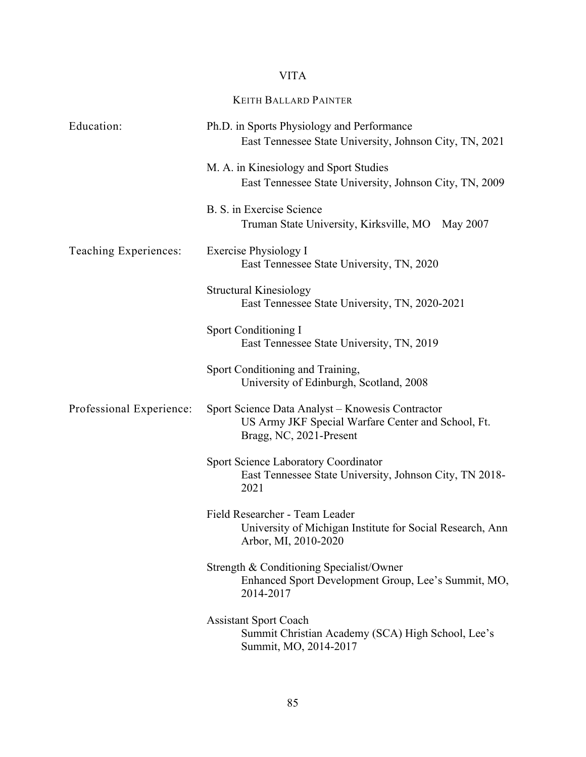## VITA

## KEITH BALLARD PAINTER

| Education:               | Ph.D. in Sports Physiology and Performance<br>East Tennessee State University, Johnson City, TN, 2021                             |
|--------------------------|-----------------------------------------------------------------------------------------------------------------------------------|
|                          | M. A. in Kinesiology and Sport Studies<br>East Tennessee State University, Johnson City, TN, 2009                                 |
|                          | B. S. in Exercise Science<br>Truman State University, Kirksville, MO May 2007                                                     |
| Teaching Experiences:    | Exercise Physiology I<br>East Tennessee State University, TN, 2020                                                                |
|                          | Structural Kinesiology<br>East Tennessee State University, TN, 2020-2021                                                          |
|                          | Sport Conditioning I<br>East Tennessee State University, TN, 2019                                                                 |
|                          | Sport Conditioning and Training,<br>University of Edinburgh, Scotland, 2008                                                       |
| Professional Experience: | Sport Science Data Analyst - Knowesis Contractor<br>US Army JKF Special Warfare Center and School, Ft.<br>Bragg, NC, 2021-Present |
|                          | <b>Sport Science Laboratory Coordinator</b><br>East Tennessee State University, Johnson City, TN 2018-<br>2021                    |
|                          | Field Researcher - Team Leader<br>University of Michigan Institute for Social Research, Ann<br>Arbor, MI, 2010-2020               |
|                          | Strength & Conditioning Specialist/Owner<br>Enhanced Sport Development Group, Lee's Summit, MO,<br>2014-2017                      |
|                          | <b>Assistant Sport Coach</b><br>Summit Christian Academy (SCA) High School, Lee's<br>Summit, MO, 2014-2017                        |